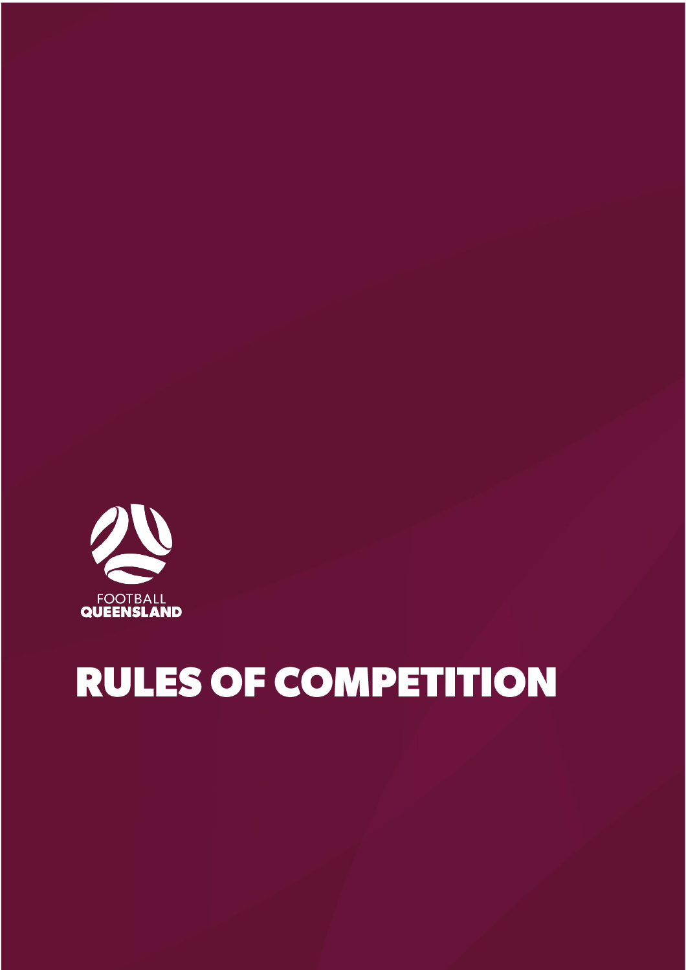

# **RULES OF COMPETITION**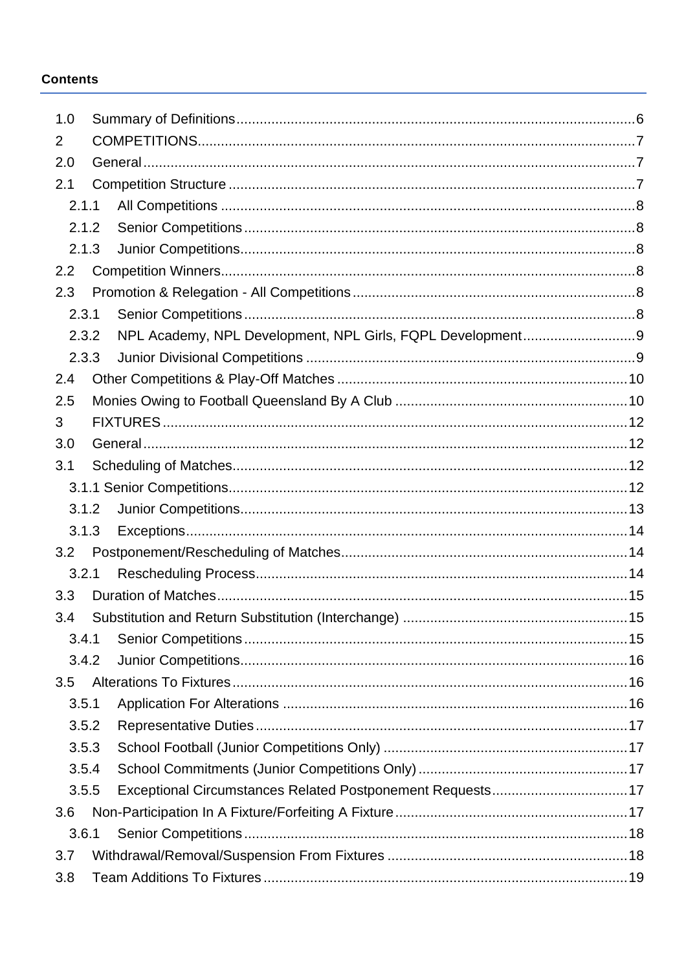#### **Contents**

| 1.0   |  |                                                           |  |  |  |  |  |  |
|-------|--|-----------------------------------------------------------|--|--|--|--|--|--|
| 2     |  |                                                           |  |  |  |  |  |  |
| 2.0   |  |                                                           |  |  |  |  |  |  |
| 2.1   |  |                                                           |  |  |  |  |  |  |
| 2.1.1 |  |                                                           |  |  |  |  |  |  |
| 2.1.2 |  |                                                           |  |  |  |  |  |  |
| 2.1.3 |  |                                                           |  |  |  |  |  |  |
| 2.2   |  |                                                           |  |  |  |  |  |  |
| 2.3   |  |                                                           |  |  |  |  |  |  |
| 2.3.1 |  |                                                           |  |  |  |  |  |  |
| 2.3.2 |  |                                                           |  |  |  |  |  |  |
| 2.3.3 |  |                                                           |  |  |  |  |  |  |
| 2.4   |  |                                                           |  |  |  |  |  |  |
| 2.5   |  |                                                           |  |  |  |  |  |  |
| 3     |  |                                                           |  |  |  |  |  |  |
| 3.0   |  |                                                           |  |  |  |  |  |  |
| 3.1   |  |                                                           |  |  |  |  |  |  |
|       |  |                                                           |  |  |  |  |  |  |
| 3.1.2 |  |                                                           |  |  |  |  |  |  |
| 3.1.3 |  |                                                           |  |  |  |  |  |  |
| 3.2   |  |                                                           |  |  |  |  |  |  |
| 3.2.1 |  |                                                           |  |  |  |  |  |  |
| 3.3   |  |                                                           |  |  |  |  |  |  |
| 3.4   |  |                                                           |  |  |  |  |  |  |
| 3.4.1 |  |                                                           |  |  |  |  |  |  |
| 3.4.2 |  |                                                           |  |  |  |  |  |  |
| 3.5   |  |                                                           |  |  |  |  |  |  |
| 3.5.1 |  |                                                           |  |  |  |  |  |  |
| 3.5.2 |  |                                                           |  |  |  |  |  |  |
| 3.5.3 |  |                                                           |  |  |  |  |  |  |
| 3.5.4 |  |                                                           |  |  |  |  |  |  |
| 3.5.5 |  | Exceptional Circumstances Related Postponement Requests17 |  |  |  |  |  |  |
| 3.6   |  |                                                           |  |  |  |  |  |  |
| 3.6.1 |  |                                                           |  |  |  |  |  |  |
| 3.7   |  |                                                           |  |  |  |  |  |  |
| 3.8   |  |                                                           |  |  |  |  |  |  |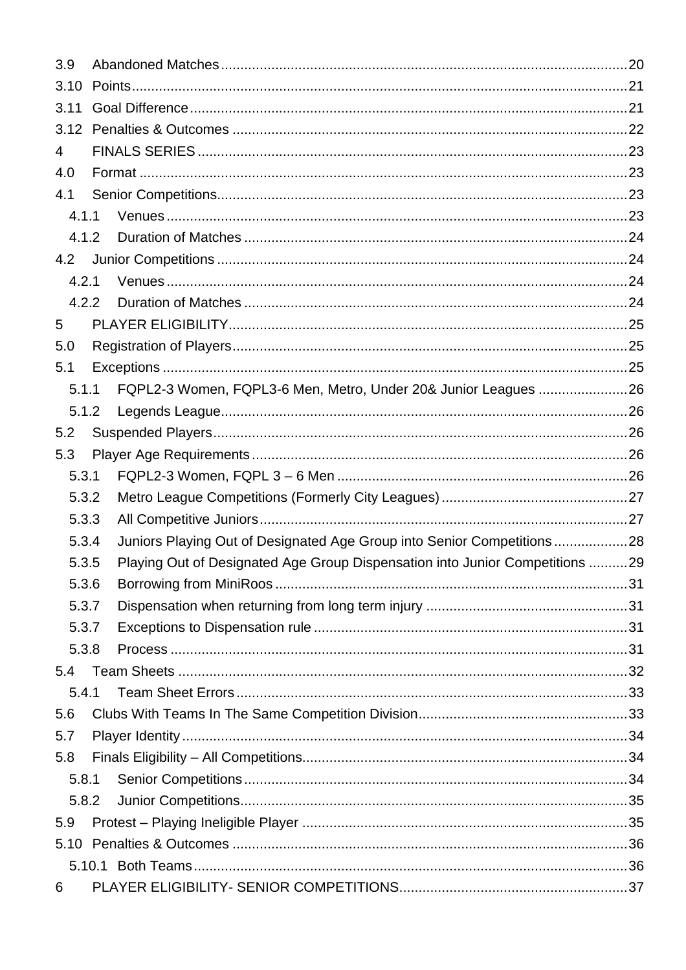| 3.9            |  |                                                                              |  |  |  |  |  |  |  |
|----------------|--|------------------------------------------------------------------------------|--|--|--|--|--|--|--|
| 3.10           |  |                                                                              |  |  |  |  |  |  |  |
| 3.11           |  |                                                                              |  |  |  |  |  |  |  |
| 3.12           |  |                                                                              |  |  |  |  |  |  |  |
| $\overline{4}$ |  |                                                                              |  |  |  |  |  |  |  |
| 4.0            |  |                                                                              |  |  |  |  |  |  |  |
| 4.1            |  |                                                                              |  |  |  |  |  |  |  |
| 4.1.1          |  |                                                                              |  |  |  |  |  |  |  |
| 4.1.2          |  |                                                                              |  |  |  |  |  |  |  |
| 4.2            |  |                                                                              |  |  |  |  |  |  |  |
| 4.2.1          |  |                                                                              |  |  |  |  |  |  |  |
| 4.2.2          |  |                                                                              |  |  |  |  |  |  |  |
| 5              |  |                                                                              |  |  |  |  |  |  |  |
| 5.0            |  |                                                                              |  |  |  |  |  |  |  |
| 5.1            |  |                                                                              |  |  |  |  |  |  |  |
| 5.1.1          |  | FQPL2-3 Women, FQPL3-6 Men, Metro, Under 20& Junior Leagues 26               |  |  |  |  |  |  |  |
| 5.1.2          |  |                                                                              |  |  |  |  |  |  |  |
| 5.2            |  |                                                                              |  |  |  |  |  |  |  |
| 5.3            |  |                                                                              |  |  |  |  |  |  |  |
| 5.3.1          |  |                                                                              |  |  |  |  |  |  |  |
| 5.3.2          |  |                                                                              |  |  |  |  |  |  |  |
| 5.3.3          |  |                                                                              |  |  |  |  |  |  |  |
| 5.3.4          |  | Juniors Playing Out of Designated Age Group into Senior Competitions28       |  |  |  |  |  |  |  |
| 5.3.5          |  | Playing Out of Designated Age Group Dispensation into Junior Competitions 29 |  |  |  |  |  |  |  |
| 5.3.6          |  |                                                                              |  |  |  |  |  |  |  |
| 5.3.7          |  |                                                                              |  |  |  |  |  |  |  |
| 5.3.7          |  |                                                                              |  |  |  |  |  |  |  |
| 5.3.8          |  |                                                                              |  |  |  |  |  |  |  |
| 5.4            |  |                                                                              |  |  |  |  |  |  |  |
| 5.4.1          |  |                                                                              |  |  |  |  |  |  |  |
| 5.6            |  |                                                                              |  |  |  |  |  |  |  |
| 5.7            |  |                                                                              |  |  |  |  |  |  |  |
| 5.8            |  |                                                                              |  |  |  |  |  |  |  |
| 5.8.1          |  |                                                                              |  |  |  |  |  |  |  |
| 5.8.2          |  |                                                                              |  |  |  |  |  |  |  |
| 5.9            |  |                                                                              |  |  |  |  |  |  |  |
|                |  |                                                                              |  |  |  |  |  |  |  |
|                |  |                                                                              |  |  |  |  |  |  |  |
| 6              |  |                                                                              |  |  |  |  |  |  |  |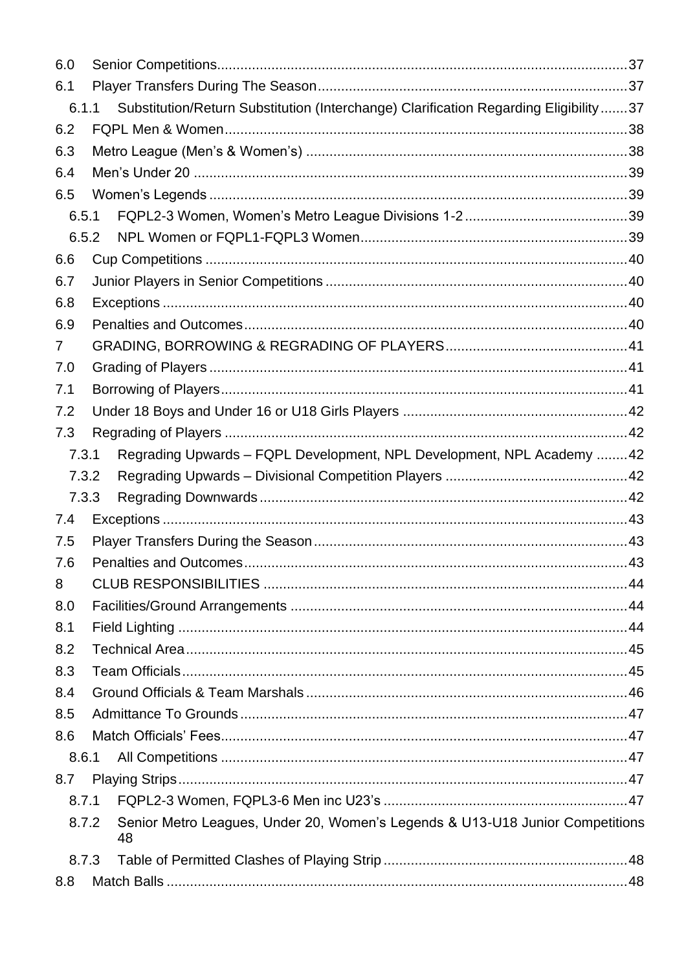| 6.0 |       |                                                                                       |  |
|-----|-------|---------------------------------------------------------------------------------------|--|
| 6.1 |       |                                                                                       |  |
|     | 6.1.1 | Substitution/Return Substitution (Interchange) Clarification Regarding Eligibility 37 |  |
| 6.2 |       |                                                                                       |  |
| 6.3 |       |                                                                                       |  |
| 6.4 |       |                                                                                       |  |
| 6.5 |       |                                                                                       |  |
|     | 6.5.1 |                                                                                       |  |
|     | 6.5.2 |                                                                                       |  |
| 6.6 |       |                                                                                       |  |
| 6.7 |       |                                                                                       |  |
| 6.8 |       |                                                                                       |  |
| 6.9 |       |                                                                                       |  |
| 7   |       |                                                                                       |  |
| 7.0 |       |                                                                                       |  |
| 7.1 |       |                                                                                       |  |
| 7.2 |       |                                                                                       |  |
| 7.3 |       |                                                                                       |  |
|     | 7.3.1 | Regrading Upwards - FQPL Development, NPL Development, NPL Academy  42                |  |
|     | 7.3.2 |                                                                                       |  |
|     | 7.3.3 |                                                                                       |  |
| 7.4 |       |                                                                                       |  |
| 7.5 |       |                                                                                       |  |
| 7.6 |       |                                                                                       |  |
| 8   |       |                                                                                       |  |
| 8.0 |       |                                                                                       |  |
| 8.1 |       |                                                                                       |  |
| 8.2 |       |                                                                                       |  |
| 8.3 |       |                                                                                       |  |
| 8.4 |       |                                                                                       |  |
| 8.5 |       |                                                                                       |  |
| 8.6 |       |                                                                                       |  |
|     | 8.6.1 |                                                                                       |  |
| 8.7 |       |                                                                                       |  |
|     | 8.7.1 |                                                                                       |  |
|     | 8.7.2 | Senior Metro Leagues, Under 20, Women's Legends & U13-U18 Junior Competitions<br>48   |  |
|     | 8.7.3 |                                                                                       |  |
|     |       |                                                                                       |  |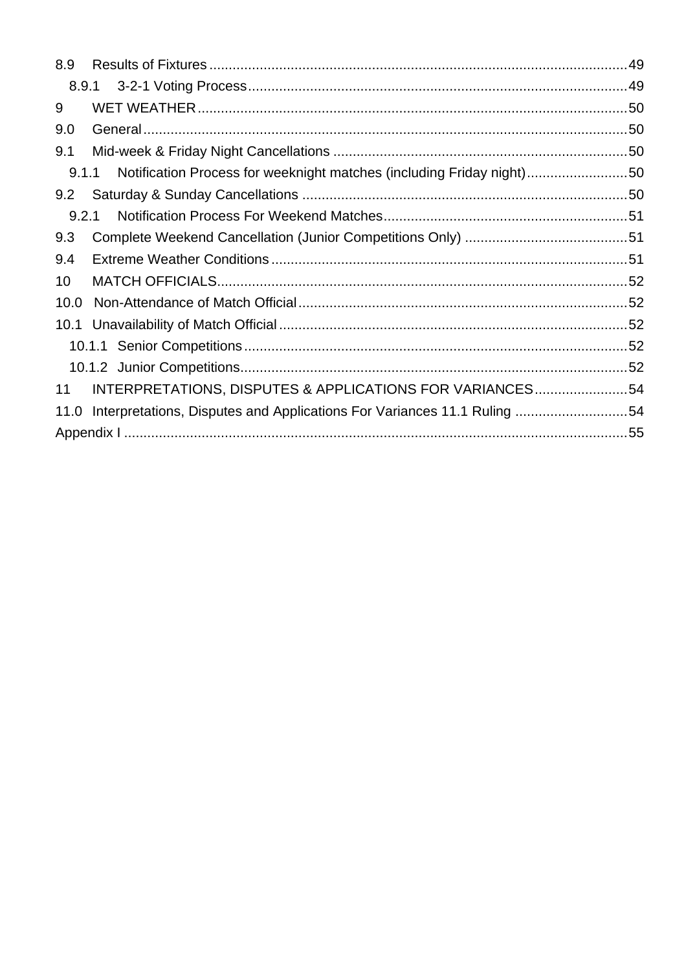| 8.9   |                                                                         |  |
|-------|-------------------------------------------------------------------------|--|
|       |                                                                         |  |
| 9     |                                                                         |  |
| 9.0   |                                                                         |  |
| 9.1   |                                                                         |  |
| 9.1.1 | Notification Process for weeknight matches (including Friday night)50   |  |
| 9.2   |                                                                         |  |
| 9.2.1 |                                                                         |  |
| 9.3   |                                                                         |  |
| 9.4   |                                                                         |  |
| 10    |                                                                         |  |
| 10.0  |                                                                         |  |
|       |                                                                         |  |
|       |                                                                         |  |
|       |                                                                         |  |
| 11    | INTERPRETATIONS, DISPUTES & APPLICATIONS FOR VARIANCES54                |  |
| 11.0  | Interpretations, Disputes and Applications For Variances 11.1 Ruling 54 |  |
|       |                                                                         |  |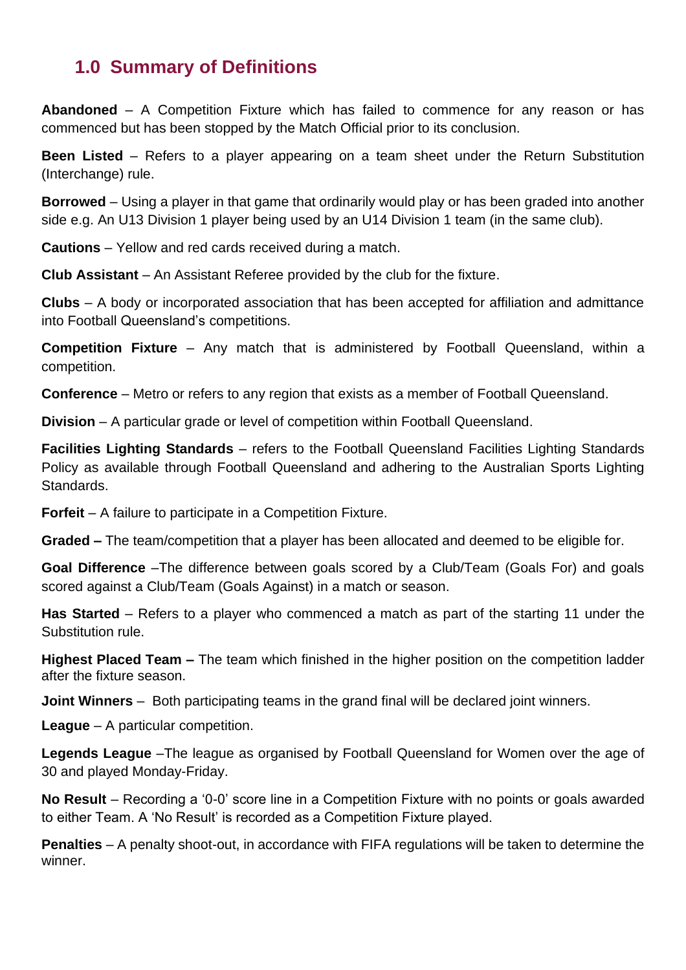### <span id="page-5-0"></span>**1.0 Summary of Definitions**

**Abandoned** – A Competition Fixture which has failed to commence for any reason or has commenced but has been stopped by the Match Official prior to its conclusion.

**Been Listed** – Refers to a player appearing on a team sheet under the Return Substitution (Interchange) rule.

**Borrowed** – Using a player in that game that ordinarily would play or has been graded into another side e.g. An U13 Division 1 player being used by an U14 Division 1 team (in the same club).

**Cautions** – Yellow and red cards received during a match.

**Club Assistant** – An Assistant Referee provided by the club for the fixture.

**Clubs** – A body or incorporated association that has been accepted for affiliation and admittance into Football Queensland's competitions.

**Competition Fixture** – Any match that is administered by Football Queensland, within a competition.

**Conference** – Metro or refers to any region that exists as a member of Football Queensland.

**Division** – A particular grade or level of competition within Football Queensland.

**Facilities Lighting Standards** – refers to the Football Queensland Facilities Lighting Standards Policy as available through Football Queensland and adhering to the Australian Sports Lighting Standards.

**Forfeit** – A failure to participate in a Competition Fixture.

**Graded –** The team/competition that a player has been allocated and deemed to be eligible for.

**Goal Difference** –The difference between goals scored by a Club/Team (Goals For) and goals scored against a Club/Team (Goals Against) in a match or season.

**Has Started** – Refers to a player who commenced a match as part of the starting 11 under the Substitution rule.

**Highest Placed Team –** The team which finished in the higher position on the competition ladder after the fixture season.

**Joint Winners** *–* Both participating teams in the grand final will be declared joint winners.

**League** – A particular competition.

**Legends League** –The league as organised by Football Queensland for Women over the age of 30 and played Monday-Friday.

**No Result** – Recording a '0-0' score line in a Competition Fixture with no points or goals awarded to either Team. A 'No Result' is recorded as a Competition Fixture played.

**Penalties** *–* A penalty shoot-out, in accordance with FIFA regulations will be taken to determine the winner.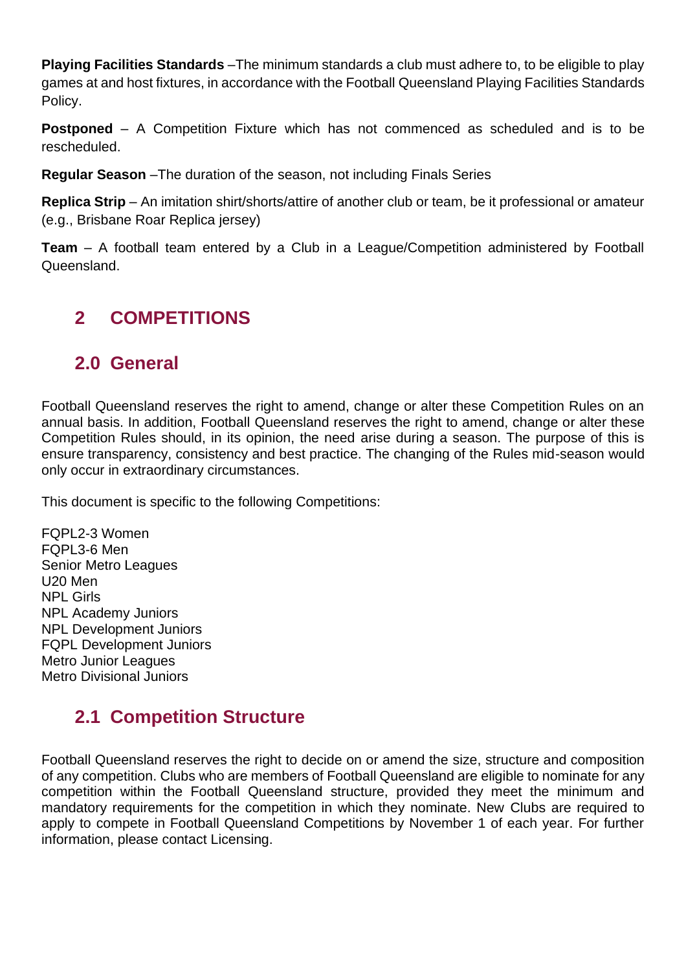**Playing Facilities Standards** –The minimum standards a club must adhere to, to be eligible to play games at and host fixtures, in accordance with the Football Queensland Playing Facilities Standards Policy.

**Postponed** – A Competition Fixture which has not commenced as scheduled and is to be rescheduled.

**Regular Season** –The duration of the season, not including Finals Series

**Replica Strip** – An imitation shirt/shorts/attire of another club or team, be it professional or amateur (e.g., Brisbane Roar Replica jersey)

**Team** – A football team entered by a Club in a League/Competition administered by Football Queensland.

### <span id="page-6-0"></span>**2 COMPETITIONS**

### <span id="page-6-1"></span>**2.0 General**

Football Queensland reserves the right to amend, change or alter these Competition Rules on an annual basis. In addition, Football Queensland reserves the right to amend, change or alter these Competition Rules should, in its opinion, the need arise during a season. The purpose of this is ensure transparency, consistency and best practice. The changing of the Rules mid-season would only occur in extraordinary circumstances.

This document is specific to the following Competitions:

FQPL2-3 Women FQPL3-6 Men Senior Metro Leagues U20 Men NPL Girls NPL Academy Juniors NPL Development Juniors FQPL Development Juniors Metro Junior Leagues Metro Divisional Juniors

### <span id="page-6-2"></span>**2.1 Competition Structure**

Football Queensland reserves the right to decide on or amend the size, structure and composition of any competition. Clubs who are members of Football Queensland are eligible to nominate for any competition within the Football Queensland structure, provided they meet the minimum and mandatory requirements for the competition in which they nominate. New Clubs are required to apply to compete in Football Queensland Competitions by November 1 of each year. For further information, please contact Licensing.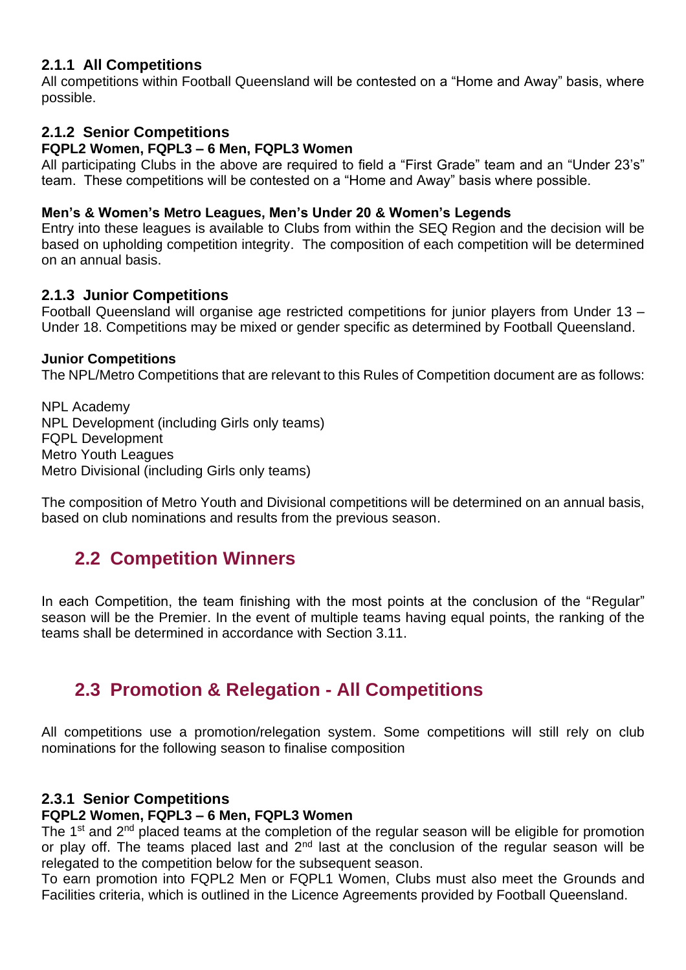#### <span id="page-7-0"></span>**2.1.1 All Competitions**

All competitions within Football Queensland will be contested on a "Home and Away" basis, where possible.

#### <span id="page-7-1"></span>**2.1.2 Senior Competitions**

#### **FQPL2 Women, FQPL3 – 6 Men, FQPL3 Women**

All participating Clubs in the above are required to field a "First Grade" team and an "Under 23's" team. These competitions will be contested on a "Home and Away" basis where possible.

#### **Men's & Women's Metro Leagues, Men's Under 20 & Women's Legends**

Entry into these leagues is available to Clubs from within the SEQ Region and the decision will be based on upholding competition integrity. The composition of each competition will be determined on an annual basis.

#### <span id="page-7-2"></span>**2.1.3 Junior Competitions**

Football Queensland will organise age restricted competitions for junior players from Under 13 – Under 18. Competitions may be mixed or gender specific as determined by Football Queensland.

#### **Junior Competitions**

The NPL/Metro Competitions that are relevant to this Rules of Competition document are as follows:

NPL Academy NPL Development (including Girls only teams) FQPL Development Metro Youth Leagues Metro Divisional (including Girls only teams)

The composition of Metro Youth and Divisional competitions will be determined on an annual basis, based on club nominations and results from the previous season.

### <span id="page-7-3"></span>**2.2 Competition Winners**

In each Competition, the team finishing with the most points at the conclusion of the "Regular" season will be the Premier. In the event of multiple teams having equal points, the ranking of the teams shall be determined in accordance with Section 3.11.

### <span id="page-7-4"></span>**2.3 Promotion & Relegation - All Competitions**

All competitions use a promotion/relegation system. Some competitions will still rely on club nominations for the following season to finalise composition

#### <span id="page-7-5"></span>**2.3.1 Senior Competitions**

#### **FQPL2 Women, FQPL3 – 6 Men, FQPL3 Women**

The 1<sup>st</sup> and 2<sup>nd</sup> placed teams at the completion of the regular season will be eligible for promotion or play off. The teams placed last and 2<sup>nd</sup> last at the conclusion of the regular season will be relegated to the competition below for the subsequent season.

To earn promotion into FQPL2 Men or FQPL1 Women, Clubs must also meet the Grounds and Facilities criteria, which is outlined in the Licence Agreements provided by Football Queensland.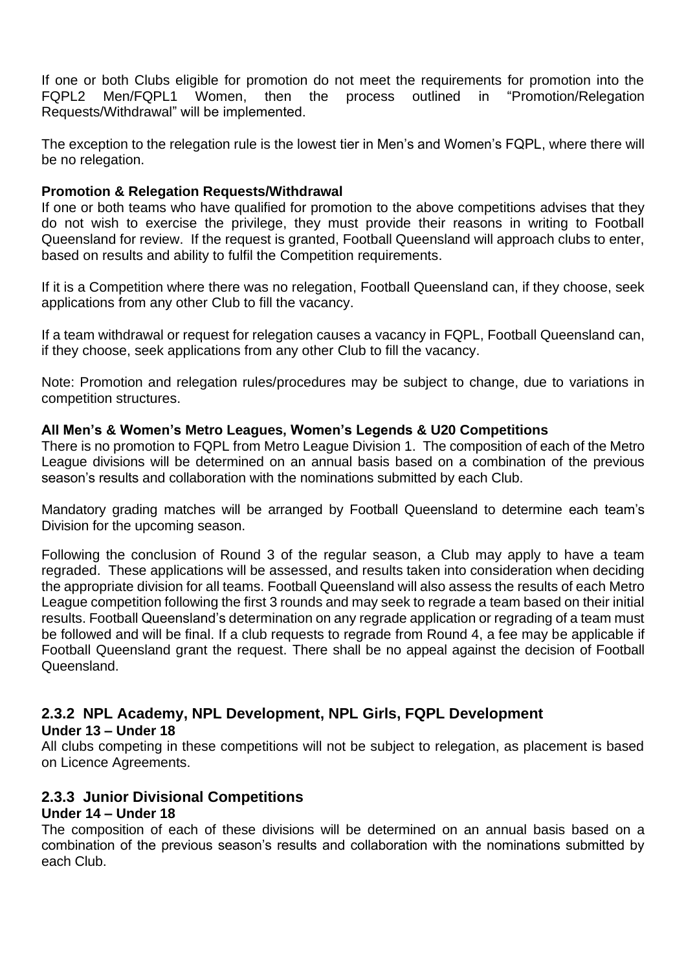If one or both Clubs eligible for promotion do not meet the requirements for promotion into the FQPL2 Men/FQPL1 Women, then the process outlined in "Promotion/Relegation Requests/Withdrawal" will be implemented.

The exception to the relegation rule is the lowest tier in Men's and Women's FQPL, where there will be no relegation.

#### **Promotion & Relegation Requests/Withdrawal**

If one or both teams who have qualified for promotion to the above competitions advises that they do not wish to exercise the privilege, they must provide their reasons in writing to Football Queensland for review. If the request is granted, Football Queensland will approach clubs to enter, based on results and ability to fulfil the Competition requirements.

If it is a Competition where there was no relegation, Football Queensland can, if they choose, seek applications from any other Club to fill the vacancy.

If a team withdrawal or request for relegation causes a vacancy in FQPL, Football Queensland can, if they choose, seek applications from any other Club to fill the vacancy.

Note: Promotion and relegation rules/procedures may be subject to change, due to variations in competition structures.

#### **All Men's & Women's Metro Leagues, Women's Legends & U20 Competitions**

There is no promotion to FQPL from Metro League Division 1. The composition of each of the Metro League divisions will be determined on an annual basis based on a combination of the previous season's results and collaboration with the nominations submitted by each Club.

Mandatory grading matches will be arranged by Football Queensland to determine each team's Division for the upcoming season.

Following the conclusion of Round 3 of the regular season, a Club may apply to have a team regraded. These applications will be assessed, and results taken into consideration when deciding the appropriate division for all teams. Football Queensland will also assess the results of each Metro League competition following the first 3 rounds and may seek to regrade a team based on their initial results. Football Queensland's determination on any regrade application or regrading of a team must be followed and will be final. If a club requests to regrade from Round 4, a fee may be applicable if Football Queensland grant the request. There shall be no appeal against the decision of Football Queensland.

#### <span id="page-8-0"></span>**2.3.2 NPL Academy, NPL Development, NPL Girls, FQPL Development Under 13 – Under 18**

All clubs competing in these competitions will not be subject to relegation, as placement is based on Licence Agreements.

#### <span id="page-8-1"></span>**2.3.3 Junior Divisional Competitions**

#### **Under 14 – Under 18**

The composition of each of these divisions will be determined on an annual basis based on a combination of the previous season's results and collaboration with the nominations submitted by each Club.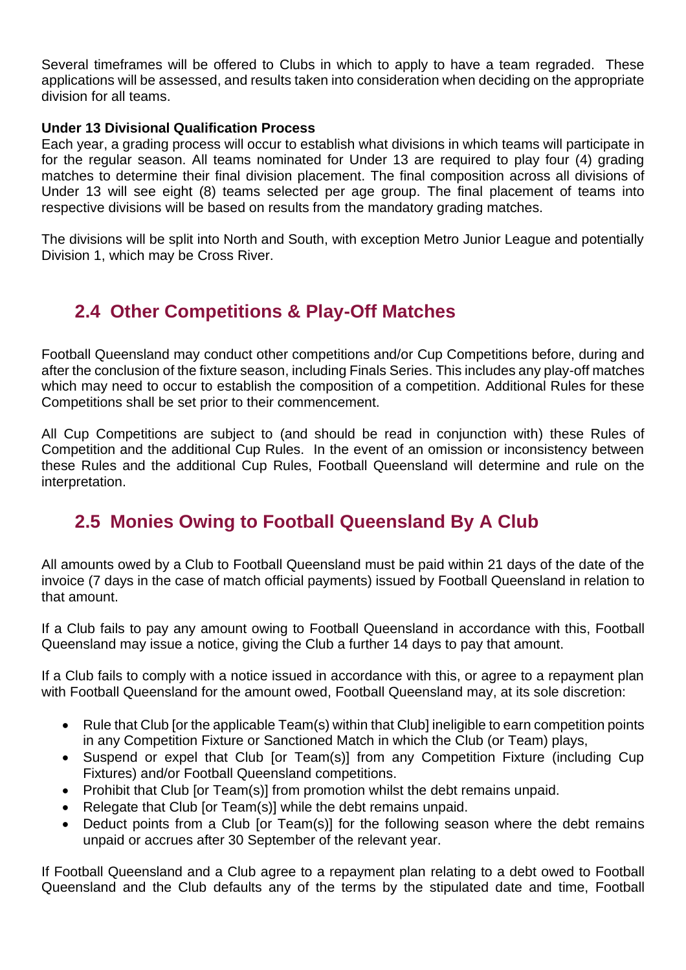Several timeframes will be offered to Clubs in which to apply to have a team regraded. These applications will be assessed, and results taken into consideration when deciding on the appropriate division for all teams.

#### **Under 13 Divisional Qualification Process**

Each year, a grading process will occur to establish what divisions in which teams will participate in for the regular season. All teams nominated for Under 13 are required to play four (4) grading matches to determine their final division placement. The final composition across all divisions of Under 13 will see eight (8) teams selected per age group. The final placement of teams into respective divisions will be based on results from the mandatory grading matches.

The divisions will be split into North and South, with exception Metro Junior League and potentially Division 1, which may be Cross River.

### <span id="page-9-0"></span>**2.4 Other Competitions & Play-Off Matches**

Football Queensland may conduct other competitions and/or Cup Competitions before, during and after the conclusion of the fixture season, including Finals Series. This includes any play-off matches which may need to occur to establish the composition of a competition. Additional Rules for these Competitions shall be set prior to their commencement.

All Cup Competitions are subject to (and should be read in conjunction with) these Rules of Competition and the additional Cup Rules. In the event of an omission or inconsistency between these Rules and the additional Cup Rules, Football Queensland will determine and rule on the interpretation.

### <span id="page-9-1"></span>**2.5 Monies Owing to Football Queensland By A Club**

All amounts owed by a Club to Football Queensland must be paid within 21 days of the date of the invoice (7 days in the case of match official payments) issued by Football Queensland in relation to that amount.

If a Club fails to pay any amount owing to Football Queensland in accordance with this, Football Queensland may issue a notice, giving the Club a further 14 days to pay that amount.

If a Club fails to comply with a notice issued in accordance with this, or agree to a repayment plan with Football Queensland for the amount owed, Football Queensland may, at its sole discretion:

- Rule that Club [or the applicable Team(s) within that Club] ineligible to earn competition points in any Competition Fixture or Sanctioned Match in which the Club (or Team) plays,
- Suspend or expel that Club [or Team(s)] from any Competition Fixture (including Cup Fixtures) and/or Football Queensland competitions.
- Prohibit that Club [or Team(s)] from promotion whilst the debt remains unpaid.
- Relegate that Club [or Team(s)] while the debt remains unpaid.
- Deduct points from a Club [or Team(s)] for the following season where the debt remains unpaid or accrues after 30 September of the relevant year.

If Football Queensland and a Club agree to a repayment plan relating to a debt owed to Football Queensland and the Club defaults any of the terms by the stipulated date and time, Football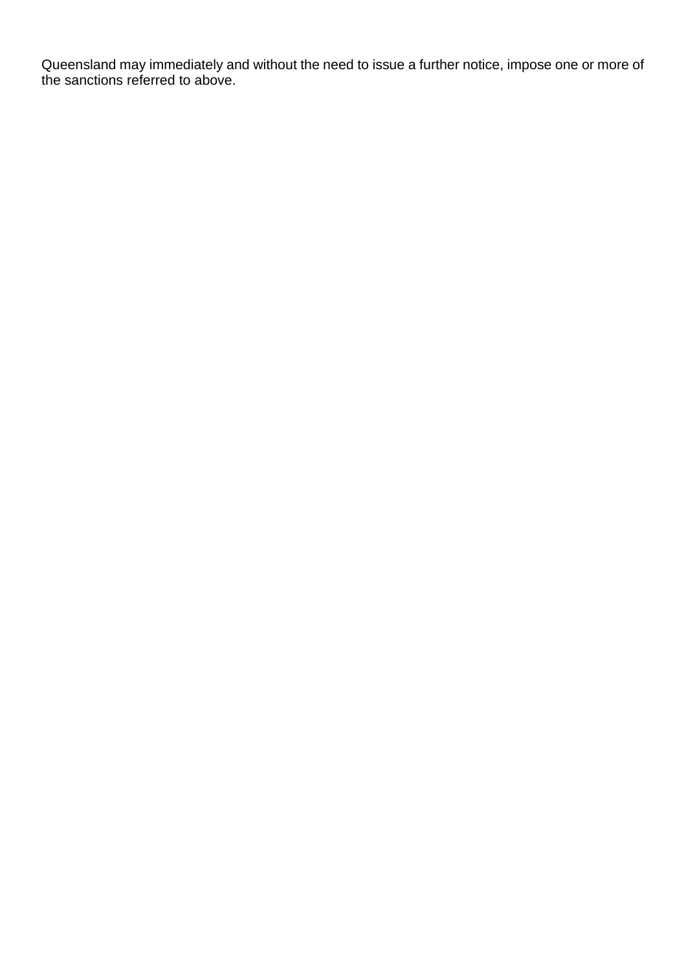Queensland may immediately and without the need to issue a further notice, impose one or more of the sanctions referred to above.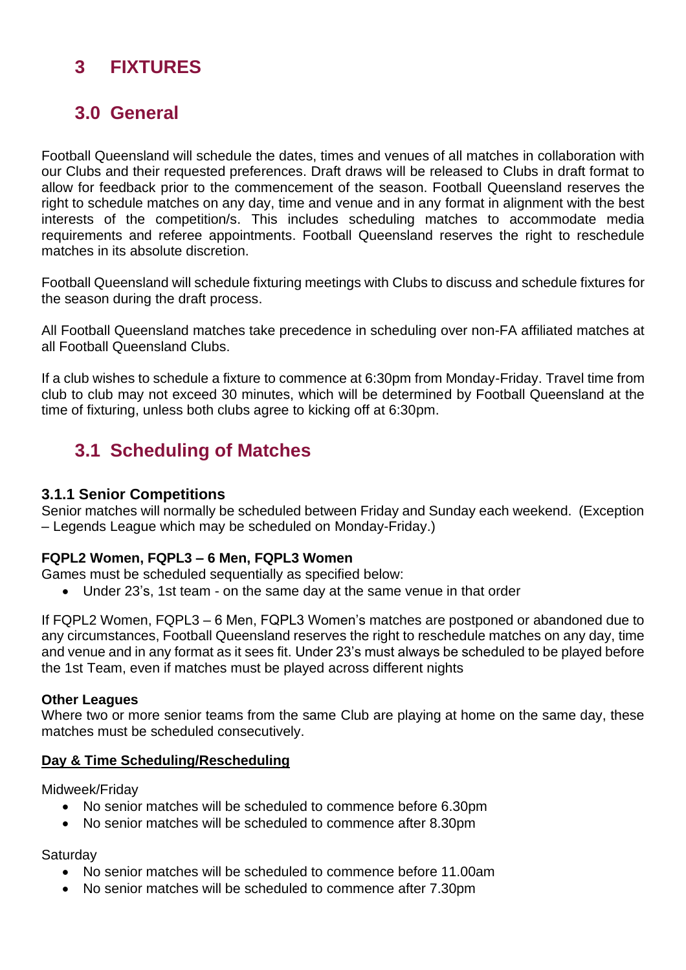### <span id="page-11-0"></span>**3 FIXTURES**

### <span id="page-11-1"></span>**3.0 General**

Football Queensland will schedule the dates, times and venues of all matches in collaboration with our Clubs and their requested preferences. Draft draws will be released to Clubs in draft format to allow for feedback prior to the commencement of the season. Football Queensland reserves the right to schedule matches on any day, time and venue and in any format in alignment with the best interests of the competition/s. This includes scheduling matches to accommodate media requirements and referee appointments. Football Queensland reserves the right to reschedule matches in its absolute discretion.

Football Queensland will schedule fixturing meetings with Clubs to discuss and schedule fixtures for the season during the draft process.

All Football Queensland matches take precedence in scheduling over non-FA affiliated matches at all Football Queensland Clubs.

If a club wishes to schedule a fixture to commence at 6:30pm from Monday-Friday. Travel time from club to club may not exceed 30 minutes, which will be determined by Football Queensland at the time of fixturing, unless both clubs agree to kicking off at 6:30pm.

### <span id="page-11-2"></span>**3.1 Scheduling of Matches**

#### <span id="page-11-3"></span>**3.1.1 Senior Competitions**

Senior matches will normally be scheduled between Friday and Sunday each weekend. (Exception – Legends League which may be scheduled on Monday-Friday.)

#### **FQPL2 Women, FQPL3 – 6 Men, FQPL3 Women**

Games must be scheduled sequentially as specified below:

• Under 23's, 1st team - on the same day at the same venue in that order

If FQPL2 Women, FQPL3 – 6 Men, FQPL3 Women's matches are postponed or abandoned due to any circumstances, Football Queensland reserves the right to reschedule matches on any day, time and venue and in any format as it sees fit. Under 23's must always be scheduled to be played before the 1st Team, even if matches must be played across different nights

#### **Other Leagues**

Where two or more senior teams from the same Club are playing at home on the same day, these matches must be scheduled consecutively.

#### **Day & Time Scheduling/Rescheduling**

Midweek/Friday

- No senior matches will be scheduled to commence before 6.30pm
- No senior matches will be scheduled to commence after 8.30pm

**Saturday** 

- No senior matches will be scheduled to commence before 11.00am
- No senior matches will be scheduled to commence after 7.30pm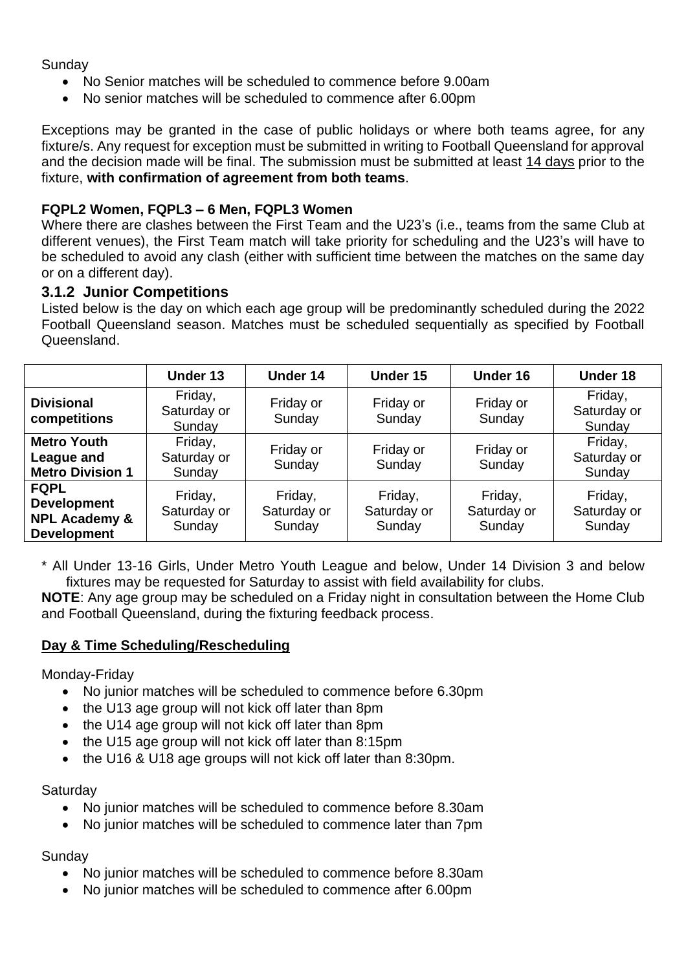#### **Sunday**

- No Senior matches will be scheduled to commence before 9.00am
- No senior matches will be scheduled to commence after 6.00pm

Exceptions may be granted in the case of public holidays or where both teams agree, for any fixture/s. Any request for exception must be submitted in writing to Football Queensland for approval and the decision made will be final. The submission must be submitted at least 14 days prior to the fixture, **with confirmation of agreement from both teams**.

#### **FQPL2 Women, FQPL3 – 6 Men, FQPL3 Women**

Where there are clashes between the First Team and the U23's (i.e., teams from the same Club at different venues), the First Team match will take priority for scheduling and the U23's will have to be scheduled to avoid any clash (either with sufficient time between the matches on the same day or on a different day).

#### <span id="page-12-0"></span>**3.1.2 Junior Competitions**

Listed below is the day on which each age group will be predominantly scheduled during the 2022 Football Queensland season. Matches must be scheduled sequentially as specified by Football Queensland.

|                                                                                     | Under 13                         | Under 14                         | Under 15                         | <b>Under 16</b>                  | <b>Under 18</b>                  |
|-------------------------------------------------------------------------------------|----------------------------------|----------------------------------|----------------------------------|----------------------------------|----------------------------------|
| <b>Divisional</b><br>competitions                                                   | Friday,<br>Saturday or<br>Sunday | Friday or<br>Sunday              | Friday or<br>Sunday              | Friday or<br>Sunday              | Friday,<br>Saturday or<br>Sunday |
| <b>Metro Youth</b><br>League and<br><b>Metro Division 1</b>                         | Friday,<br>Saturday or<br>Sunday | Friday or<br>Sunday              | Friday or<br>Sunday              | Friday or<br>Sunday              | Friday,<br>Saturday or<br>Sunday |
| <b>FQPL</b><br><b>Development</b><br><b>NPL Academy &amp;</b><br><b>Development</b> | Friday,<br>Saturday or<br>Sunday | Friday,<br>Saturday or<br>Sunday | Friday,<br>Saturday or<br>Sunday | Friday,<br>Saturday or<br>Sunday | Friday,<br>Saturday or<br>Sunday |

\* All Under 13-16 Girls, Under Metro Youth League and below, Under 14 Division 3 and below fixtures may be requested for Saturday to assist with field availability for clubs.

**NOTE**: Any age group may be scheduled on a Friday night in consultation between the Home Club and Football Queensland, during the fixturing feedback process.

#### **Day & Time Scheduling/Rescheduling**

Monday-Friday

- No junior matches will be scheduled to commence before 6.30pm
- the U13 age group will not kick off later than 8pm
- the U14 age group will not kick off later than 8pm
- the U15 age group will not kick off later than 8:15pm
- the U16 & U18 age groups will not kick off later than 8:30pm.

#### **Saturdav**

- No junior matches will be scheduled to commence before 8.30am
- No junior matches will be scheduled to commence later than 7pm

Sunday

- No junior matches will be scheduled to commence before 8.30am
- No junior matches will be scheduled to commence after 6.00pm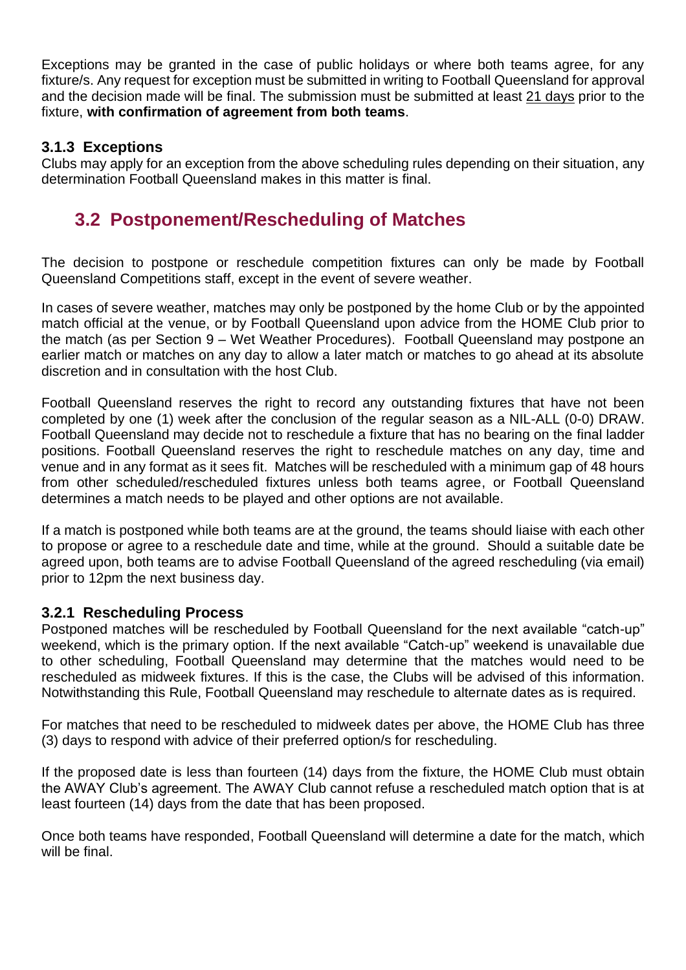Exceptions may be granted in the case of public holidays or where both teams agree, for any fixture/s. Any request for exception must be submitted in writing to Football Queensland for approval and the decision made will be final. The submission must be submitted at least 21 days prior to the fixture, **with confirmation of agreement from both teams**.

#### <span id="page-13-0"></span>**3.1.3 Exceptions**

Clubs may apply for an exception from the above scheduling rules depending on their situation, any determination Football Queensland makes in this matter is final.

### <span id="page-13-1"></span>**3.2 Postponement/Rescheduling of Matches**

The decision to postpone or reschedule competition fixtures can only be made by Football Queensland Competitions staff, except in the event of severe weather.

In cases of severe weather, matches may only be postponed by the home Club or by the appointed match official at the venue, or by Football Queensland upon advice from the HOME Club prior to the match (as per Section 9 – Wet Weather Procedures). Football Queensland may postpone an earlier match or matches on any day to allow a later match or matches to go ahead at its absolute discretion and in consultation with the host Club.

Football Queensland reserves the right to record any outstanding fixtures that have not been completed by one (1) week after the conclusion of the regular season as a NIL-ALL (0-0) DRAW. Football Queensland may decide not to reschedule a fixture that has no bearing on the final ladder positions. Football Queensland reserves the right to reschedule matches on any day, time and venue and in any format as it sees fit. Matches will be rescheduled with a minimum gap of 48 hours from other scheduled/rescheduled fixtures unless both teams agree, or Football Queensland determines a match needs to be played and other options are not available.

If a match is postponed while both teams are at the ground, the teams should liaise with each other to propose or agree to a reschedule date and time, while at the ground. Should a suitable date be agreed upon, both teams are to advise Football Queensland of the agreed rescheduling (via email) prior to 12pm the next business day.

#### <span id="page-13-2"></span>**3.2.1 Rescheduling Process**

Postponed matches will be rescheduled by Football Queensland for the next available "catch-up" weekend, which is the primary option. If the next available "Catch-up" weekend is unavailable due to other scheduling, Football Queensland may determine that the matches would need to be rescheduled as midweek fixtures. If this is the case, the Clubs will be advised of this information. Notwithstanding this Rule, Football Queensland may reschedule to alternate dates as is required.

For matches that need to be rescheduled to midweek dates per above, the HOME Club has three (3) days to respond with advice of their preferred option/s for rescheduling.

If the proposed date is less than fourteen (14) days from the fixture, the HOME Club must obtain the AWAY Club's agreement. The AWAY Club cannot refuse a rescheduled match option that is at least fourteen (14) days from the date that has been proposed.

Once both teams have responded, Football Queensland will determine a date for the match, which will be final.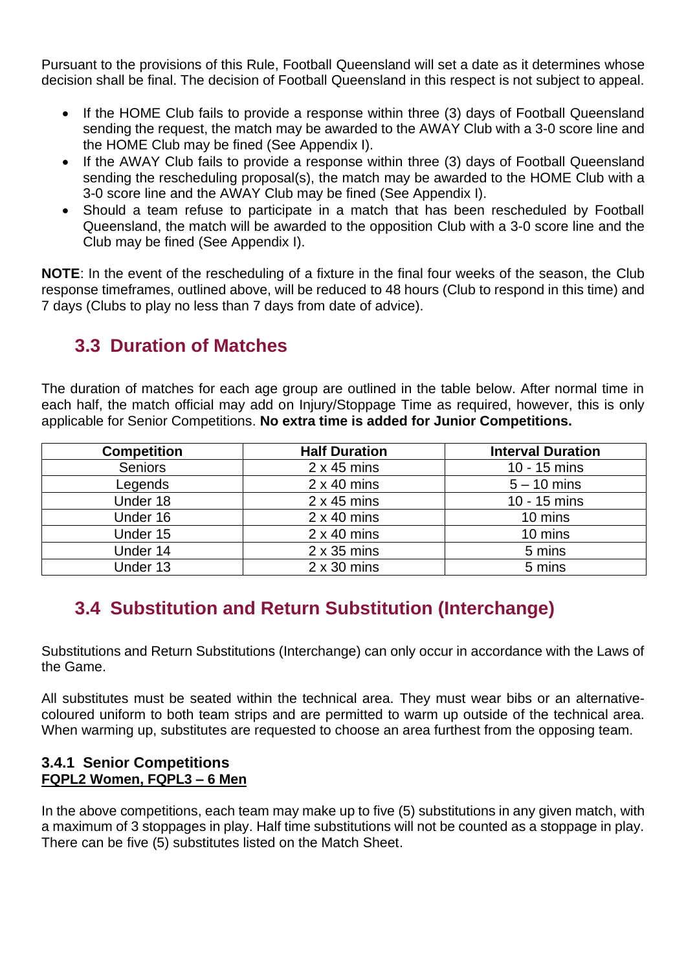Pursuant to the provisions of this Rule, Football Queensland will set a date as it determines whose decision shall be final. The decision of Football Queensland in this respect is not subject to appeal.

- If the HOME Club fails to provide a response within three (3) days of Football Queensland sending the request, the match may be awarded to the AWAY Club with a 3-0 score line and the HOME Club may be fined (See Appendix I).
- If the AWAY Club fails to provide a response within three (3) days of Football Queensland sending the rescheduling proposal(s), the match may be awarded to the HOME Club with a 3-0 score line and the AWAY Club may be fined (See Appendix I).
- Should a team refuse to participate in a match that has been rescheduled by Football Queensland, the match will be awarded to the opposition Club with a 3-0 score line and the Club may be fined (See Appendix I).

**NOTE**: In the event of the rescheduling of a fixture in the final four weeks of the season, the Club response timeframes, outlined above, will be reduced to 48 hours (Club to respond in this time) and 7 days (Clubs to play no less than 7 days from date of advice).

### <span id="page-14-0"></span>**3.3 Duration of Matches**

The duration of matches for each age group are outlined in the table below. After normal time in each half, the match official may add on Injury/Stoppage Time as required, however, this is only applicable for Senior Competitions. **No extra time is added for Junior Competitions.**

| <b>Competition</b> | <b>Half Duration</b> | <b>Interval Duration</b> |
|--------------------|----------------------|--------------------------|
| <b>Seniors</b>     | $2 \times 45$ mins   | 10 - 15 mins             |
| Legends            | $2 \times 40$ mins   | $5 - 10$ mins            |
| Under 18           | $2 \times 45$ mins   | 10 - 15 mins             |
| Under 16           | $2 \times 40$ mins   | 10 mins                  |
| Under 15           | $2 \times 40$ mins   | 10 mins                  |
| Under 14           | $2 \times 35$ mins   | 5 mins                   |
| Under 13           | $2 \times 30$ mins   | 5 mins                   |

### <span id="page-14-1"></span>**3.4 Substitution and Return Substitution (Interchange)**

Substitutions and Return Substitutions (Interchange) can only occur in accordance with the Laws of the Game.

All substitutes must be seated within the technical area. They must wear bibs or an alternativecoloured uniform to both team strips and are permitted to warm up outside of the technical area. When warming up, substitutes are requested to choose an area furthest from the opposing team.

#### <span id="page-14-2"></span>**3.4.1 Senior Competitions FQPL2 Women, FQPL3 – 6 Men**

In the above competitions, each team may make up to five (5) substitutions in any given match, with a maximum of 3 stoppages in play. Half time substitutions will not be counted as a stoppage in play. There can be five (5) substitutes listed on the Match Sheet.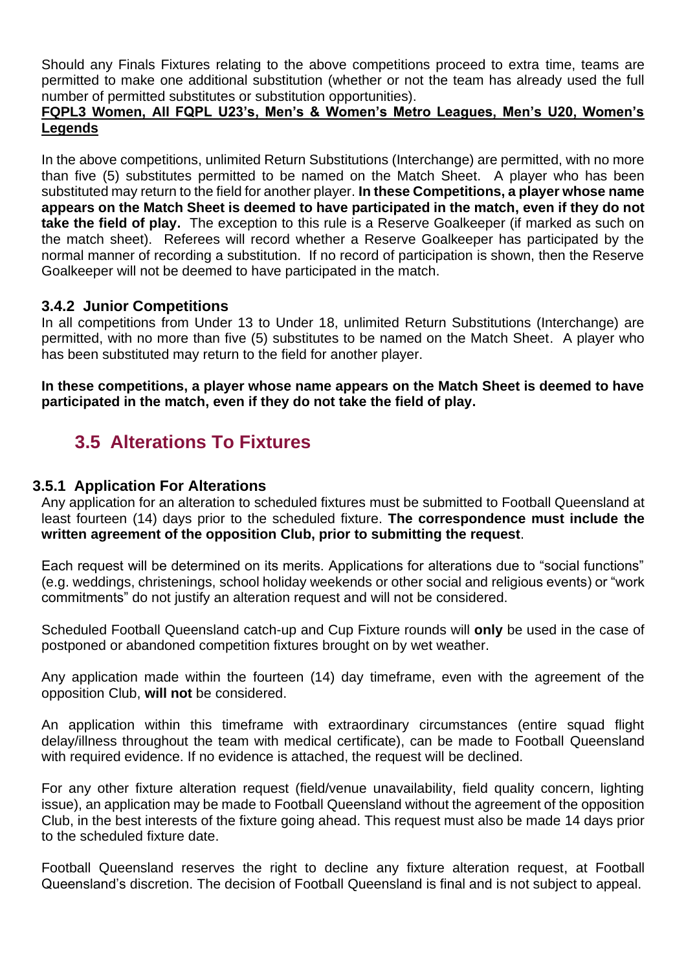Should any Finals Fixtures relating to the above competitions proceed to extra time, teams are permitted to make one additional substitution (whether or not the team has already used the full number of permitted substitutes or substitution opportunities).

#### **FQPL3 Women, All FQPL U23's, Men's & Women's Metro Leagues, Men's U20, Women's Legends**

In the above competitions, unlimited Return Substitutions (Interchange) are permitted, with no more than five (5) substitutes permitted to be named on the Match Sheet. A player who has been substituted may return to the field for another player. **In these Competitions, a player whose name appears on the Match Sheet is deemed to have participated in the match, even if they do not take the field of play.** The exception to this rule is a Reserve Goalkeeper (if marked as such on the match sheet). Referees will record whether a Reserve Goalkeeper has participated by the normal manner of recording a substitution. If no record of participation is shown, then the Reserve Goalkeeper will not be deemed to have participated in the match.

#### <span id="page-15-0"></span>**3.4.2 Junior Competitions**

In all competitions from Under 13 to Under 18, unlimited Return Substitutions (Interchange) are permitted, with no more than five (5) substitutes to be named on the Match Sheet. A player who has been substituted may return to the field for another player.

**In these competitions, a player whose name appears on the Match Sheet is deemed to have participated in the match, even if they do not take the field of play.**

### <span id="page-15-1"></span>**3.5 Alterations To Fixtures**

#### <span id="page-15-2"></span>**3.5.1 Application For Alterations**

Any application for an alteration to scheduled fixtures must be submitted to Football Queensland at least fourteen (14) days prior to the scheduled fixture. **The correspondence must include the written agreement of the opposition Club, prior to submitting the request**.

Each request will be determined on its merits. Applications for alterations due to "social functions" (e.g. weddings, christenings, school holiday weekends or other social and religious events) or "work commitments" do not justify an alteration request and will not be considered.

Scheduled Football Queensland catch-up and Cup Fixture rounds will **only** be used in the case of postponed or abandoned competition fixtures brought on by wet weather.

Any application made within the fourteen (14) day timeframe, even with the agreement of the opposition Club, **will not** be considered.

An application within this timeframe with extraordinary circumstances (entire squad flight delay/illness throughout the team with medical certificate), can be made to Football Queensland with required evidence. If no evidence is attached, the request will be declined.

For any other fixture alteration request (field/venue unavailability, field quality concern, lighting issue), an application may be made to Football Queensland without the agreement of the opposition Club, in the best interests of the fixture going ahead. This request must also be made 14 days prior to the scheduled fixture date.

Football Queensland reserves the right to decline any fixture alteration request, at Football Queensland's discretion. The decision of Football Queensland is final and is not subject to appeal.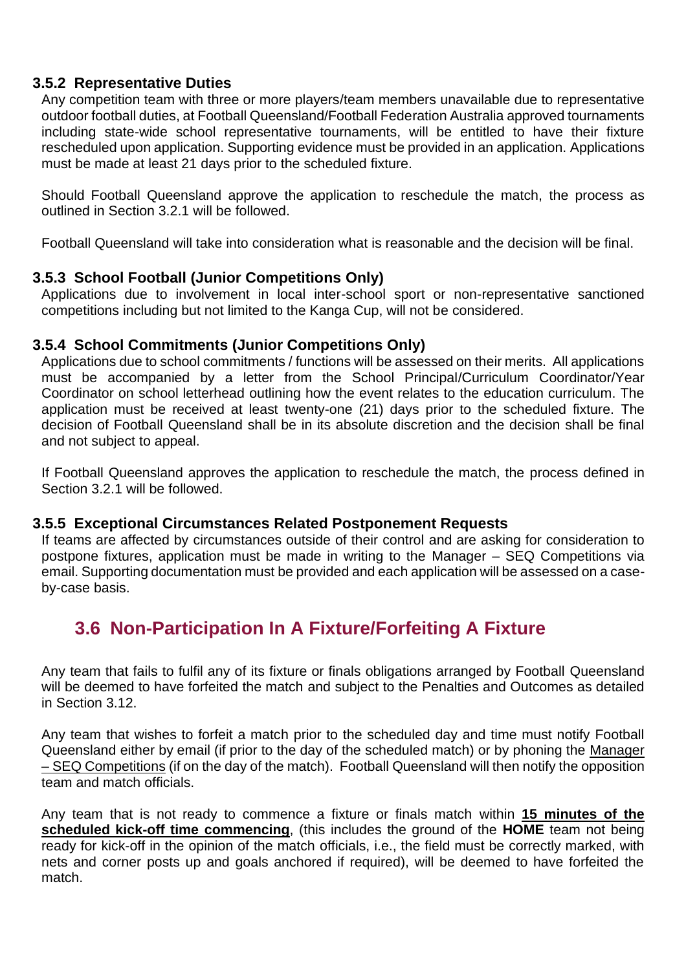#### <span id="page-16-0"></span>**3.5.2 Representative Duties**

Any competition team with three or more players/team members unavailable due to representative outdoor football duties, at Football Queensland/Football Federation Australia approved tournaments including state-wide school representative tournaments, will be entitled to have their fixture rescheduled upon application. Supporting evidence must be provided in an application. Applications must be made at least 21 days prior to the scheduled fixture.

Should Football Queensland approve the application to reschedule the match, the process as outlined in Section 3.2.1 will be followed.

Football Queensland will take into consideration what is reasonable and the decision will be final.

#### <span id="page-16-1"></span>**3.5.3 School Football (Junior Competitions Only)**

Applications due to involvement in local inter-school sport or non-representative sanctioned competitions including but not limited to the Kanga Cup, will not be considered.

#### <span id="page-16-2"></span>**3.5.4 School Commitments (Junior Competitions Only)**

Applications due to school commitments / functions will be assessed on their merits. All applications must be accompanied by a letter from the School Principal/Curriculum Coordinator/Year Coordinator on school letterhead outlining how the event relates to the education curriculum. The application must be received at least twenty-one (21) days prior to the scheduled fixture. The decision of Football Queensland shall be in its absolute discretion and the decision shall be final and not subject to appeal.

If Football Queensland approves the application to reschedule the match, the process defined in Section 3.2.1 will be followed.

#### <span id="page-16-3"></span>**3.5.5 Exceptional Circumstances Related Postponement Requests**

If teams are affected by circumstances outside of their control and are asking for consideration to postpone fixtures, application must be made in writing to the Manager – SEQ Competitions via email. Supporting documentation must be provided and each application will be assessed on a caseby-case basis.

### <span id="page-16-4"></span>**3.6 Non-Participation In A Fixture/Forfeiting A Fixture**

Any team that fails to fulfil any of its fixture or finals obligations arranged by Football Queensland will be deemed to have forfeited the match and subject to the Penalties and Outcomes as detailed in Section 3.12.

Any team that wishes to forfeit a match prior to the scheduled day and time must notify Football Queensland either by email (if prior to the day of the scheduled match) or by phoning the Manager – SEQ Competitions (if on the day of the match). Football Queensland will then notify the opposition team and match officials.

Any team that is not ready to commence a fixture or finals match within **15 minutes of the scheduled kick-off time commencing**, (this includes the ground of the **HOME** team not being ready for kick-off in the opinion of the match officials, i.e., the field must be correctly marked, with nets and corner posts up and goals anchored if required), will be deemed to have forfeited the match.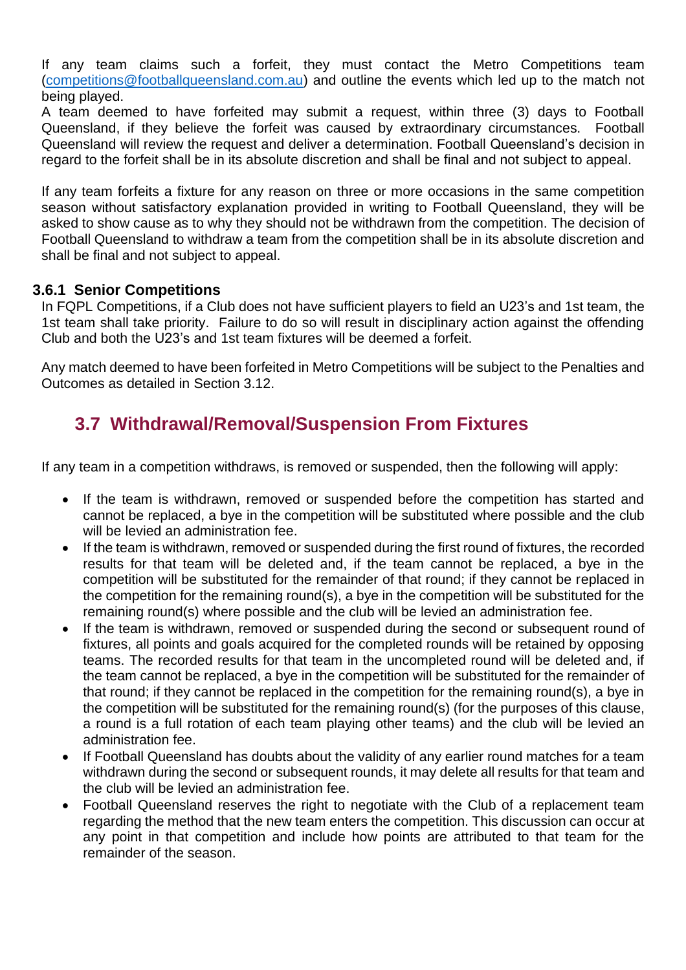If any team claims such a forfeit, they must contact the Metro Competitions team [\(competitions@footballqueensland.com.au\)](mailto:competitions@footballqueensland.com.au) and outline the events which led up to the match not being played.

A team deemed to have forfeited may submit a request, within three (3) days to Football Queensland, if they believe the forfeit was caused by extraordinary circumstances. Football Queensland will review the request and deliver a determination. Football Queensland's decision in regard to the forfeit shall be in its absolute discretion and shall be final and not subject to appeal.

If any team forfeits a fixture for any reason on three or more occasions in the same competition season without satisfactory explanation provided in writing to Football Queensland, they will be asked to show cause as to why they should not be withdrawn from the competition. The decision of Football Queensland to withdraw a team from the competition shall be in its absolute discretion and shall be final and not subject to appeal.

#### **3.6.1 Senior Competitions**

<span id="page-17-0"></span>In FQPL Competitions, if a Club does not have sufficient players to field an U23's and 1st team, the 1st team shall take priority. Failure to do so will result in disciplinary action against the offending Club and both the U23's and 1st team fixtures will be deemed a forfeit.

Any match deemed to have been forfeited in Metro Competitions will be subject to the Penalties and Outcomes as detailed in Section 3.12.

### <span id="page-17-1"></span>**3.7 Withdrawal/Removal/Suspension From Fixtures**

If any team in a competition withdraws, is removed or suspended, then the following will apply:

- If the team is withdrawn, removed or suspended before the competition has started and cannot be replaced, a bye in the competition will be substituted where possible and the club will be levied an administration fee.
- If the team is withdrawn, removed or suspended during the first round of fixtures, the recorded results for that team will be deleted and, if the team cannot be replaced, a bye in the competition will be substituted for the remainder of that round; if they cannot be replaced in the competition for the remaining round(s), a bye in the competition will be substituted for the remaining round(s) where possible and the club will be levied an administration fee.
- If the team is withdrawn, removed or suspended during the second or subsequent round of fixtures, all points and goals acquired for the completed rounds will be retained by opposing teams. The recorded results for that team in the uncompleted round will be deleted and, if the team cannot be replaced, a bye in the competition will be substituted for the remainder of that round; if they cannot be replaced in the competition for the remaining round(s), a bye in the competition will be substituted for the remaining round(s) (for the purposes of this clause, a round is a full rotation of each team playing other teams) and the club will be levied an administration fee.
- If Football Queensland has doubts about the validity of any earlier round matches for a team withdrawn during the second or subsequent rounds, it may delete all results for that team and the club will be levied an administration fee.
- Football Queensland reserves the right to negotiate with the Club of a replacement team regarding the method that the new team enters the competition. This discussion can occur at any point in that competition and include how points are attributed to that team for the remainder of the season.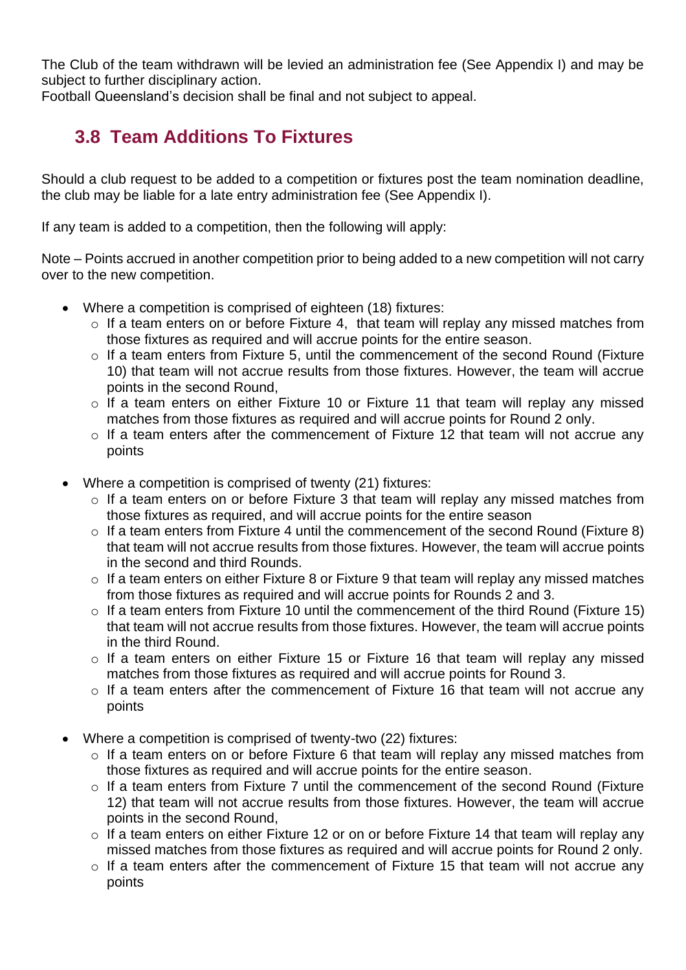The Club of the team withdrawn will be levied an administration fee (See Appendix I) and may be subject to further disciplinary action.

<span id="page-18-0"></span>Football Queensland's decision shall be final and not subject to appeal.

### **3.8 Team Additions To Fixtures**

Should a club request to be added to a competition or fixtures post the team nomination deadline, the club may be liable for a late entry administration fee (See Appendix I).

If any team is added to a competition, then the following will apply:

Note – Points accrued in another competition prior to being added to a new competition will not carry over to the new competition.

- Where a competition is comprised of eighteen (18) fixtures:
	- o If a team enters on or before Fixture 4, that team will replay any missed matches from those fixtures as required and will accrue points for the entire season.
	- o If a team enters from Fixture 5, until the commencement of the second Round (Fixture 10) that team will not accrue results from those fixtures. However, the team will accrue points in the second Round,
	- o If a team enters on either Fixture 10 or Fixture 11 that team will replay any missed matches from those fixtures as required and will accrue points for Round 2 only.
	- o If a team enters after the commencement of Fixture 12 that team will not accrue any points
- Where a competition is comprised of twenty (21) fixtures:
	- o If a team enters on or before Fixture 3 that team will replay any missed matches from those fixtures as required, and will accrue points for the entire season
	- o If a team enters from Fixture 4 until the commencement of the second Round (Fixture 8) that team will not accrue results from those fixtures. However, the team will accrue points in the second and third Rounds.
	- o If a team enters on either Fixture 8 or Fixture 9 that team will replay any missed matches from those fixtures as required and will accrue points for Rounds 2 and 3.
	- $\circ$  If a team enters from Fixture 10 until the commencement of the third Round (Fixture 15) that team will not accrue results from those fixtures. However, the team will accrue points in the third Round.
	- o If a team enters on either Fixture 15 or Fixture 16 that team will replay any missed matches from those fixtures as required and will accrue points for Round 3.
	- o If a team enters after the commencement of Fixture 16 that team will not accrue any points
- Where a competition is comprised of twenty-two (22) fixtures:
	- o If a team enters on or before Fixture 6 that team will replay any missed matches from those fixtures as required and will accrue points for the entire season.
	- o If a team enters from Fixture 7 until the commencement of the second Round (Fixture 12) that team will not accrue results from those fixtures. However, the team will accrue points in the second Round,
	- o If a team enters on either Fixture 12 or on or before Fixture 14 that team will replay any missed matches from those fixtures as required and will accrue points for Round 2 only.
	- o If a team enters after the commencement of Fixture 15 that team will not accrue any points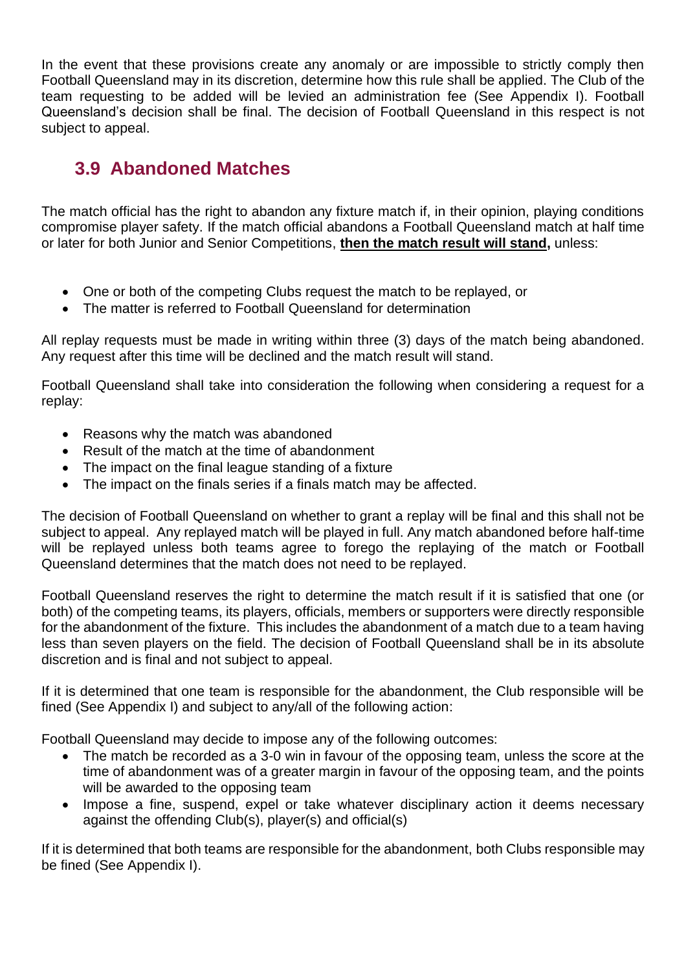In the event that these provisions create any anomaly or are impossible to strictly comply then Football Queensland may in its discretion, determine how this rule shall be applied. The Club of the team requesting to be added will be levied an administration fee (See Appendix I). Football Queensland's decision shall be final. The decision of Football Queensland in this respect is not subject to appeal.

### <span id="page-19-0"></span>**3.9 Abandoned Matches**

The match official has the right to abandon any fixture match if, in their opinion, playing conditions compromise player safety. If the match official abandons a Football Queensland match at half time or later for both Junior and Senior Competitions, **then the match result will stand,** unless:

- One or both of the competing Clubs request the match to be replayed, or
- The matter is referred to Football Queensland for determination

All replay requests must be made in writing within three (3) days of the match being abandoned. Any request after this time will be declined and the match result will stand.

Football Queensland shall take into consideration the following when considering a request for a replay:

- Reasons why the match was abandoned
- Result of the match at the time of abandonment
- The impact on the final league standing of a fixture
- The impact on the finals series if a finals match may be affected.

The decision of Football Queensland on whether to grant a replay will be final and this shall not be subject to appeal. Any replayed match will be played in full. Any match abandoned before half-time will be replayed unless both teams agree to forego the replaying of the match or Football Queensland determines that the match does not need to be replayed.

Football Queensland reserves the right to determine the match result if it is satisfied that one (or both) of the competing teams, its players, officials, members or supporters were directly responsible for the abandonment of the fixture. This includes the abandonment of a match due to a team having less than seven players on the field. The decision of Football Queensland shall be in its absolute discretion and is final and not subject to appeal.

If it is determined that one team is responsible for the abandonment, the Club responsible will be fined (See Appendix I) and subject to any/all of the following action:

Football Queensland may decide to impose any of the following outcomes:

- The match be recorded as a 3-0 win in favour of the opposing team, unless the score at the time of abandonment was of a greater margin in favour of the opposing team, and the points will be awarded to the opposing team
- Impose a fine, suspend, expel or take whatever disciplinary action it deems necessary against the offending Club(s), player(s) and official(s)

If it is determined that both teams are responsible for the abandonment, both Clubs responsible may be fined (See Appendix I).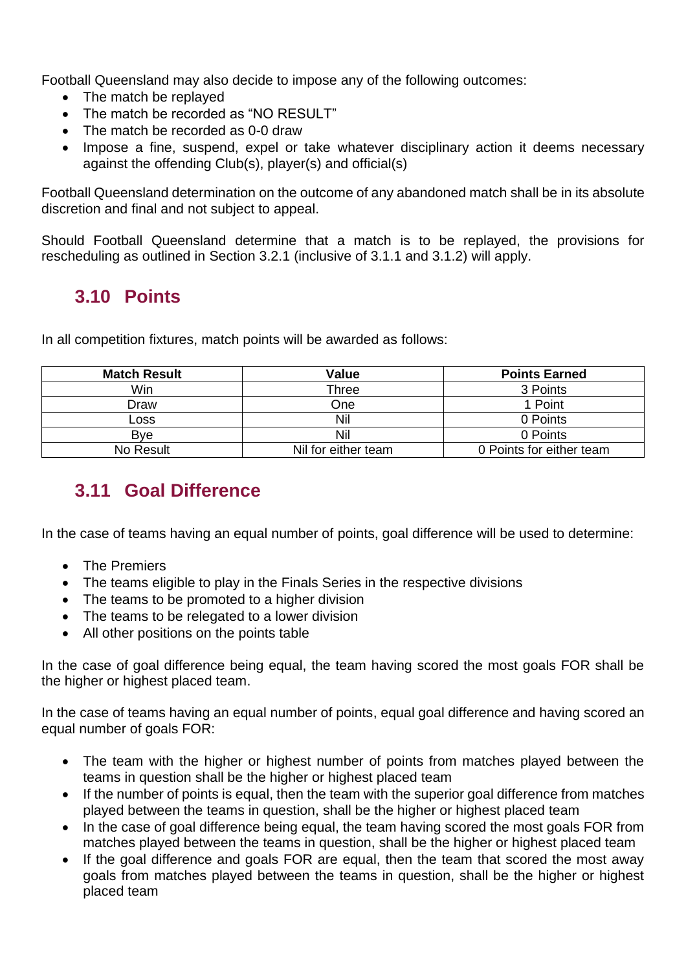Football Queensland may also decide to impose any of the following outcomes:

- The match be replayed
- The match be recorded as "NO RESULT"
- The match be recorded as 0-0 draw
- Impose a fine, suspend, expel or take whatever disciplinary action it deems necessary against the offending Club(s), player(s) and official(s)

Football Queensland determination on the outcome of any abandoned match shall be in its absolute discretion and final and not subject to appeal.

Should Football Queensland determine that a match is to be replayed, the provisions for rescheduling as outlined in Section 3.2.1 (inclusive of 3.1.1 and 3.1.2) will apply.

### <span id="page-20-0"></span>**3.10 Points**

In all competition fixtures, match points will be awarded as follows:

| <b>Match Result</b> | <b>Value</b>        | <b>Points Earned</b>     |
|---------------------|---------------------|--------------------------|
| Win                 | Three               | 3 Points                 |
| Draw                | One                 | 1 Point                  |
| Loss                | Nil                 | 0 Points                 |
| <b>B</b> ve         | Nil                 | 0 Points                 |
| No Result           | Nil for either team | 0 Points for either team |

### <span id="page-20-1"></span>**3.11 Goal Difference**

In the case of teams having an equal number of points, goal difference will be used to determine:

- The Premiers
- The teams eligible to play in the Finals Series in the respective divisions
- The teams to be promoted to a higher division
- The teams to be relegated to a lower division
- All other positions on the points table

In the case of goal difference being equal, the team having scored the most goals FOR shall be the higher or highest placed team.

In the case of teams having an equal number of points, equal goal difference and having scored an equal number of goals FOR:

- The team with the higher or highest number of points from matches played between the teams in question shall be the higher or highest placed team
- If the number of points is equal, then the team with the superior goal difference from matches played between the teams in question, shall be the higher or highest placed team
- In the case of goal difference being equal, the team having scored the most goals FOR from matches played between the teams in question, shall be the higher or highest placed team
- If the goal difference and goals FOR are equal, then the team that scored the most away goals from matches played between the teams in question, shall be the higher or highest placed team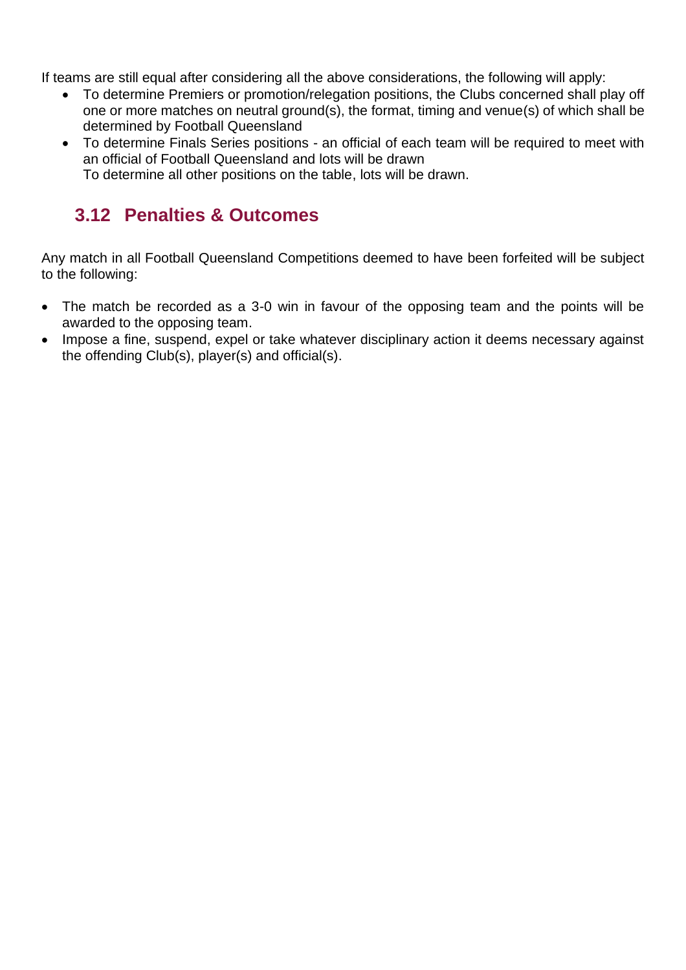If teams are still equal after considering all the above considerations, the following will apply:

- To determine Premiers or promotion/relegation positions, the Clubs concerned shall play off one or more matches on neutral ground(s), the format, timing and venue(s) of which shall be determined by Football Queensland
- To determine Finals Series positions an official of each team will be required to meet with an official of Football Queensland and lots will be drawn

#### To determine all other positions on the table, lots will be drawn.

### <span id="page-21-0"></span>**3.12 Penalties & Outcomes**

Any match in all Football Queensland Competitions deemed to have been forfeited will be subject to the following:

- The match be recorded as a 3-0 win in favour of the opposing team and the points will be awarded to the opposing team.
- Impose a fine, suspend, expel or take whatever disciplinary action it deems necessary against the offending Club(s), player(s) and official(s).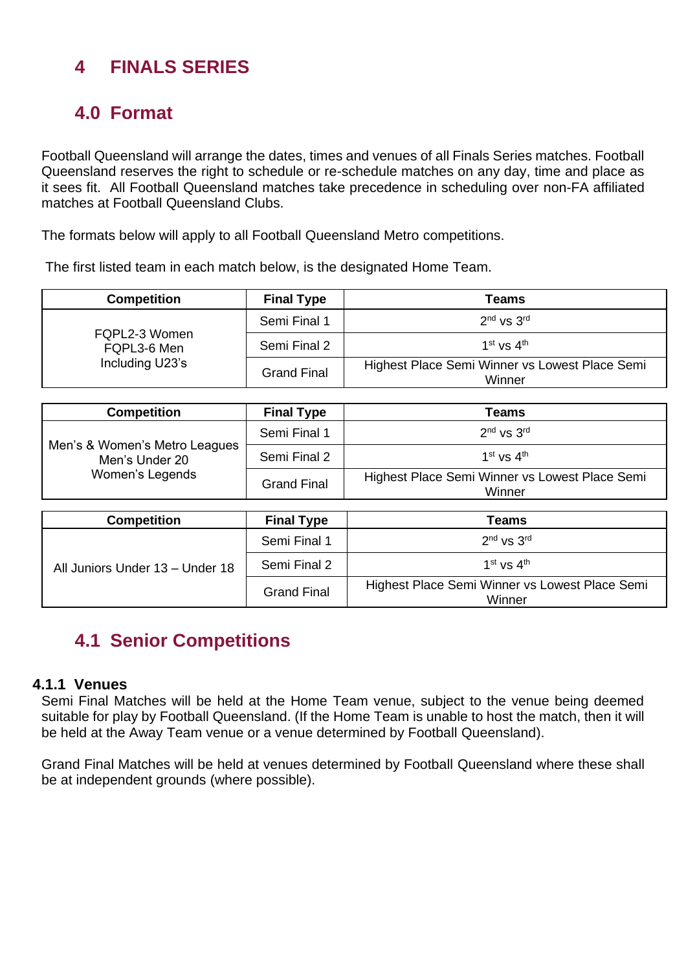### <span id="page-22-0"></span>**4 FINALS SERIES**

### <span id="page-22-1"></span>**4.0 Format**

Football Queensland will arrange the dates, times and venues of all Finals Series matches. Football Queensland reserves the right to schedule or re-schedule matches on any day, time and place as it sees fit. All Football Queensland matches take precedence in scheduling over non-FA affiliated matches at Football Queensland Clubs.

The formats below will apply to all Football Queensland Metro competitions.

The first listed team in each match below, is the designated Home Team.

| <b>Competition</b>           | <b>Final Type</b>  | Teams                                                    |
|------------------------------|--------------------|----------------------------------------------------------|
|                              | Semi Final 1       | $2nd$ vs $3rd$                                           |
| FQPL2-3 Women<br>FQPL3-6 Men | Semi Final 2       | 1 <sup>st</sup> vs $4^{\text{th}}$                       |
| Including U23's              | <b>Grand Final</b> | Highest Place Semi Winner vs Lowest Place Semi<br>Winner |

| <b>Competition</b>                              | <b>Final Type</b>  | Teams                                                    |
|-------------------------------------------------|--------------------|----------------------------------------------------------|
|                                                 | Semi Final 1       | $2nd$ vs $3rd$                                           |
| Men's & Women's Metro Leagues<br>Men's Under 20 | Semi Final 2       | $1st$ vs $4th$                                           |
| Women's Legends                                 | <b>Grand Final</b> | Highest Place Semi Winner vs Lowest Place Semi<br>Winner |
|                                                 |                    |                                                          |
| <b>Competition</b>                              | <b>Final Type</b>  | Teams                                                    |
|                                                 | Semi Final 1       | $2nd$ vs $3rd$                                           |
| All Juniors Under 13 - Under 18                 | Semi Final 2       | $1st$ vs $4th$                                           |
|                                                 | <b>Grand Final</b> | Highest Place Semi Winner vs Lowest Place Semi<br>Winner |

### <span id="page-22-2"></span>**4.1 Senior Competitions**

#### **4.1.1 Venues**

<span id="page-22-3"></span>Semi Final Matches will be held at the Home Team venue, subject to the venue being deemed suitable for play by Football Queensland. (If the Home Team is unable to host the match, then it will be held at the Away Team venue or a venue determined by Football Queensland).

Grand Final Matches will be held at venues determined by Football Queensland where these shall be at independent grounds (where possible).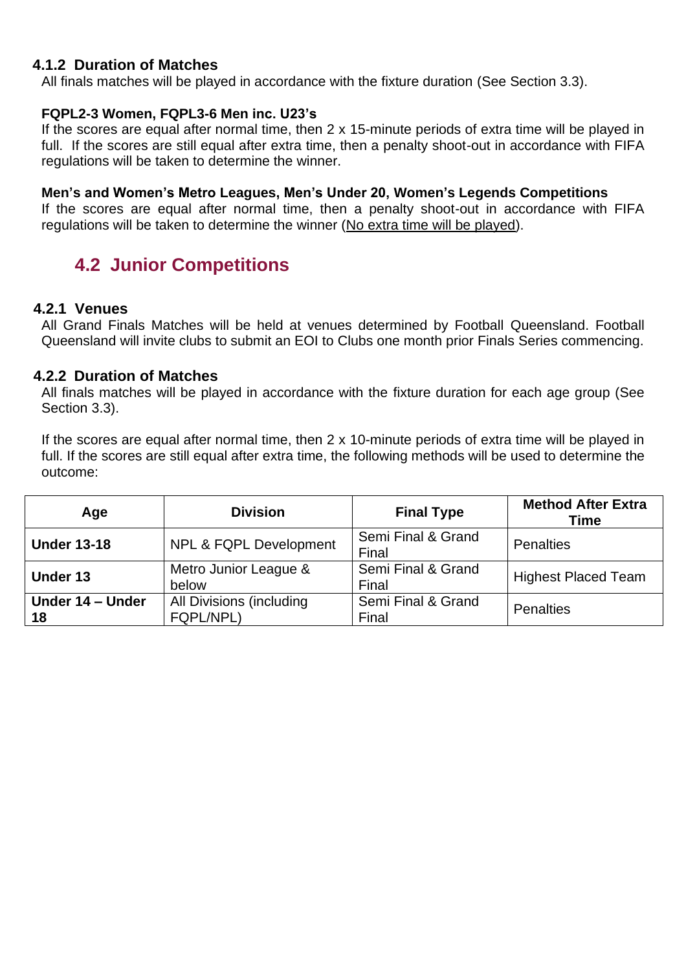#### <span id="page-23-0"></span>**4.1.2 Duration of Matches**

All finals matches will be played in accordance with the fixture duration (See Section 3.3).

#### **FQPL2-3 Women, FQPL3-6 Men inc. U23's**

If the scores are equal after normal time, then 2 x 15-minute periods of extra time will be played in full. If the scores are still equal after extra time, then a penalty shoot-out in accordance with FIFA regulations will be taken to determine the winner.

#### **Men's and Women's Metro Leagues, Men's Under 20, Women's Legends Competitions**

If the scores are equal after normal time, then a penalty shoot-out in accordance with FIFA regulations will be taken to determine the winner (No extra time will be played).

### <span id="page-23-1"></span>**4.2 Junior Competitions**

#### **4.2.1 Venues**

<span id="page-23-2"></span>All Grand Finals Matches will be held at venues determined by Football Queensland. Football Queensland will invite clubs to submit an EOI to Clubs one month prior Finals Series commencing.

#### <span id="page-23-3"></span>**4.2.2 Duration of Matches**

All finals matches will be played in accordance with the fixture duration for each age group (See Section 3.3).

If the scores are equal after normal time, then 2 x 10-minute periods of extra time will be played in full. If the scores are still equal after extra time, the following methods will be used to determine the outcome:

| Age                    | <b>Division</b>                       | <b>Final Type</b>           | <b>Method After Extra</b><br><b>Time</b> |  |
|------------------------|---------------------------------------|-----------------------------|------------------------------------------|--|
| <b>Under 13-18</b>     | <b>NPL &amp; FQPL Development</b>     | Semi Final & Grand<br>Final | Penalties                                |  |
| <b>Under 13</b>        | Metro Junior League &<br>below        | Semi Final & Grand<br>Final | <b>Highest Placed Team</b>               |  |
| Under 14 - Under<br>18 | All Divisions (including<br>FQPL/NPL) | Semi Final & Grand<br>Final | <b>Penalties</b>                         |  |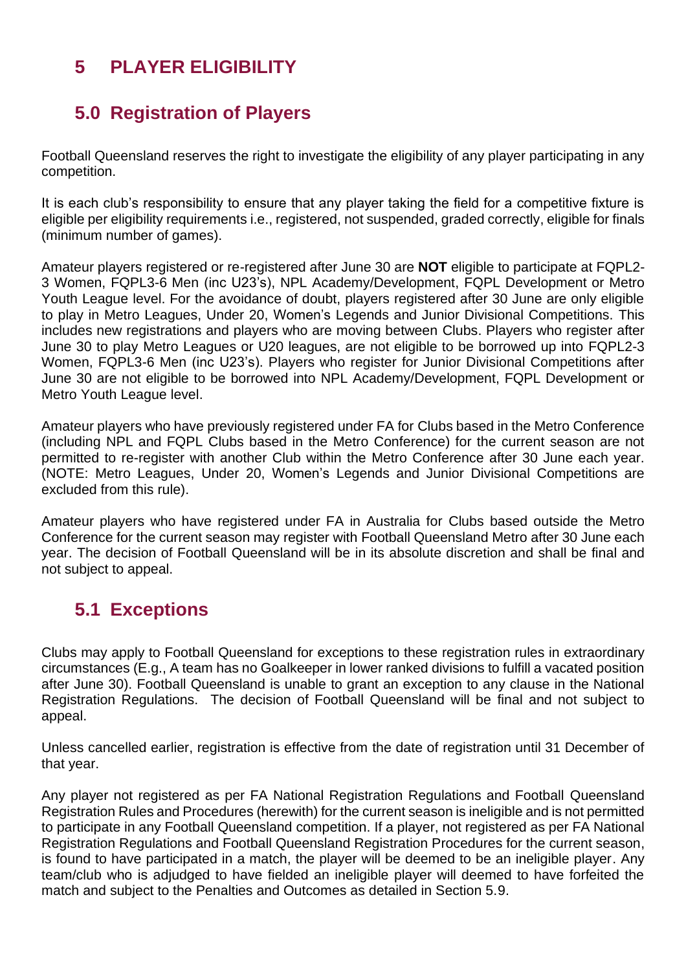### <span id="page-24-0"></span>**5 PLAYER ELIGIBILITY**

### <span id="page-24-1"></span>**5.0 Registration of Players**

Football Queensland reserves the right to investigate the eligibility of any player participating in any competition.

It is each club's responsibility to ensure that any player taking the field for a competitive fixture is eligible per eligibility requirements i.e., registered, not suspended, graded correctly, eligible for finals (minimum number of games).

Amateur players registered or re-registered after June 30 are **NOT** eligible to participate at FQPL2- 3 Women, FQPL3-6 Men (inc U23's), NPL Academy/Development, FQPL Development or Metro Youth League level. For the avoidance of doubt, players registered after 30 June are only eligible to play in Metro Leagues, Under 20, Women's Legends and Junior Divisional Competitions. This includes new registrations and players who are moving between Clubs. Players who register after June 30 to play Metro Leagues or U20 leagues, are not eligible to be borrowed up into FQPL2-3 Women, FQPL3-6 Men (inc U23's). Players who register for Junior Divisional Competitions after June 30 are not eligible to be borrowed into NPL Academy/Development, FQPL Development or Metro Youth League level.

Amateur players who have previously registered under FA for Clubs based in the Metro Conference (including NPL and FQPL Clubs based in the Metro Conference) for the current season are not permitted to re-register with another Club within the Metro Conference after 30 June each year. (NOTE: Metro Leagues, Under 20, Women's Legends and Junior Divisional Competitions are excluded from this rule).

Amateur players who have registered under FA in Australia for Clubs based outside the Metro Conference for the current season may register with Football Queensland Metro after 30 June each year. The decision of Football Queensland will be in its absolute discretion and shall be final and not subject to appeal.

### <span id="page-24-2"></span>**5.1 Exceptions**

Clubs may apply to Football Queensland for exceptions to these registration rules in extraordinary circumstances (E.g., A team has no Goalkeeper in lower ranked divisions to fulfill a vacated position after June 30). Football Queensland is unable to grant an exception to any clause in the National Registration Regulations. The decision of Football Queensland will be final and not subject to appeal.

Unless cancelled earlier, registration is effective from the date of registration until 31 December of that year.

Any player not registered as per FA National Registration Regulations and Football Queensland Registration Rules and Procedures (herewith) for the current season is ineligible and is not permitted to participate in any Football Queensland competition. If a player, not registered as per FA National Registration Regulations and Football Queensland Registration Procedures for the current season, is found to have participated in a match, the player will be deemed to be an ineligible player. Any team/club who is adjudged to have fielded an ineligible player will deemed to have forfeited the match and subject to the Penalties and Outcomes as detailed in Section 5.9.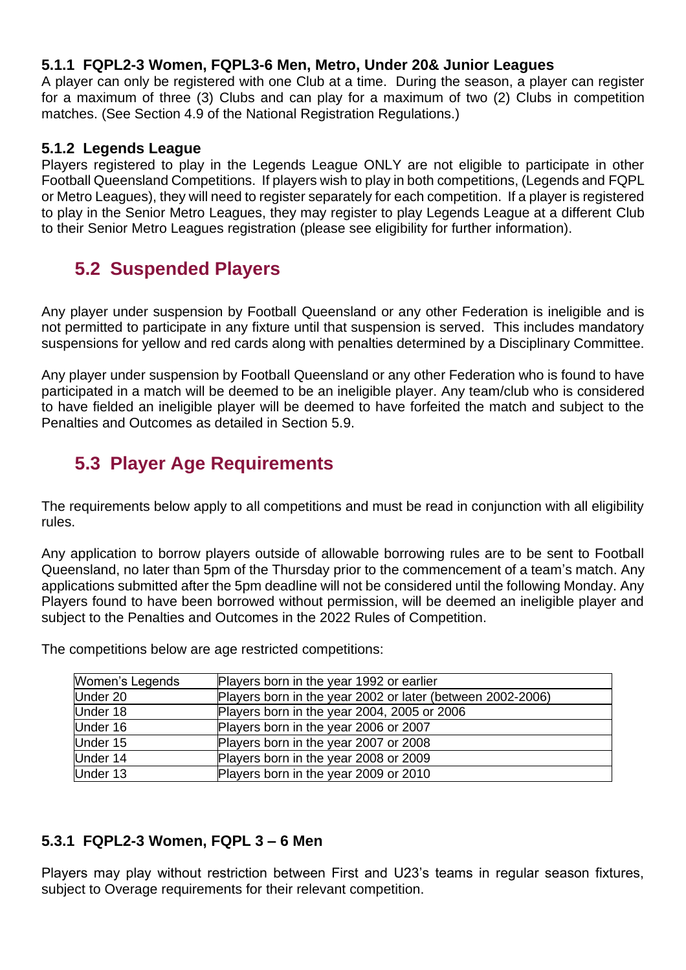#### <span id="page-25-0"></span>**5.1.1 FQPL2-3 Women, FQPL3-6 Men, Metro, Under 20& Junior Leagues**

A player can only be registered with one Club at a time. During the season, a player can register for a maximum of three (3) Clubs and can play for a maximum of two (2) Clubs in competition matches. (See Section 4.9 of the National Registration Regulations.)

#### <span id="page-25-1"></span>**5.1.2 Legends League**

Players registered to play in the Legends League ONLY are not eligible to participate in other Football Queensland Competitions. If players wish to play in both competitions, (Legends and FQPL or Metro Leagues), they will need to register separately for each competition. If a player is registered to play in the Senior Metro Leagues, they may register to play Legends League at a different Club to their Senior Metro Leagues registration (please see eligibility for further information).

### <span id="page-25-2"></span>**5.2 Suspended Players**

Any player under suspension by Football Queensland or any other Federation is ineligible and is not permitted to participate in any fixture until that suspension is served. This includes mandatory suspensions for yellow and red cards along with penalties determined by a Disciplinary Committee.

Any player under suspension by Football Queensland or any other Federation who is found to have participated in a match will be deemed to be an ineligible player. Any team/club who is considered to have fielded an ineligible player will be deemed to have forfeited the match and subject to the Penalties and Outcomes as detailed in Section 5.9.

### <span id="page-25-3"></span>**5.3 Player Age Requirements**

The requirements below apply to all competitions and must be read in conjunction with all eligibility rules.

Any application to borrow players outside of allowable borrowing rules are to be sent to Football Queensland, no later than 5pm of the Thursday prior to the commencement of a team's match. Any applications submitted after the 5pm deadline will not be considered until the following Monday. Any Players found to have been borrowed without permission, will be deemed an ineligible player and subject to the Penalties and Outcomes in the 2022 Rules of Competition.

The competitions below are age restricted competitions:

| Women's Legends | Players born in the year 1992 or earlier                   |
|-----------------|------------------------------------------------------------|
| Under 20        | Players born in the year 2002 or later (between 2002-2006) |
| Under 18        | Players born in the year 2004, 2005 or 2006                |
| Under 16        | Players born in the year 2006 or 2007                      |
| Under 15        | Players born in the year 2007 or 2008                      |
| Under 14        | Players born in the year 2008 or 2009                      |
| Under 13        | Players born in the year 2009 or 2010                      |
|                 |                                                            |

#### <span id="page-25-4"></span>**5.3.1 FQPL2-3 Women, FQPL 3 – 6 Men**

Players may play without restriction between First and U23's teams in regular season fixtures, subject to Overage requirements for their relevant competition.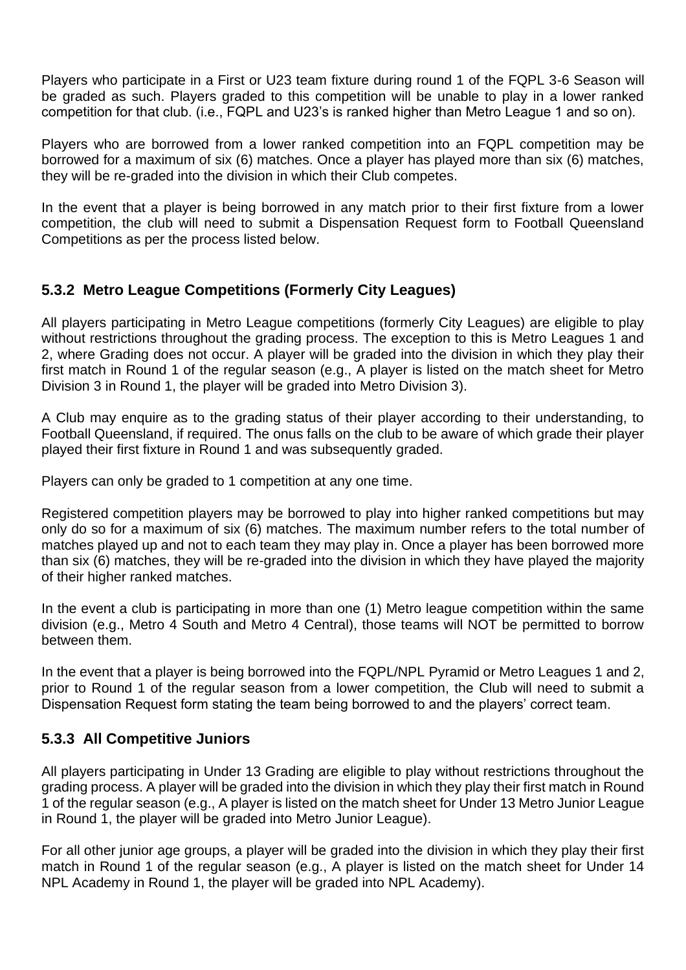Players who participate in a First or U23 team fixture during round 1 of the FQPL 3-6 Season will be graded as such. Players graded to this competition will be unable to play in a lower ranked competition for that club. (i.e., FQPL and U23's is ranked higher than Metro League 1 and so on).

Players who are borrowed from a lower ranked competition into an FQPL competition may be borrowed for a maximum of six (6) matches. Once a player has played more than six (6) matches, they will be re-graded into the division in which their Club competes.

In the event that a player is being borrowed in any match prior to their first fixture from a lower competition, the club will need to submit a Dispensation Request form to Football Queensland Competitions as per the process listed below.

#### <span id="page-26-0"></span>**5.3.2 Metro League Competitions (Formerly City Leagues)**

All players participating in Metro League competitions (formerly City Leagues) are eligible to play without restrictions throughout the grading process. The exception to this is Metro Leagues 1 and 2, where Grading does not occur. A player will be graded into the division in which they play their first match in Round 1 of the regular season (e.g., A player is listed on the match sheet for Metro Division 3 in Round 1, the player will be graded into Metro Division 3).

A Club may enquire as to the grading status of their player according to their understanding, to Football Queensland, if required. The onus falls on the club to be aware of which grade their player played their first fixture in Round 1 and was subsequently graded.

Players can only be graded to 1 competition at any one time.

Registered competition players may be borrowed to play into higher ranked competitions but may only do so for a maximum of six (6) matches. The maximum number refers to the total number of matches played up and not to each team they may play in. Once a player has been borrowed more than six (6) matches, they will be re-graded into the division in which they have played the majority of their higher ranked matches.

In the event a club is participating in more than one (1) Metro league competition within the same division (e.g., Metro 4 South and Metro 4 Central), those teams will NOT be permitted to borrow between them.

In the event that a player is being borrowed into the FQPL/NPL Pyramid or Metro Leagues 1 and 2, prior to Round 1 of the regular season from a lower competition, the Club will need to submit a Dispensation Request form stating the team being borrowed to and the players' correct team.

#### <span id="page-26-1"></span>**5.3.3 All Competitive Juniors**

All players participating in Under 13 Grading are eligible to play without restrictions throughout the grading process. A player will be graded into the division in which they play their first match in Round 1 of the regular season (e.g., A player is listed on the match sheet for Under 13 Metro Junior League in Round 1, the player will be graded into Metro Junior League).

For all other junior age groups, a player will be graded into the division in which they play their first match in Round 1 of the regular season (e.g., A player is listed on the match sheet for Under 14 NPL Academy in Round 1, the player will be graded into NPL Academy).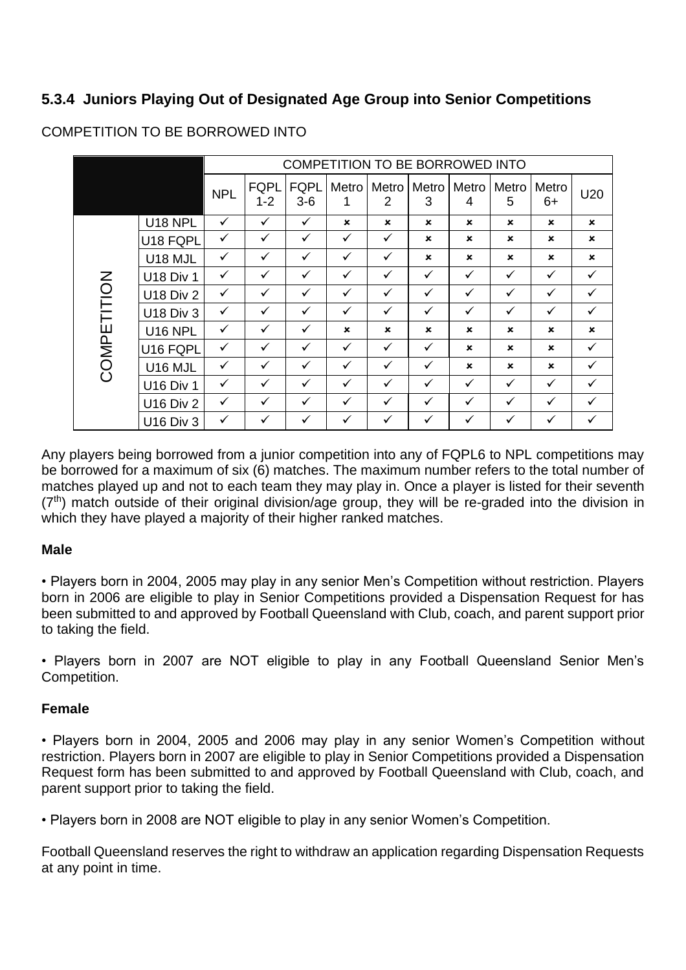#### <span id="page-27-0"></span>**5.3.4 Juniors Playing Out of Designated Age Group into Senior Competitions**

|             |                  | COMPETITION TO BE BORROWED INTO |                        |                      |                           |                         |                |                           |                |               |                |
|-------------|------------------|---------------------------------|------------------------|----------------------|---------------------------|-------------------------|----------------|---------------------------|----------------|---------------|----------------|
|             |                  | <b>NPL</b>                      | <b>FQPL</b><br>$1 - 2$ | <b>FQPL</b><br>$3-6$ | Metro<br>1                | Metro<br>$\overline{2}$ | Metro<br>3     | Metro<br>4                | Metro<br>5     | Metro<br>$6+$ | U20            |
|             | <b>U18 NPL</b>   | $\checkmark$                    | $\checkmark$           | $\checkmark$         | $\boldsymbol{\mathsf{x}}$ | $\mathbf x$             | $\mathbf x$    | $\mathbf x$               | $\mathbf x$    | $\mathbf x$   | $\mathbf x$    |
|             | U18 FQPL         | $\checkmark$                    | ✓                      | $\checkmark$         | $\checkmark$              | ✓                       | $\pmb{\times}$ | $\boldsymbol{\mathsf{x}}$ | ×              | ×             | $\pmb{\times}$ |
|             | U18 MJL          | $\checkmark$                    | ✓                      | $\checkmark$         | $\checkmark$              | $\checkmark$            | $\mathbf x$    | $\boldsymbol{\mathsf{x}}$ | $\mathbf x$    | $\mathbf{x}$  | $\mathbf x$    |
|             | <b>U18 Div 1</b> | $\checkmark$                    | ✓                      | $\checkmark$         | $\checkmark$              | $\checkmark$            | $\checkmark$   | $\checkmark$              | $\checkmark$   | $\checkmark$  | $\checkmark$   |
|             | <b>U18 Div 2</b> | $\checkmark$                    | ✓                      | $\checkmark$         | $\checkmark$              | $\checkmark$            | $\checkmark$   | $\checkmark$              | $\checkmark$   | $\checkmark$  | $\checkmark$   |
| COMPETITION | <b>U18 Div 3</b> | $\checkmark$                    | ✓                      | $\checkmark$         | $\checkmark$              | $\checkmark$            | $\checkmark$   | $\checkmark$              | $\checkmark$   | $\checkmark$  | $\checkmark$   |
|             | U16 NPL          | $\checkmark$                    | ✓                      | $\checkmark$         | $\boldsymbol{\mathsf{x}}$ | $\mathbf x$             | $\mathbf x$    | $\boldsymbol{\mathsf{x}}$ | $\mathbf x$    | $\mathbf x$   | $\pmb{\times}$ |
|             | U16 FQPL         | $\checkmark$                    | ✓                      | $\checkmark$         | $\checkmark$              | $\checkmark$            | $\checkmark$   | $\boldsymbol{\mathsf{x}}$ | $\mathbf x$    | $\mathbf x$   | $\checkmark$   |
|             | U16 MJL          | $\checkmark$                    | ✓                      | $\checkmark$         | $\checkmark$              | $\checkmark$            | $\checkmark$   | $\boldsymbol{\mathsf{x}}$ | $\pmb{\times}$ | ×             | $\checkmark$   |
|             | <b>U16 Div 1</b> | $\checkmark$                    | ✓                      | $\checkmark$         | $\checkmark$              | ✓                       | $\checkmark$   | $\checkmark$              | $\checkmark$   | $\checkmark$  | $\checkmark$   |
|             | <b>U16 Div 2</b> | $\checkmark$                    | ✓                      | $\checkmark$         | $\checkmark$              | $\checkmark$            | $\checkmark$   | $\checkmark$              | ✓              | $\checkmark$  | $\checkmark$   |
|             | <b>U16 Div 3</b> | $\checkmark$                    | $\checkmark$           | $\checkmark$         | $\checkmark$              | $\checkmark$            | $\checkmark$   | $\checkmark$              | ✓              | $\checkmark$  | ✓              |

#### COMPETITION TO BE BORROWED INTO

Any players being borrowed from a junior competition into any of FQPL6 to NPL competitions may be borrowed for a maximum of six (6) matches. The maximum number refers to the total number of matches played up and not to each team they may play in. Once a player is listed for their seventh  $(7<sup>th</sup>)$  match outside of their original division/age group, they will be re-graded into the division in which they have played a majority of their higher ranked matches.

#### **Male**

• Players born in 2004, 2005 may play in any senior Men's Competition without restriction. Players born in 2006 are eligible to play in Senior Competitions provided a Dispensation Request for has been submitted to and approved by Football Queensland with Club, coach, and parent support prior to taking the field.

• Players born in 2007 are NOT eligible to play in any Football Queensland Senior Men's Competition.

#### **Female**

• Players born in 2004, 2005 and 2006 may play in any senior Women's Competition without restriction. Players born in 2007 are eligible to play in Senior Competitions provided a Dispensation Request form has been submitted to and approved by Football Queensland with Club, coach, and parent support prior to taking the field.

• Players born in 2008 are NOT eligible to play in any senior Women's Competition.

Football Queensland reserves the right to withdraw an application regarding Dispensation Requests at any point in time.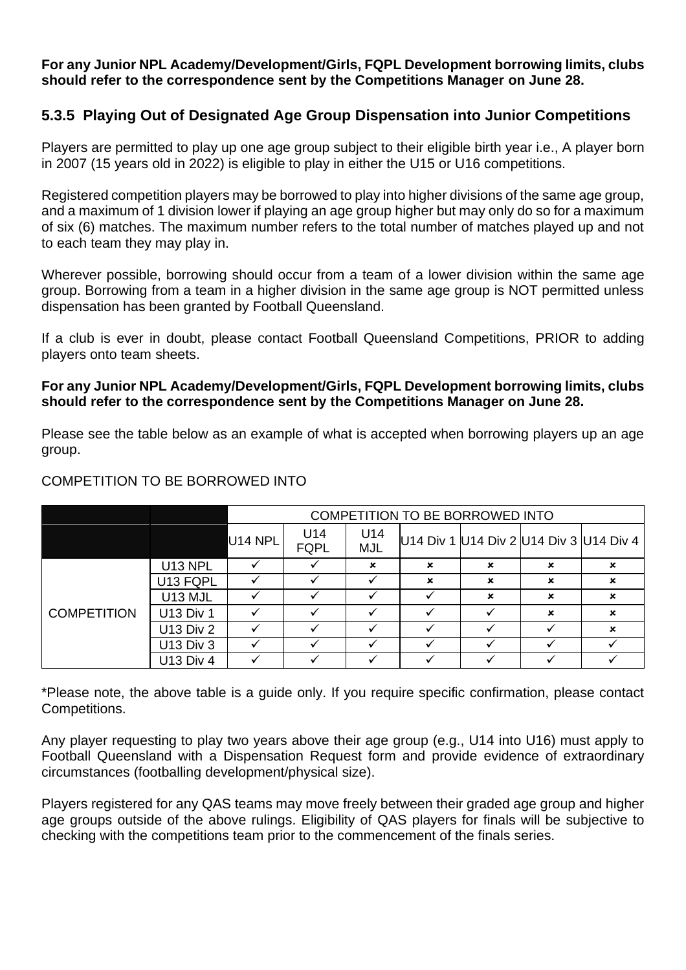#### **For any Junior NPL Academy/Development/Girls, FQPL Development borrowing limits, clubs should refer to the correspondence sent by the Competitions Manager on June 28.**

#### <span id="page-28-0"></span>**5.3.5 Playing Out of Designated Age Group Dispensation into Junior Competitions**

Players are permitted to play up one age group subject to their eligible birth year i.e., A player born in 2007 (15 years old in 2022) is eligible to play in either the U15 or U16 competitions.

Registered competition players may be borrowed to play into higher divisions of the same age group, and a maximum of 1 division lower if playing an age group higher but may only do so for a maximum of six (6) matches. The maximum number refers to the total number of matches played up and not to each team they may play in.

Wherever possible, borrowing should occur from a team of a lower division within the same age group. Borrowing from a team in a higher division in the same age group is NOT permitted unless dispensation has been granted by Football Queensland.

If a club is ever in doubt, please contact Football Queensland Competitions, PRIOR to adding players onto team sheets.

#### **For any Junior NPL Academy/Development/Girls, FQPL Development borrowing limits, clubs should refer to the correspondence sent by the Competitions Manager on June 28.**

Please see the table below as an example of what is accepted when borrowing players up an age group.

|                    |                  | COMPETITION TO BE BORROWED INTO |                    |                   |             |   |   |                                         |  |  |  |
|--------------------|------------------|---------------------------------|--------------------|-------------------|-------------|---|---|-----------------------------------------|--|--|--|
|                    |                  | U <sub>14</sub> NPL             | U14<br><b>FQPL</b> | U14<br><b>MJL</b> |             |   |   | U14 Div 1 U14 Div 2 U14 Div 3 U14 Div 4 |  |  |  |
|                    | U13 NPL          |                                 |                    | ×                 | $\mathbf x$ | × | × | $\boldsymbol{\mathsf{x}}$               |  |  |  |
|                    | U13 FQPL         |                                 |                    |                   | $\mathbf x$ | × | × | ×                                       |  |  |  |
|                    | U13 MJL          |                                 |                    |                   |             | × | × | $\boldsymbol{\mathsf{x}}$               |  |  |  |
| <b>COMPETITION</b> | <b>U13 Div 1</b> |                                 |                    |                   |             |   | × | ×                                       |  |  |  |
|                    | <b>U13 Div 2</b> |                                 |                    |                   |             |   |   | ×                                       |  |  |  |
|                    | <b>U13 Div 3</b> |                                 |                    |                   |             |   |   |                                         |  |  |  |
|                    | <b>U13 Div 4</b> |                                 |                    |                   |             |   |   |                                         |  |  |  |

#### COMPETITION TO BE BORROWED INTO

\*Please note, the above table is a guide only. If you require specific confirmation, please contact Competitions.

Any player requesting to play two years above their age group (e.g., U14 into U16) must apply to Football Queensland with a Dispensation Request form and provide evidence of extraordinary circumstances (footballing development/physical size).

Players registered for any QAS teams may move freely between their graded age group and higher age groups outside of the above rulings. Eligibility of QAS players for finals will be subjective to checking with the competitions team prior to the commencement of the finals series.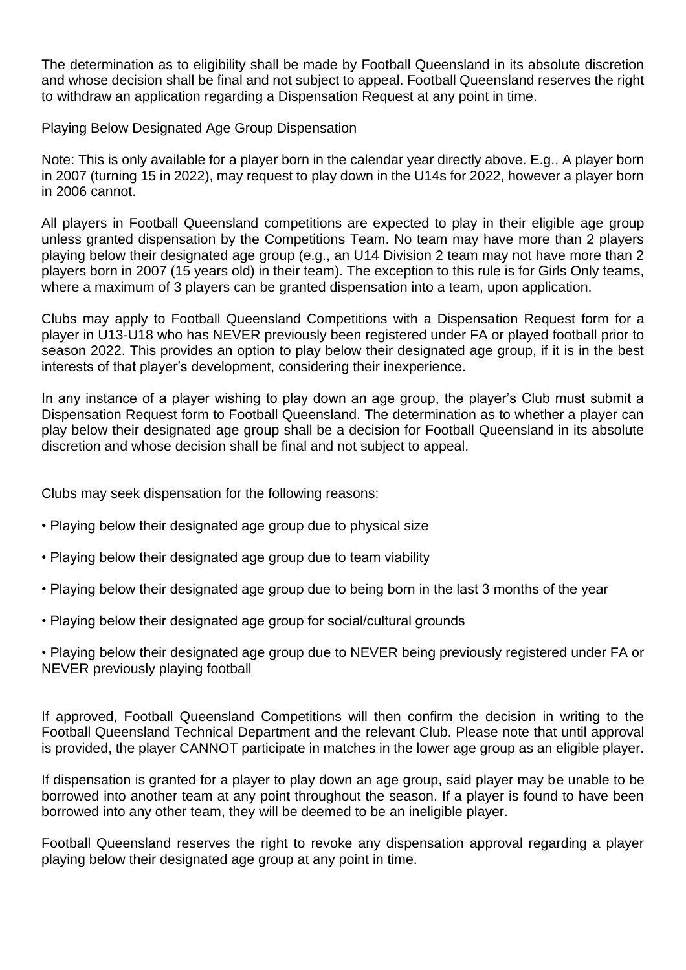The determination as to eligibility shall be made by Football Queensland in its absolute discretion and whose decision shall be final and not subject to appeal. Football Queensland reserves the right to withdraw an application regarding a Dispensation Request at any point in time.

Playing Below Designated Age Group Dispensation

Note: This is only available for a player born in the calendar year directly above. E.g., A player born in 2007 (turning 15 in 2022), may request to play down in the U14s for 2022, however a player born in 2006 cannot.

All players in Football Queensland competitions are expected to play in their eligible age group unless granted dispensation by the Competitions Team. No team may have more than 2 players playing below their designated age group (e.g., an U14 Division 2 team may not have more than 2 players born in 2007 (15 years old) in their team). The exception to this rule is for Girls Only teams, where a maximum of 3 players can be granted dispensation into a team, upon application.

Clubs may apply to Football Queensland Competitions with a Dispensation Request form for a player in U13-U18 who has NEVER previously been registered under FA or played football prior to season 2022. This provides an option to play below their designated age group, if it is in the best interests of that player's development, considering their inexperience.

In any instance of a player wishing to play down an age group, the player's Club must submit a Dispensation Request form to Football Queensland. The determination as to whether a player can play below their designated age group shall be a decision for Football Queensland in its absolute discretion and whose decision shall be final and not subject to appeal.

Clubs may seek dispensation for the following reasons:

- Playing below their designated age group due to physical size
- Playing below their designated age group due to team viability
- Playing below their designated age group due to being born in the last 3 months of the year
- Playing below their designated age group for social/cultural grounds
- Playing below their designated age group due to NEVER being previously registered under FA or NEVER previously playing football

If approved, Football Queensland Competitions will then confirm the decision in writing to the Football Queensland Technical Department and the relevant Club. Please note that until approval is provided, the player CANNOT participate in matches in the lower age group as an eligible player.

If dispensation is granted for a player to play down an age group, said player may be unable to be borrowed into another team at any point throughout the season. If a player is found to have been borrowed into any other team, they will be deemed to be an ineligible player.

Football Queensland reserves the right to revoke any dispensation approval regarding a player playing below their designated age group at any point in time.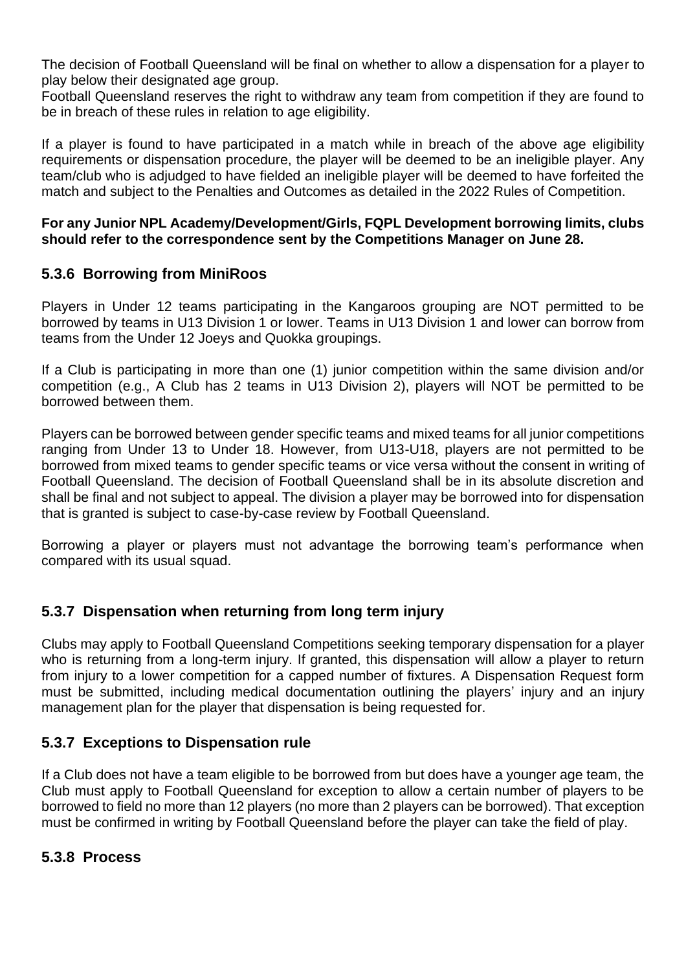The decision of Football Queensland will be final on whether to allow a dispensation for a player to play below their designated age group.

Football Queensland reserves the right to withdraw any team from competition if they are found to be in breach of these rules in relation to age eligibility.

If a player is found to have participated in a match while in breach of the above age eligibility requirements or dispensation procedure, the player will be deemed to be an ineligible player. Any team/club who is adjudged to have fielded an ineligible player will be deemed to have forfeited the match and subject to the Penalties and Outcomes as detailed in the 2022 Rules of Competition.

#### **For any Junior NPL Academy/Development/Girls, FQPL Development borrowing limits, clubs should refer to the correspondence sent by the Competitions Manager on June 28.**

#### <span id="page-30-0"></span>**5.3.6 Borrowing from MiniRoos**

Players in Under 12 teams participating in the Kangaroos grouping are NOT permitted to be borrowed by teams in U13 Division 1 or lower. Teams in U13 Division 1 and lower can borrow from teams from the Under 12 Joeys and Quokka groupings.

If a Club is participating in more than one (1) junior competition within the same division and/or competition (e.g., A Club has 2 teams in U13 Division 2), players will NOT be permitted to be borrowed between them.

Players can be borrowed between gender specific teams and mixed teams for all junior competitions ranging from Under 13 to Under 18. However, from U13-U18, players are not permitted to be borrowed from mixed teams to gender specific teams or vice versa without the consent in writing of Football Queensland. The decision of Football Queensland shall be in its absolute discretion and shall be final and not subject to appeal. The division a player may be borrowed into for dispensation that is granted is subject to case-by-case review by Football Queensland.

Borrowing a player or players must not advantage the borrowing team's performance when compared with its usual squad.

#### <span id="page-30-1"></span>**5.3.7 Dispensation when returning from long term injury**

Clubs may apply to Football Queensland Competitions seeking temporary dispensation for a player who is returning from a long-term injury. If granted, this dispensation will allow a player to return from injury to a lower competition for a capped number of fixtures. A Dispensation Request form must be submitted, including medical documentation outlining the players' injury and an injury management plan for the player that dispensation is being requested for.

#### <span id="page-30-2"></span>**5.3.7 Exceptions to Dispensation rule**

If a Club does not have a team eligible to be borrowed from but does have a younger age team, the Club must apply to Football Queensland for exception to allow a certain number of players to be borrowed to field no more than 12 players (no more than 2 players can be borrowed). That exception must be confirmed in writing by Football Queensland before the player can take the field of play.

#### <span id="page-30-3"></span>**5.3.8 Process**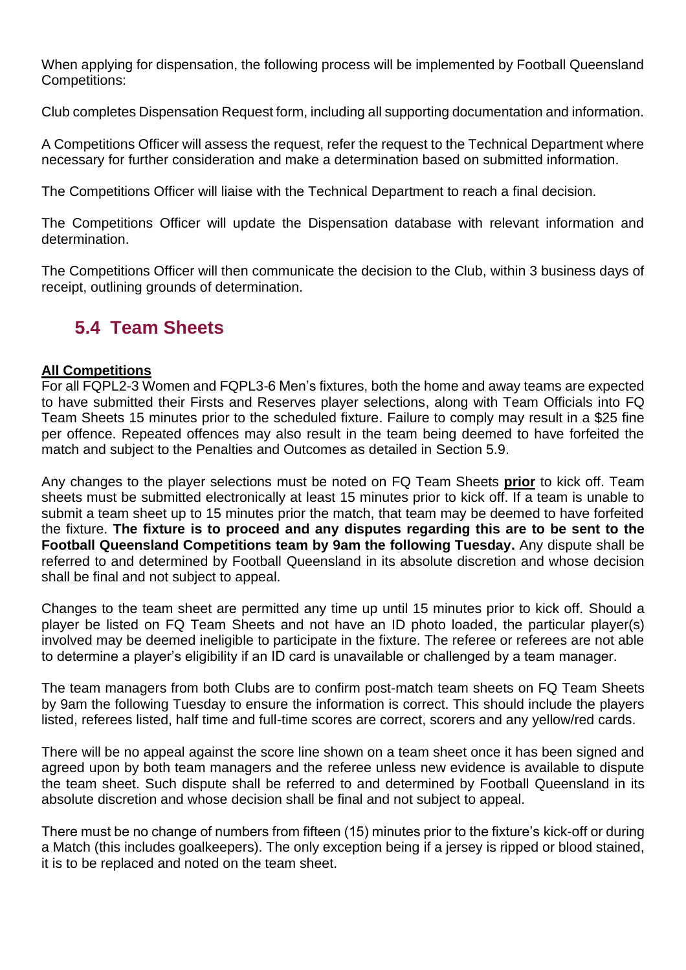When applying for dispensation, the following process will be implemented by Football Queensland Competitions:

Club completes Dispensation Request form, including all supporting documentation and information.

A Competitions Officer will assess the request, refer the request to the Technical Department where necessary for further consideration and make a determination based on submitted information.

The Competitions Officer will liaise with the Technical Department to reach a final decision.

The Competitions Officer will update the Dispensation database with relevant information and determination.

The Competitions Officer will then communicate the decision to the Club, within 3 business days of receipt, outlining grounds of determination.

### <span id="page-31-0"></span>**5.4 Team Sheets**

#### **All Competitions**

For all FQPL2-3 Women and FQPL3-6 Men's fixtures, both the home and away teams are expected to have submitted their Firsts and Reserves player selections, along with Team Officials into FQ Team Sheets 15 minutes prior to the scheduled fixture. Failure to comply may result in a \$25 fine per offence. Repeated offences may also result in the team being deemed to have forfeited the match and subject to the Penalties and Outcomes as detailed in Section 5.9.

Any changes to the player selections must be noted on FQ Team Sheets **prior** to kick off. Team sheets must be submitted electronically at least 15 minutes prior to kick off. If a team is unable to submit a team sheet up to 15 minutes prior the match, that team may be deemed to have forfeited the fixture. **The fixture is to proceed and any disputes regarding this are to be sent to the Football Queensland Competitions team by 9am the following Tuesday.** Any dispute shall be referred to and determined by Football Queensland in its absolute discretion and whose decision shall be final and not subject to appeal.

Changes to the team sheet are permitted any time up until 15 minutes prior to kick off. Should a player be listed on FQ Team Sheets and not have an ID photo loaded, the particular player(s) involved may be deemed ineligible to participate in the fixture. The referee or referees are not able to determine a player's eligibility if an ID card is unavailable or challenged by a team manager.

The team managers from both Clubs are to confirm post-match team sheets on FQ Team Sheets by 9am the following Tuesday to ensure the information is correct. This should include the players listed, referees listed, half time and full-time scores are correct, scorers and any yellow/red cards.

There will be no appeal against the score line shown on a team sheet once it has been signed and agreed upon by both team managers and the referee unless new evidence is available to dispute the team sheet. Such dispute shall be referred to and determined by Football Queensland in its absolute discretion and whose decision shall be final and not subject to appeal.

There must be no change of numbers from fifteen (15) minutes prior to the fixture's kick-off or during a Match (this includes goalkeepers). The only exception being if a jersey is ripped or blood stained, it is to be replaced and noted on the team sheet.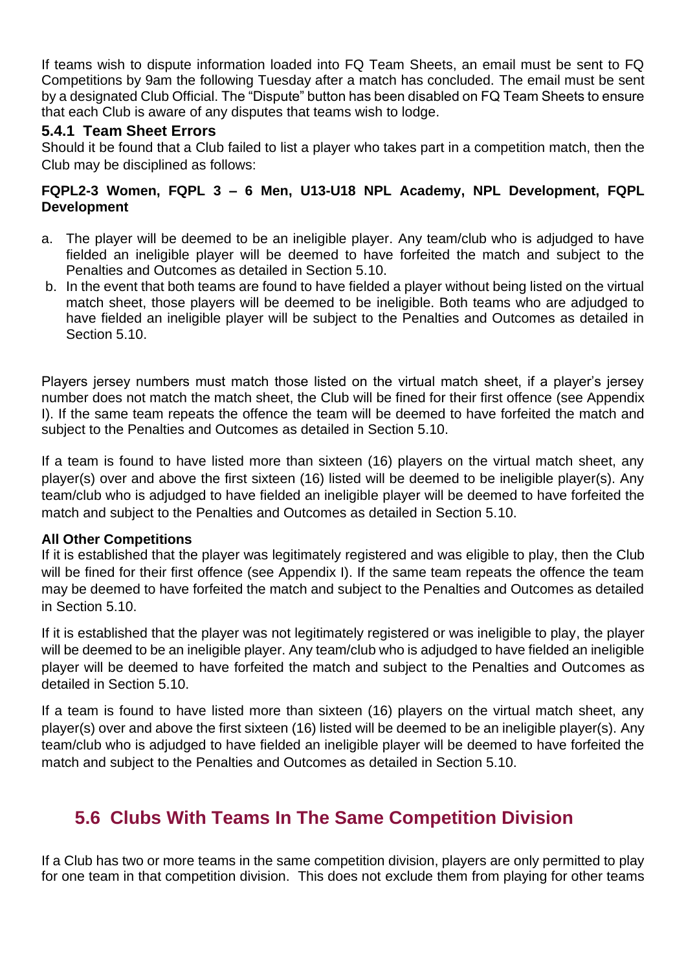If teams wish to dispute information loaded into FQ Team Sheets, an email must be sent to FQ Competitions by 9am the following Tuesday after a match has concluded. The email must be sent by a designated Club Official. The "Dispute" button has been disabled on FQ Team Sheets to ensure that each Club is aware of any disputes that teams wish to lodge.

#### <span id="page-32-0"></span>**5.4.1 Team Sheet Errors**

Should it be found that a Club failed to list a player who takes part in a competition match, then the Club may be disciplined as follows:

#### **FQPL2-3 Women, FQPL 3 – 6 Men, U13-U18 NPL Academy, NPL Development, FQPL Development**

- a. The player will be deemed to be an ineligible player. Any team/club who is adjudged to have fielded an ineligible player will be deemed to have forfeited the match and subject to the Penalties and Outcomes as detailed in Section 5.10.
- b. In the event that both teams are found to have fielded a player without being listed on the virtual match sheet, those players will be deemed to be ineligible. Both teams who are adjudged to have fielded an ineligible player will be subject to the Penalties and Outcomes as detailed in Section 5.10.

Players jersey numbers must match those listed on the virtual match sheet, if a player's jersey number does not match the match sheet, the Club will be fined for their first offence (see Appendix I). If the same team repeats the offence the team will be deemed to have forfeited the match and subject to the Penalties and Outcomes as detailed in Section 5.10.

If a team is found to have listed more than sixteen (16) players on the virtual match sheet, any player(s) over and above the first sixteen (16) listed will be deemed to be ineligible player(s). Any team/club who is adjudged to have fielded an ineligible player will be deemed to have forfeited the match and subject to the Penalties and Outcomes as detailed in Section 5.10.

#### **All Other Competitions**

If it is established that the player was legitimately registered and was eligible to play, then the Club will be fined for their first offence (see Appendix I). If the same team repeats the offence the team may be deemed to have forfeited the match and subject to the Penalties and Outcomes as detailed in Section 5.10.

If it is established that the player was not legitimately registered or was ineligible to play, the player will be deemed to be an ineligible player. Any team/club who is adjudged to have fielded an ineligible player will be deemed to have forfeited the match and subject to the Penalties and Outcomes as detailed in Section 5.10.

If a team is found to have listed more than sixteen (16) players on the virtual match sheet, any player(s) over and above the first sixteen (16) listed will be deemed to be an ineligible player(s). Any team/club who is adjudged to have fielded an ineligible player will be deemed to have forfeited the match and subject to the Penalties and Outcomes as detailed in Section 5.10.

### <span id="page-32-1"></span>**5.6 Clubs With Teams In The Same Competition Division**

If a Club has two or more teams in the same competition division, players are only permitted to play for one team in that competition division. This does not exclude them from playing for other teams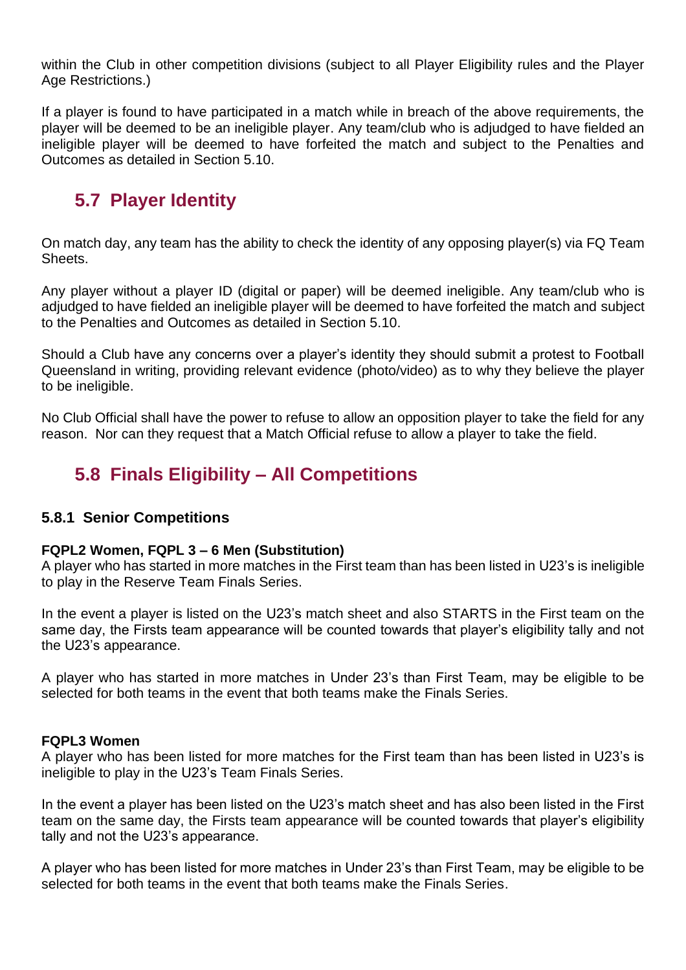within the Club in other competition divisions (subject to all Player Eligibility rules and the Player Age Restrictions.)

If a player is found to have participated in a match while in breach of the above requirements, the player will be deemed to be an ineligible player. Any team/club who is adjudged to have fielded an ineligible player will be deemed to have forfeited the match and subject to the Penalties and Outcomes as detailed in Section 5.10.

### <span id="page-33-0"></span>**5.7 Player Identity**

On match day, any team has the ability to check the identity of any opposing player(s) via FQ Team Sheets.

Any player without a player ID (digital or paper) will be deemed ineligible. Any team/club who is adjudged to have fielded an ineligible player will be deemed to have forfeited the match and subject to the Penalties and Outcomes as detailed in Section 5.10.

Should a Club have any concerns over a player's identity they should submit a protest to Football Queensland in writing, providing relevant evidence (photo/video) as to why they believe the player to be ineligible.

No Club Official shall have the power to refuse to allow an opposition player to take the field for any reason. Nor can they request that a Match Official refuse to allow a player to take the field.

### <span id="page-33-1"></span>**5.8 Finals Eligibility – All Competitions**

#### <span id="page-33-2"></span>**5.8.1 Senior Competitions**

#### **FQPL2 Women, FQPL 3 – 6 Men (Substitution)**

A player who has started in more matches in the First team than has been listed in U23's is ineligible to play in the Reserve Team Finals Series.

In the event a player is listed on the U23's match sheet and also STARTS in the First team on the same day, the Firsts team appearance will be counted towards that player's eligibility tally and not the U23's appearance.

A player who has started in more matches in Under 23's than First Team, may be eligible to be selected for both teams in the event that both teams make the Finals Series.

#### **FQPL3 Women**

A player who has been listed for more matches for the First team than has been listed in U23's is ineligible to play in the U23's Team Finals Series.

In the event a player has been listed on the U23's match sheet and has also been listed in the First team on the same day, the Firsts team appearance will be counted towards that player's eligibility tally and not the U23's appearance.

A player who has been listed for more matches in Under 23's than First Team, may be eligible to be selected for both teams in the event that both teams make the Finals Series.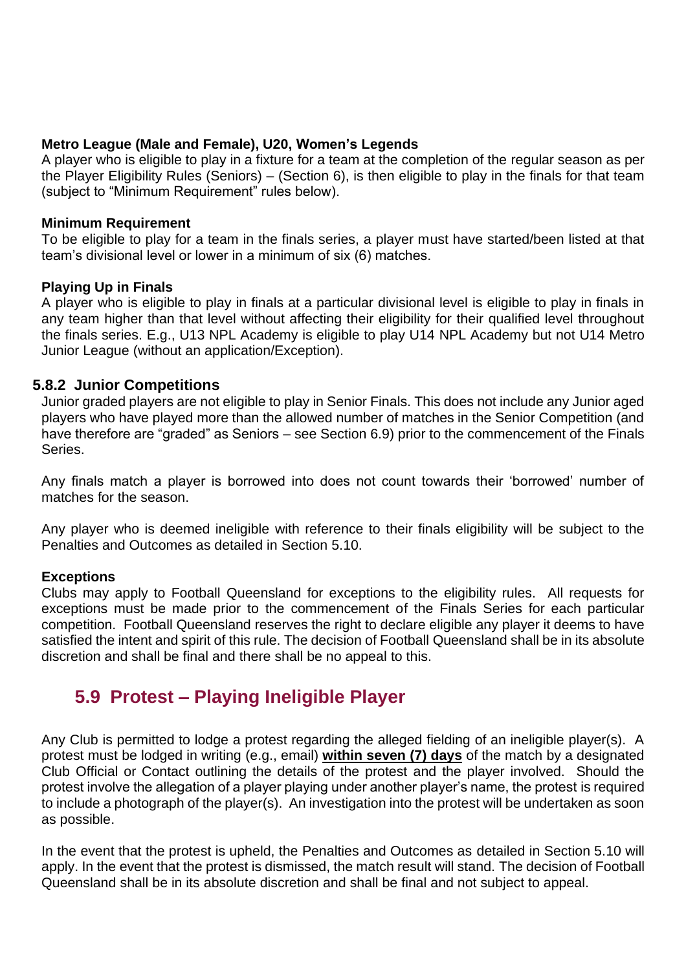#### **Metro League (Male and Female), U20, Women's Legends**

A player who is eligible to play in a fixture for a team at the completion of the regular season as per the Player Eligibility Rules (Seniors) – (Section 6), is then eligible to play in the finals for that team (subject to "Minimum Requirement" rules below).

#### **Minimum Requirement**

To be eligible to play for a team in the finals series, a player must have started/been listed at that team's divisional level or lower in a minimum of six (6) matches.

#### **Playing Up in Finals**

A player who is eligible to play in finals at a particular divisional level is eligible to play in finals in any team higher than that level without affecting their eligibility for their qualified level throughout the finals series. E.g., U13 NPL Academy is eligible to play U14 NPL Academy but not U14 Metro Junior League (without an application/Exception).

#### <span id="page-34-0"></span>**5.8.2 Junior Competitions**

Junior graded players are not eligible to play in Senior Finals. This does not include any Junior aged players who have played more than the allowed number of matches in the Senior Competition (and have therefore are "graded" as Seniors – see Section 6.9) prior to the commencement of the Finals Series.

Any finals match a player is borrowed into does not count towards their 'borrowed' number of matches for the season.

Any player who is deemed ineligible with reference to their finals eligibility will be subject to the Penalties and Outcomes as detailed in Section 5.10.

#### **Exceptions**

Clubs may apply to Football Queensland for exceptions to the eligibility rules. All requests for exceptions must be made prior to the commencement of the Finals Series for each particular competition. Football Queensland reserves the right to declare eligible any player it deems to have satisfied the intent and spirit of this rule. The decision of Football Queensland shall be in its absolute discretion and shall be final and there shall be no appeal to this.

### <span id="page-34-1"></span>**5.9 Protest – Playing Ineligible Player**

Any Club is permitted to lodge a protest regarding the alleged fielding of an ineligible player(s). A protest must be lodged in writing (e.g., email) **within seven (7) days** of the match by a designated Club Official or Contact outlining the details of the protest and the player involved. Should the protest involve the allegation of a player playing under another player's name, the protest is required to include a photograph of the player(s). An investigation into the protest will be undertaken as soon as possible.

In the event that the protest is upheld, the Penalties and Outcomes as detailed in Section 5.10 will apply. In the event that the protest is dismissed, the match result will stand. The decision of Football Queensland shall be in its absolute discretion and shall be final and not subject to appeal.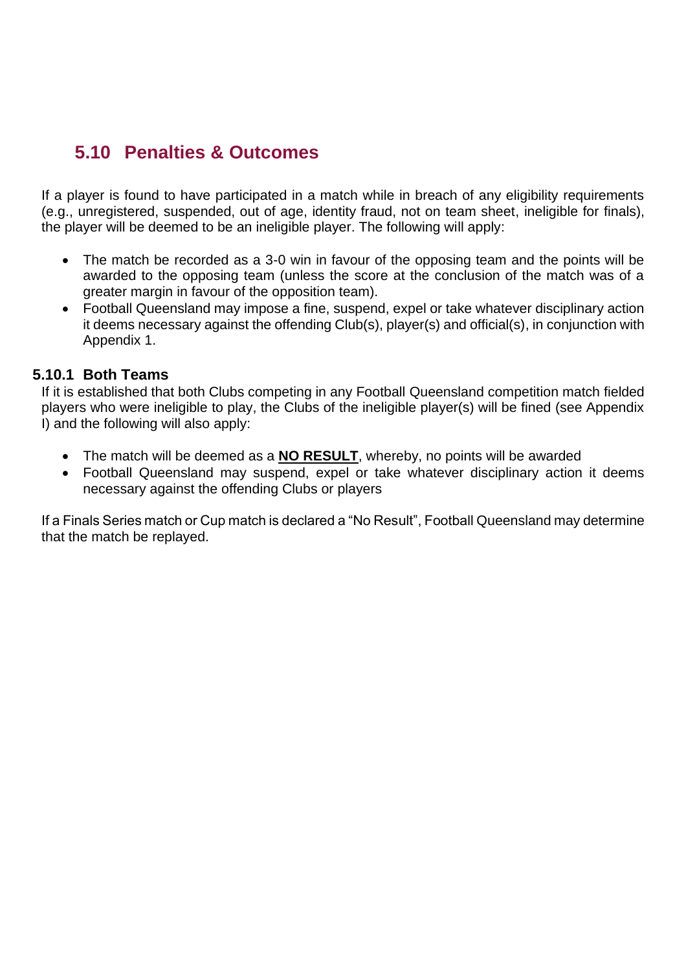### <span id="page-35-0"></span>**5.10 Penalties & Outcomes**

If a player is found to have participated in a match while in breach of any eligibility requirements (e.g., unregistered, suspended, out of age, identity fraud, not on team sheet, ineligible for finals), the player will be deemed to be an ineligible player. The following will apply:

- The match be recorded as a 3-0 win in favour of the opposing team and the points will be awarded to the opposing team (unless the score at the conclusion of the match was of a greater margin in favour of the opposition team).
- Football Queensland may impose a fine, suspend, expel or take whatever disciplinary action it deems necessary against the offending Club(s), player(s) and official(s), in conjunction with Appendix 1.

#### **5.10.1 Both Teams**

<span id="page-35-1"></span>If it is established that both Clubs competing in any Football Queensland competition match fielded players who were ineligible to play, the Clubs of the ineligible player(s) will be fined (see Appendix I) and the following will also apply:

- The match will be deemed as a **NO RESULT**, whereby, no points will be awarded
- Football Queensland may suspend, expel or take whatever disciplinary action it deems necessary against the offending Clubs or players

If a Finals Series match or Cup match is declared a "No Result", Football Queensland may determine that the match be replayed.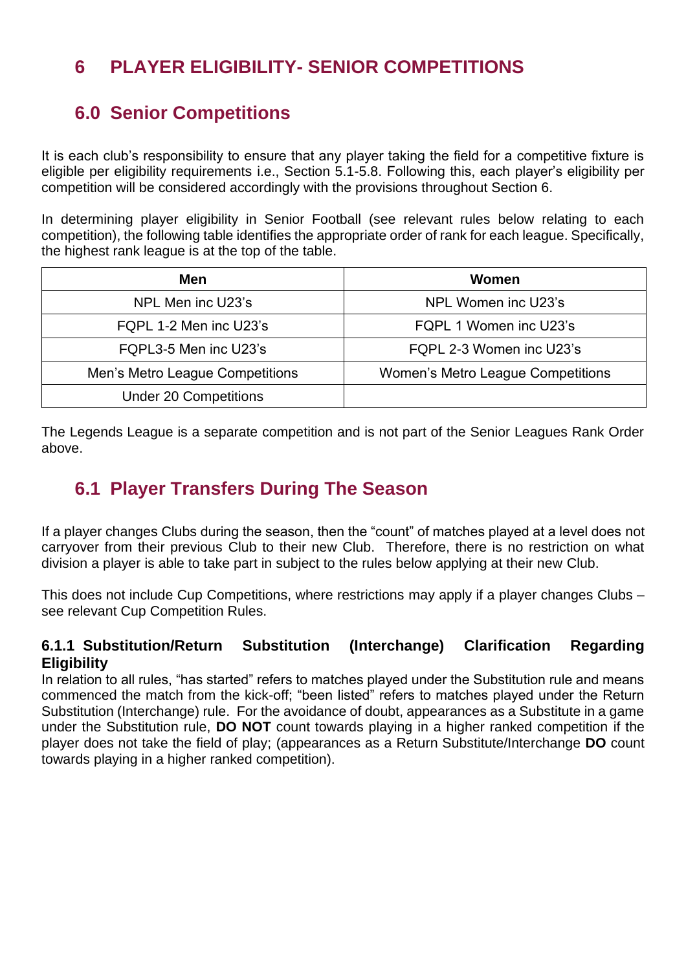### <span id="page-36-0"></span>**6 PLAYER ELIGIBILITY- SENIOR COMPETITIONS**

### <span id="page-36-1"></span>**6.0 Senior Competitions**

It is each club's responsibility to ensure that any player taking the field for a competitive fixture is eligible per eligibility requirements i.e., Section 5.1-5.8. Following this, each player's eligibility per competition will be considered accordingly with the provisions throughout Section 6.

In determining player eligibility in Senior Football (see relevant rules below relating to each competition), the following table identifies the appropriate order of rank for each league. Specifically, the highest rank league is at the top of the table.

| <b>Men</b>                      | Women                                    |
|---------------------------------|------------------------------------------|
| NPL Men inc U23's               | NPL Women inc U23's                      |
| FQPL 1-2 Men inc U23's          | FQPL 1 Women inc U23's                   |
| FQPL3-5 Men inc U23's           | FQPL 2-3 Women inc U23's                 |
| Men's Metro League Competitions | <b>Women's Metro League Competitions</b> |
| <b>Under 20 Competitions</b>    |                                          |

The Legends League is a separate competition and is not part of the Senior Leagues Rank Order above.

### <span id="page-36-2"></span>**6.1 Player Transfers During The Season**

If a player changes Clubs during the season, then the "count" of matches played at a level does not carryover from their previous Club to their new Club. Therefore, there is no restriction on what division a player is able to take part in subject to the rules below applying at their new Club.

This does not include Cup Competitions, where restrictions may apply if a player changes Clubs – see relevant Cup Competition Rules.

#### <span id="page-36-3"></span>**6.1.1 Substitution/Return Substitution (Interchange) Clarification Regarding Eligibility**

In relation to all rules, "has started" refers to matches played under the Substitution rule and means commenced the match from the kick-off; "been listed" refers to matches played under the Return Substitution (Interchange) rule. For the avoidance of doubt, appearances as a Substitute in a game under the Substitution rule, **DO NOT** count towards playing in a higher ranked competition if the player does not take the field of play; (appearances as a Return Substitute/Interchange **DO** count towards playing in a higher ranked competition).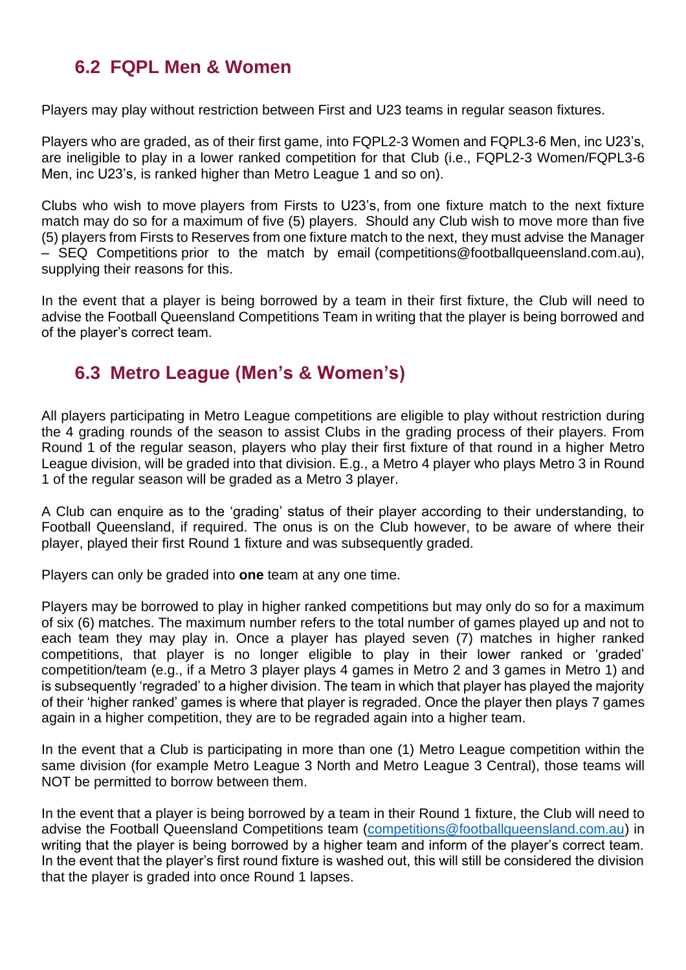### <span id="page-37-0"></span>**6.2 FQPL Men & Women**

Players may play without restriction between First and U23 teams in regular season fixtures.

Players who are graded, as of their first game, into FQPL2-3 Women and FQPL3-6 Men, inc U23's, are ineligible to play in a lower ranked competition for that Club (i.e., FQPL2-3 Women/FQPL3-6 Men, inc U23's, is ranked higher than Metro League 1 and so on).

Clubs who wish to move players from Firsts to U23's, from one fixture match to the next fixture match may do so for a maximum of five (5) players. Should any Club wish to move more than five (5) players from Firsts to Reserves from one fixture match to the next, they must advise the Manager – SEQ Competitions prior to the match by email (competitions@footballqueensland.com.au), supplying their reasons for this.

In the event that a player is being borrowed by a team in their first fixture, the Club will need to advise the Football Queensland Competitions Team in writing that the player is being borrowed and of the player's correct team.

### <span id="page-37-1"></span>**6.3 Metro League (Men's & Women's)**

All players participating in Metro League competitions are eligible to play without restriction during the 4 grading rounds of the season to assist Clubs in the grading process of their players. From Round 1 of the regular season, players who play their first fixture of that round in a higher Metro League division, will be graded into that division. E.g., a Metro 4 player who plays Metro 3 in Round 1 of the regular season will be graded as a Metro 3 player.

A Club can enquire as to the 'grading' status of their player according to their understanding, to Football Queensland, if required. The onus is on the Club however, to be aware of where their player, played their first Round 1 fixture and was subsequently graded.

Players can only be graded into **one** team at any one time.

Players may be borrowed to play in higher ranked competitions but may only do so for a maximum of six (6) matches. The maximum number refers to the total number of games played up and not to each team they may play in. Once a player has played seven (7) matches in higher ranked competitions, that player is no longer eligible to play in their lower ranked or 'graded' competition/team (e.g., if a Metro 3 player plays 4 games in Metro 2 and 3 games in Metro 1) and is subsequently 'regraded' to a higher division. The team in which that player has played the majority of their 'higher ranked' games is where that player is regraded. Once the player then plays 7 games again in a higher competition, they are to be regraded again into a higher team.

In the event that a Club is participating in more than one (1) Metro League competition within the same division (for example Metro League 3 North and Metro League 3 Central), those teams will NOT be permitted to borrow between them.

In the event that a player is being borrowed by a team in their Round 1 fixture, the Club will need to advise the Football Queensland Competitions team [\(competitions@footballqueensland.com.au\)](mailto:competitions@footballqueensland.com.au) in writing that the player is being borrowed by a higher team and inform of the player's correct team. In the event that the player's first round fixture is washed out, this will still be considered the division that the player is graded into once Round 1 lapses.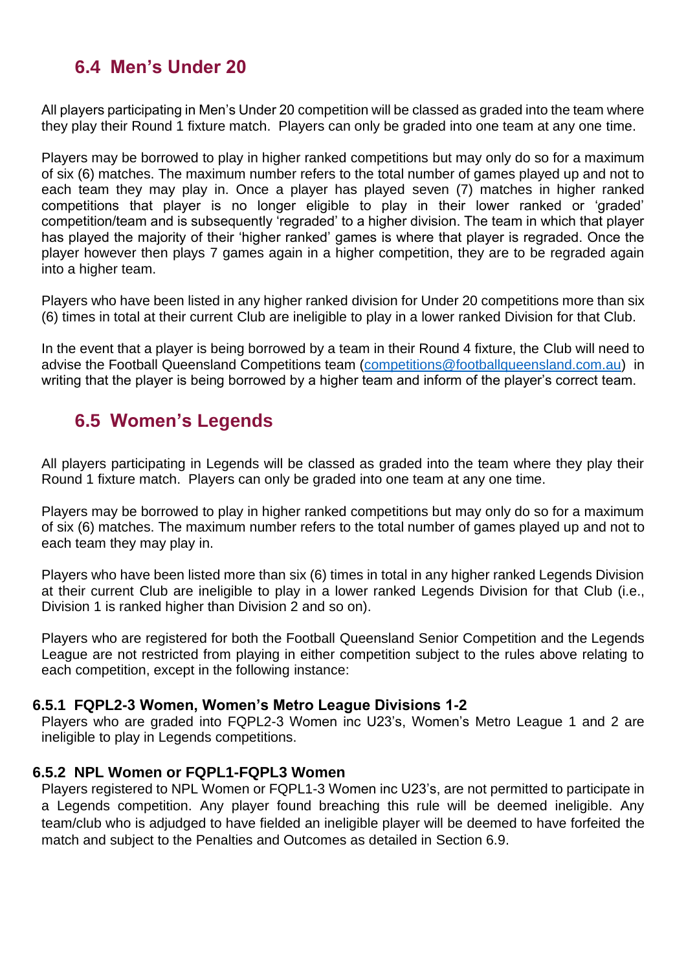### <span id="page-38-0"></span>**6.4 Men's Under 20**

All players participating in Men's Under 20 competition will be classed as graded into the team where they play their Round 1 fixture match. Players can only be graded into one team at any one time.

Players may be borrowed to play in higher ranked competitions but may only do so for a maximum of six (6) matches. The maximum number refers to the total number of games played up and not to each team they may play in. Once a player has played seven (7) matches in higher ranked competitions that player is no longer eligible to play in their lower ranked or 'graded' competition/team and is subsequently 'regraded' to a higher division. The team in which that player has played the majority of their 'higher ranked' games is where that player is regraded. Once the player however then plays 7 games again in a higher competition, they are to be regraded again into a higher team.

Players who have been listed in any higher ranked division for Under 20 competitions more than six (6) times in total at their current Club are ineligible to play in a lower ranked Division for that Club.

In the event that a player is being borrowed by a team in their Round 4 fixture, the Club will need to advise the Football Queensland Competitions team [\(competitions@footballqueensland.com.au\)](mailto:competitions@footballqueensland.com.au) in writing that the player is being borrowed by a higher team and inform of the player's correct team.

### <span id="page-38-1"></span>**6.5 Women's Legends**

All players participating in Legends will be classed as graded into the team where they play their Round 1 fixture match. Players can only be graded into one team at any one time.

Players may be borrowed to play in higher ranked competitions but may only do so for a maximum of six (6) matches. The maximum number refers to the total number of games played up and not to each team they may play in.

Players who have been listed more than six (6) times in total in any higher ranked Legends Division at their current Club are ineligible to play in a lower ranked Legends Division for that Club (i.e., Division 1 is ranked higher than Division 2 and so on).

Players who are registered for both the Football Queensland Senior Competition and the Legends League are not restricted from playing in either competition subject to the rules above relating to each competition, except in the following instance:

#### **6.5.1 FQPL2-3 Women, Women's Metro League Divisions 1-2**

<span id="page-38-2"></span>Players who are graded into FQPL2-3 Women inc U23's, Women's Metro League 1 and 2 are ineligible to play in Legends competitions.

#### <span id="page-38-3"></span>**6.5.2 NPL Women or FQPL1-FQPL3 Women**

Players registered to NPL Women or FQPL1-3 Women inc U23's, are not permitted to participate in a Legends competition. Any player found breaching this rule will be deemed ineligible. Any team/club who is adjudged to have fielded an ineligible player will be deemed to have forfeited the match and subject to the Penalties and Outcomes as detailed in Section 6.9.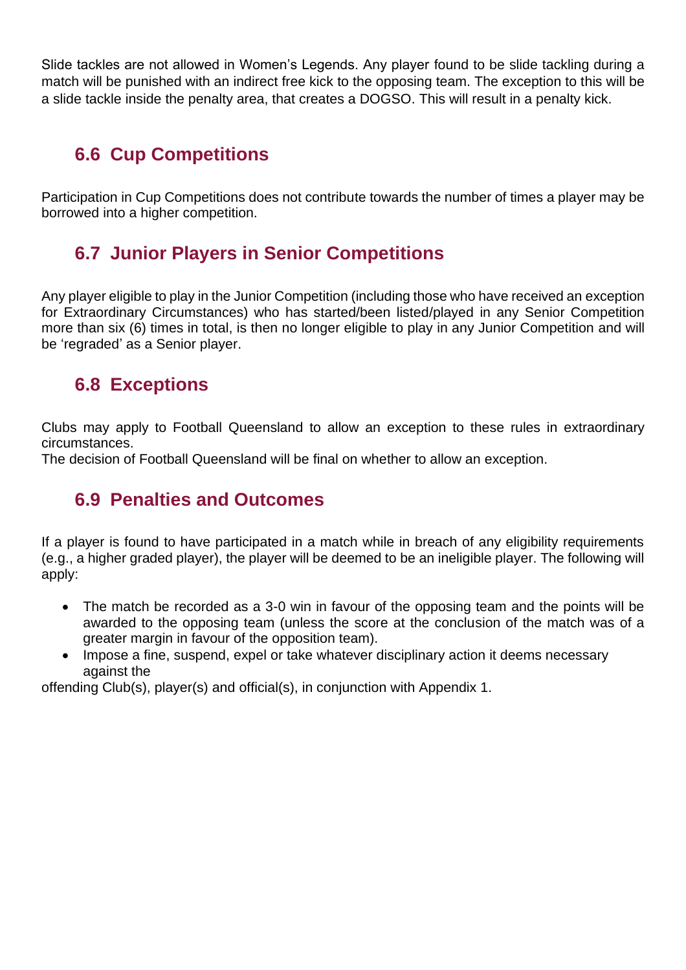Slide tackles are not allowed in Women's Legends. Any player found to be slide tackling during a match will be punished with an indirect free kick to the opposing team. The exception to this will be a slide tackle inside the penalty area, that creates a DOGSO. This will result in a penalty kick.

### <span id="page-39-0"></span>**6.6 Cup Competitions**

Participation in Cup Competitions does not contribute towards the number of times a player may be borrowed into a higher competition.

### <span id="page-39-1"></span>**6.7 Junior Players in Senior Competitions**

Any player eligible to play in the Junior Competition (including those who have received an exception for Extraordinary Circumstances) who has started/been listed/played in any Senior Competition more than six (6) times in total, is then no longer eligible to play in any Junior Competition and will be 'regraded' as a Senior player.

### <span id="page-39-2"></span>**6.8 Exceptions**

Clubs may apply to Football Queensland to allow an exception to these rules in extraordinary circumstances.

<span id="page-39-3"></span>The decision of Football Queensland will be final on whether to allow an exception.

### **6.9 Penalties and Outcomes**

If a player is found to have participated in a match while in breach of any eligibility requirements (e.g., a higher graded player), the player will be deemed to be an ineligible player. The following will apply:

- The match be recorded as a 3-0 win in favour of the opposing team and the points will be awarded to the opposing team (unless the score at the conclusion of the match was of a greater margin in favour of the opposition team).
- Impose a fine, suspend, expel or take whatever disciplinary action it deems necessary against the

offending Club(s), player(s) and official(s), in conjunction with Appendix 1.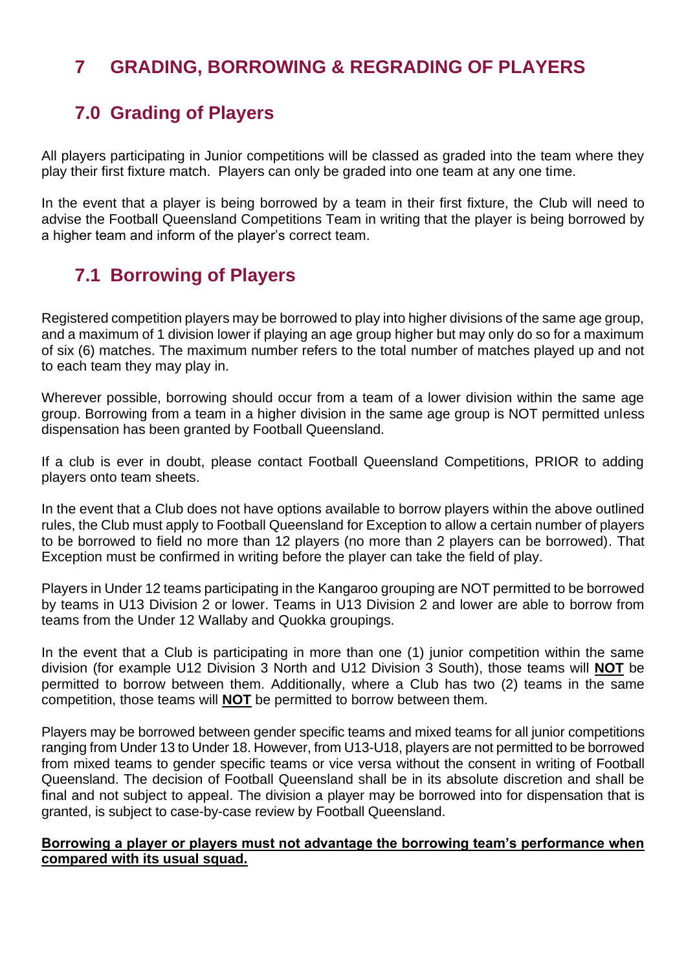### <span id="page-40-0"></span>**7 GRADING, BORROWING & REGRADING OF PLAYERS**

### <span id="page-40-1"></span>**7.0 Grading of Players**

All players participating in Junior competitions will be classed as graded into the team where they play their first fixture match. Players can only be graded into one team at any one time.

In the event that a player is being borrowed by a team in their first fixture, the Club will need to advise the Football Queensland Competitions Team in writing that the player is being borrowed by a higher team and inform of the player's correct team.

### <span id="page-40-2"></span>**7.1 Borrowing of Players**

Registered competition players may be borrowed to play into higher divisions of the same age group, and a maximum of 1 division lower if playing an age group higher but may only do so for a maximum of six (6) matches. The maximum number refers to the total number of matches played up and not to each team they may play in.

Wherever possible, borrowing should occur from a team of a lower division within the same age group. Borrowing from a team in a higher division in the same age group is NOT permitted unless dispensation has been granted by Football Queensland.

If a club is ever in doubt, please contact Football Queensland Competitions, PRIOR to adding players onto team sheets.

In the event that a Club does not have options available to borrow players within the above outlined rules, the Club must apply to Football Queensland for Exception to allow a certain number of players to be borrowed to field no more than 12 players (no more than 2 players can be borrowed). That Exception must be confirmed in writing before the player can take the field of play.

Players in Under 12 teams participating in the Kangaroo grouping are NOT permitted to be borrowed by teams in U13 Division 2 or lower. Teams in U13 Division 2 and lower are able to borrow from teams from the Under 12 Wallaby and Quokka groupings.

In the event that a Club is participating in more than one (1) junior competition within the same division (for example U12 Division 3 North and U12 Division 3 South), those teams will **NOT** be permitted to borrow between them. Additionally, where a Club has two (2) teams in the same competition, those teams will **NOT** be permitted to borrow between them.

Players may be borrowed between gender specific teams and mixed teams for all junior competitions ranging from Under 13 to Under 18. However, from U13-U18, players are not permitted to be borrowed from mixed teams to gender specific teams or vice versa without the consent in writing of Football Queensland. The decision of Football Queensland shall be in its absolute discretion and shall be final and not subject to appeal. The division a player may be borrowed into for dispensation that is granted, is subject to case-by-case review by Football Queensland.

#### **Borrowing a player or players must not advantage the borrowing team's performance when compared with its usual squad.**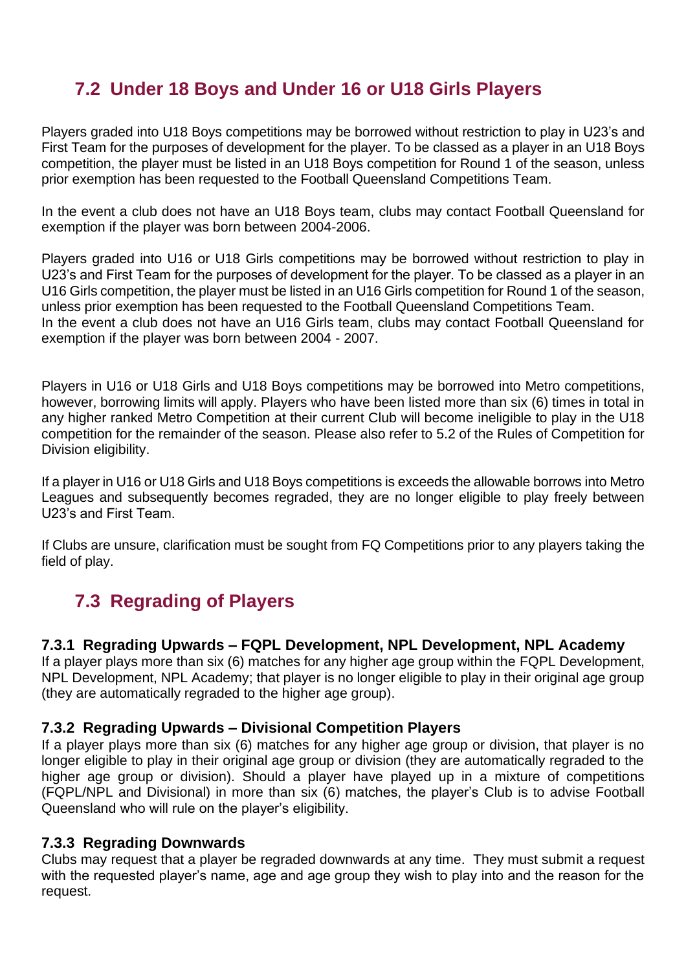### <span id="page-41-0"></span>**7.2 Under 18 Boys and Under 16 or U18 Girls Players**

Players graded into U18 Boys competitions may be borrowed without restriction to play in U23's and First Team for the purposes of development for the player. To be classed as a player in an U18 Boys competition, the player must be listed in an U18 Boys competition for Round 1 of the season, unless prior exemption has been requested to the Football Queensland Competitions Team.

In the event a club does not have an U18 Boys team, clubs may contact Football Queensland for exemption if the player was born between 2004-2006.

Players graded into U16 or U18 Girls competitions may be borrowed without restriction to play in U23's and First Team for the purposes of development for the player. To be classed as a player in an U16 Girls competition, the player must be listed in an U16 Girls competition for Round 1 of the season, unless prior exemption has been requested to the Football Queensland Competitions Team. In the event a club does not have an U16 Girls team, clubs may contact Football Queensland for exemption if the player was born between 2004 - 2007.

Players in U16 or U18 Girls and U18 Boys competitions may be borrowed into Metro competitions, however, borrowing limits will apply. Players who have been listed more than six (6) times in total in any higher ranked Metro Competition at their current Club will become ineligible to play in the U18 competition for the remainder of the season. Please also refer to 5.2 of the Rules of Competition for Division eligibility.

If a player in U16 or U18 Girls and U18 Boys competitions is exceeds the allowable borrows into Metro Leagues and subsequently becomes regraded, they are no longer eligible to play freely between U23's and First Team.

If Clubs are unsure, clarification must be sought from FQ Competitions prior to any players taking the field of play.

### <span id="page-41-1"></span>**7.3 Regrading of Players**

#### <span id="page-41-2"></span>**7.3.1 Regrading Upwards – FQPL Development, NPL Development, NPL Academy**

If a player plays more than six (6) matches for any higher age group within the FQPL Development, NPL Development, NPL Academy; that player is no longer eligible to play in their original age group (they are automatically regraded to the higher age group).

#### <span id="page-41-3"></span>**7.3.2 Regrading Upwards – Divisional Competition Players**

If a player plays more than six (6) matches for any higher age group or division, that player is no longer eligible to play in their original age group or division (they are automatically regraded to the higher age group or division). Should a player have played up in a mixture of competitions (FQPL/NPL and Divisional) in more than six (6) matches, the player's Club is to advise Football Queensland who will rule on the player's eligibility.

#### <span id="page-41-4"></span>**7.3.3 Regrading Downwards**

Clubs may request that a player be regraded downwards at any time. They must submit a request with the requested player's name, age and age group they wish to play into and the reason for the request.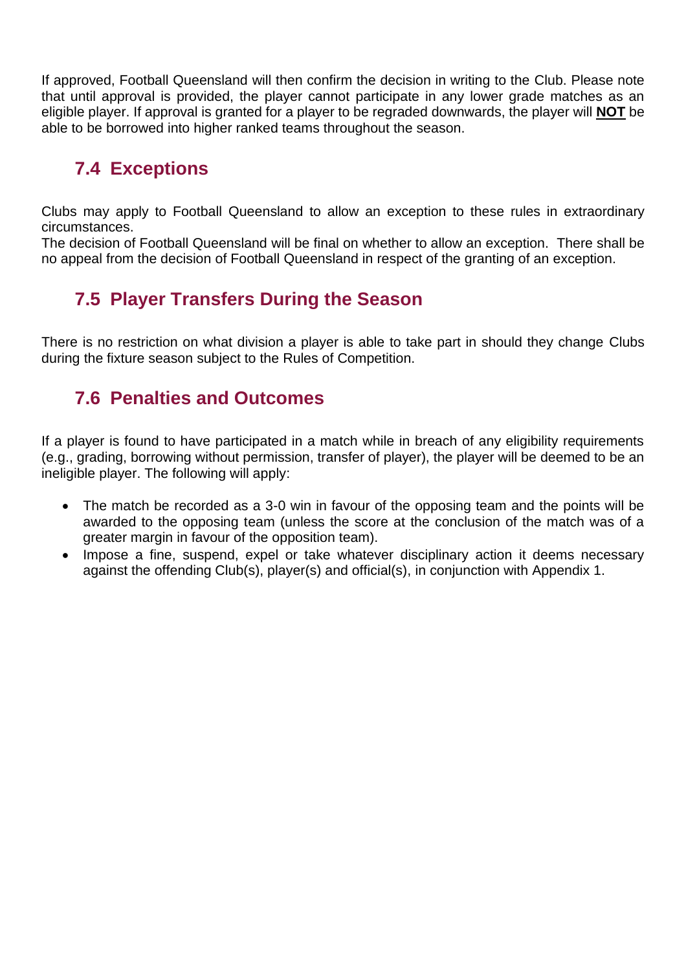If approved, Football Queensland will then confirm the decision in writing to the Club. Please note that until approval is provided, the player cannot participate in any lower grade matches as an eligible player. If approval is granted for a player to be regraded downwards, the player will **NOT** be able to be borrowed into higher ranked teams throughout the season.

### <span id="page-42-0"></span>**7.4 Exceptions**

Clubs may apply to Football Queensland to allow an exception to these rules in extraordinary circumstances.

The decision of Football Queensland will be final on whether to allow an exception. There shall be no appeal from the decision of Football Queensland in respect of the granting of an exception.

### <span id="page-42-1"></span>**7.5 Player Transfers During the Season**

There is no restriction on what division a player is able to take part in should they change Clubs during the fixture season subject to the Rules of Competition.

### <span id="page-42-2"></span>**7.6 Penalties and Outcomes**

If a player is found to have participated in a match while in breach of any eligibility requirements (e.g., grading, borrowing without permission, transfer of player), the player will be deemed to be an ineligible player. The following will apply:

- The match be recorded as a 3-0 win in favour of the opposing team and the points will be awarded to the opposing team (unless the score at the conclusion of the match was of a greater margin in favour of the opposition team).
- Impose a fine, suspend, expel or take whatever disciplinary action it deems necessary against the offending Club(s), player(s) and official(s), in conjunction with Appendix 1.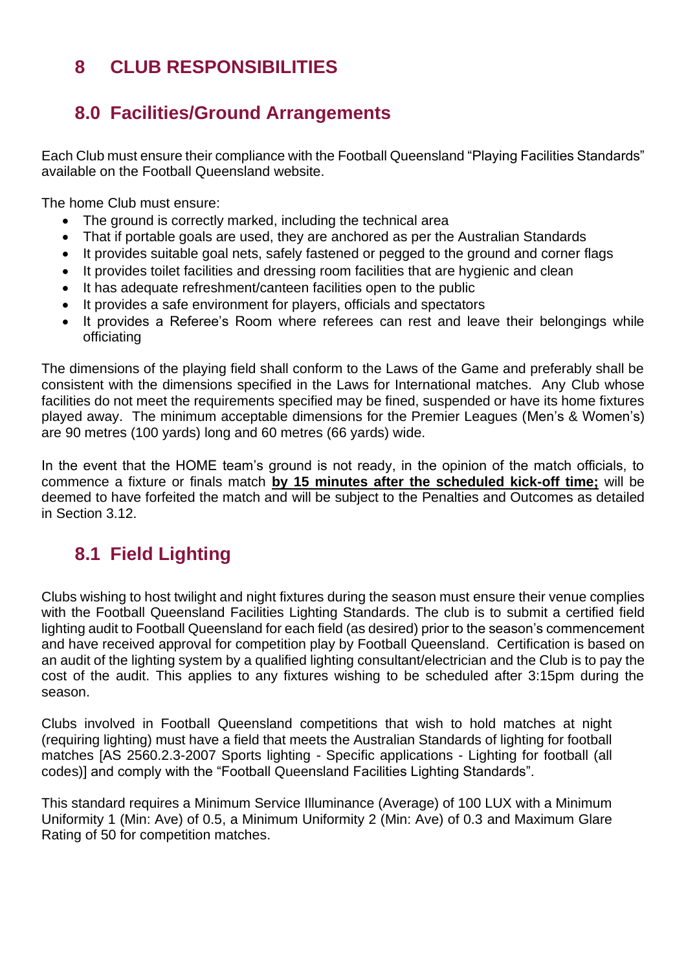### <span id="page-43-0"></span>**8 CLUB RESPONSIBILITIES**

### <span id="page-43-1"></span>**8.0 Facilities/Ground Arrangements**

Each Club must ensure their compliance with the Football Queensland "Playing Facilities Standards" available on the Football Queensland website.

The home Club must ensure:

- The ground is correctly marked, including the technical area
- That if portable goals are used, they are anchored as per the Australian Standards
- It provides suitable goal nets, safely fastened or pegged to the ground and corner flags
- It provides toilet facilities and dressing room facilities that are hygienic and clean
- It has adequate refreshment/canteen facilities open to the public
- It provides a safe environment for players, officials and spectators
- It provides a Referee's Room where referees can rest and leave their belongings while officiating

The dimensions of the playing field shall conform to the Laws of the Game and preferably shall be consistent with the dimensions specified in the Laws for International matches. Any Club whose facilities do not meet the requirements specified may be fined, suspended or have its home fixtures played away. The minimum acceptable dimensions for the Premier Leagues (Men's & Women's) are 90 metres (100 yards) long and 60 metres (66 yards) wide.

In the event that the HOME team's ground is not ready, in the opinion of the match officials, to commence a fixture or finals match **by 15 minutes after the scheduled kick-off time;** will be deemed to have forfeited the match and will be subject to the Penalties and Outcomes as detailed in Section 3.12.

### <span id="page-43-2"></span>**8.1 Field Lighting**

Clubs wishing to host twilight and night fixtures during the season must ensure their venue complies with the Football Queensland Facilities Lighting Standards. The club is to submit a certified field lighting audit to Football Queensland for each field (as desired) prior to the season's commencement and have received approval for competition play by Football Queensland. Certification is based on an audit of the lighting system by a qualified lighting consultant/electrician and the Club is to pay the cost of the audit. This applies to any fixtures wishing to be scheduled after 3:15pm during the season.

Clubs involved in Football Queensland competitions that wish to hold matches at night (requiring lighting) must have a field that meets the Australian Standards of lighting for football matches [AS 2560.2.3-2007 Sports lighting - Specific applications - Lighting for football (all codes)] and comply with the "Football Queensland Facilities Lighting Standards".

This standard requires a Minimum Service Illuminance (Average) of 100 LUX with a Minimum Uniformity 1 (Min: Ave) of 0.5, a Minimum Uniformity 2 (Min: Ave) of 0.3 and Maximum Glare Rating of 50 for competition matches.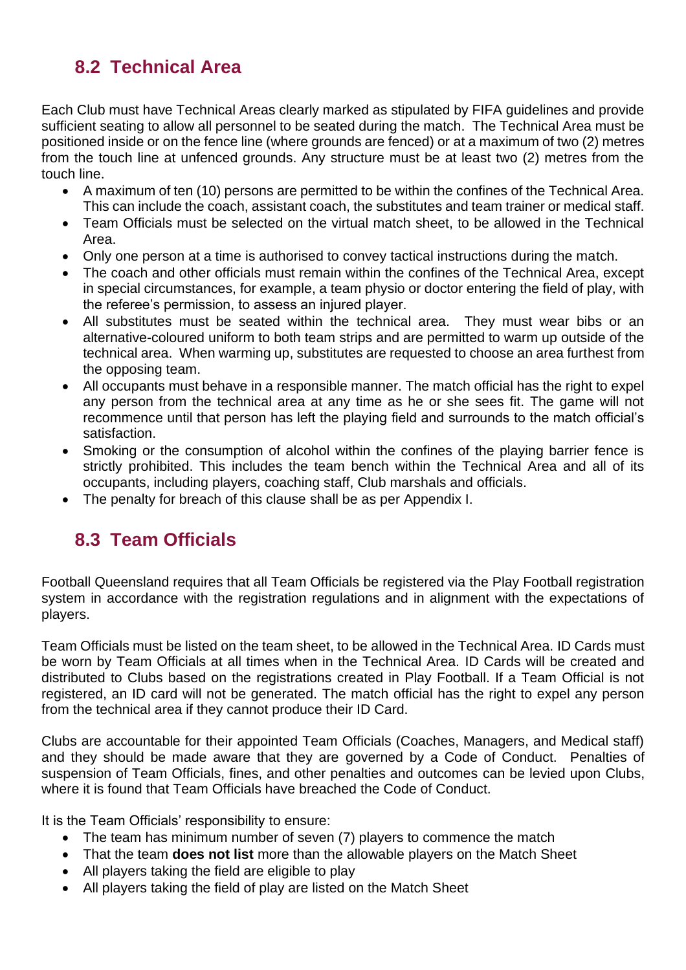### <span id="page-44-0"></span>**8.2 Technical Area**

Each Club must have Technical Areas clearly marked as stipulated by FIFA guidelines and provide sufficient seating to allow all personnel to be seated during the match. The Technical Area must be positioned inside or on the fence line (where grounds are fenced) or at a maximum of two (2) metres from the touch line at unfenced grounds. Any structure must be at least two (2) metres from the touch line.

- A maximum of ten (10) persons are permitted to be within the confines of the Technical Area. This can include the coach, assistant coach, the substitutes and team trainer or medical staff.
- Team Officials must be selected on the virtual match sheet, to be allowed in the Technical Area.
- Only one person at a time is authorised to convey tactical instructions during the match.
- The coach and other officials must remain within the confines of the Technical Area, except in special circumstances, for example, a team physio or doctor entering the field of play, with the referee's permission, to assess an injured player.
- All substitutes must be seated within the technical area. They must wear bibs or an alternative-coloured uniform to both team strips and are permitted to warm up outside of the technical area. When warming up, substitutes are requested to choose an area furthest from the opposing team.
- All occupants must behave in a responsible manner. The match official has the right to expel any person from the technical area at any time as he or she sees fit. The game will not recommence until that person has left the playing field and surrounds to the match official's satisfaction.
- Smoking or the consumption of alcohol within the confines of the playing barrier fence is strictly prohibited. This includes the team bench within the Technical Area and all of its occupants, including players, coaching staff, Club marshals and officials.
- The penalty for breach of this clause shall be as per Appendix I.

### <span id="page-44-1"></span>**8.3 Team Officials**

Football Queensland requires that all Team Officials be registered via the Play Football registration system in accordance with the registration regulations and in alignment with the expectations of players.

Team Officials must be listed on the team sheet, to be allowed in the Technical Area. ID Cards must be worn by Team Officials at all times when in the Technical Area. ID Cards will be created and distributed to Clubs based on the registrations created in Play Football. If a Team Official is not registered, an ID card will not be generated. The match official has the right to expel any person from the technical area if they cannot produce their ID Card.

Clubs are accountable for their appointed Team Officials (Coaches, Managers, and Medical staff) and they should be made aware that they are governed by a Code of Conduct. Penalties of suspension of Team Officials, fines, and other penalties and outcomes can be levied upon Clubs, where it is found that Team Officials have breached the Code of Conduct.

It is the Team Officials' responsibility to ensure:

- The team has minimum number of seven (7) players to commence the match
- That the team **does not list** more than the allowable players on the Match Sheet
- All players taking the field are eligible to play
- All players taking the field of play are listed on the Match Sheet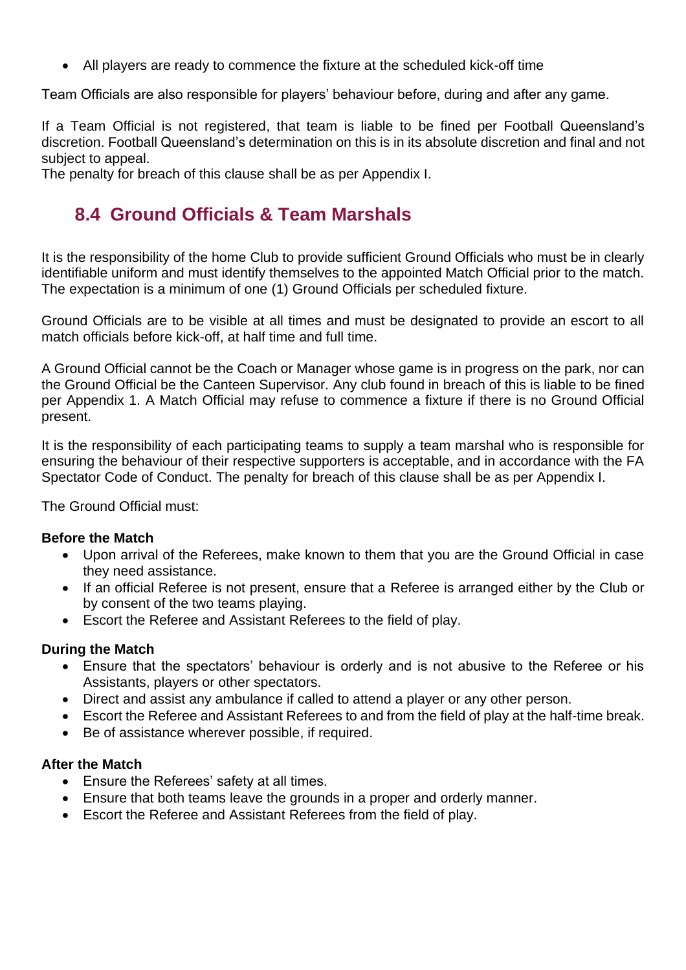• All players are ready to commence the fixture at the scheduled kick-off time

Team Officials are also responsible for players' behaviour before, during and after any game.

If a Team Official is not registered, that team is liable to be fined per Football Queensland's discretion. Football Queensland's determination on this is in its absolute discretion and final and not subject to appeal.

<span id="page-45-0"></span>The penalty for breach of this clause shall be as per Appendix I.

### **8.4 Ground Officials & Team Marshals**

It is the responsibility of the home Club to provide sufficient Ground Officials who must be in clearly identifiable uniform and must identify themselves to the appointed Match Official prior to the match. The expectation is a minimum of one (1) Ground Officials per scheduled fixture.

Ground Officials are to be visible at all times and must be designated to provide an escort to all match officials before kick-off, at half time and full time.

A Ground Official cannot be the Coach or Manager whose game is in progress on the park, nor can the Ground Official be the Canteen Supervisor. Any club found in breach of this is liable to be fined per Appendix 1. A Match Official may refuse to commence a fixture if there is no Ground Official present.

It is the responsibility of each participating teams to supply a team marshal who is responsible for ensuring the behaviour of their respective supporters is acceptable, and in accordance with the FA Spectator Code of Conduct. The penalty for breach of this clause shall be as per Appendix I.

The Ground Official must:

#### **Before the Match**

- Upon arrival of the Referees, make known to them that you are the Ground Official in case they need assistance.
- If an official Referee is not present, ensure that a Referee is arranged either by the Club or by consent of the two teams playing.
- Escort the Referee and Assistant Referees to the field of play.

#### **During the Match**

- Ensure that the spectators' behaviour is orderly and is not abusive to the Referee or his Assistants, players or other spectators.
- Direct and assist any ambulance if called to attend a player or any other person.
- Escort the Referee and Assistant Referees to and from the field of play at the half-time break.
- Be of assistance wherever possible, if required.

#### **After the Match**

- Ensure the Referees' safety at all times.
- Ensure that both teams leave the grounds in a proper and orderly manner.
- Escort the Referee and Assistant Referees from the field of play.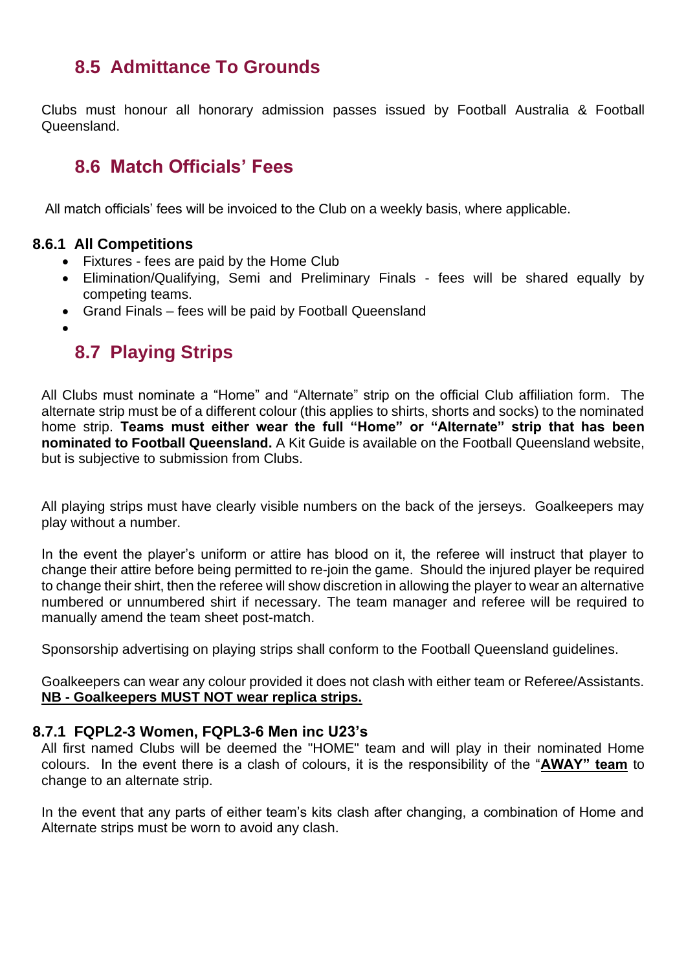### <span id="page-46-0"></span>**8.5 Admittance To Grounds**

Clubs must honour all honorary admission passes issued by Football Australia & Football Queensland.

### <span id="page-46-1"></span>**8.6 Match Officials' Fees**

All match officials' fees will be invoiced to the Club on a weekly basis, where applicable.

#### <span id="page-46-2"></span>**8.6.1 All Competitions**

- Fixtures fees are paid by the Home Club
- Elimination/Qualifying, Semi and Preliminary Finals fees will be shared equally by competing teams.
- Grand Finals fees will be paid by Football Queensland
- <span id="page-46-3"></span>•

### **8.7 Playing Strips**

All Clubs must nominate a "Home" and "Alternate" strip on the official Club affiliation form. The alternate strip must be of a different colour (this applies to shirts, shorts and socks) to the nominated home strip. **Teams must either wear the full "Home" or "Alternate" strip that has been nominated to Football Queensland.** A Kit Guide is available on the Football Queensland website, but is subjective to submission from Clubs.

All playing strips must have clearly visible numbers on the back of the jerseys. Goalkeepers may play without a number.

In the event the player's uniform or attire has blood on it, the referee will instruct that player to change their attire before being permitted to re-join the game. Should the injured player be required to change their shirt, then the referee will show discretion in allowing the player to wear an alternative numbered or unnumbered shirt if necessary. The team manager and referee will be required to manually amend the team sheet post-match.

Sponsorship advertising on playing strips shall conform to the Football Queensland guidelines.

Goalkeepers can wear any colour provided it does not clash with either team or Referee/Assistants. **NB - Goalkeepers MUST NOT wear replica strips.**

#### <span id="page-46-4"></span>**8.7.1 FQPL2-3 Women, FQPL3-6 Men inc U23's**

All first named Clubs will be deemed the "HOME" team and will play in their nominated Home colours. In the event there is a clash of colours, it is the responsibility of the "**AWAY" team** to change to an alternate strip.

In the event that any parts of either team's kits clash after changing, a combination of Home and Alternate strips must be worn to avoid any clash.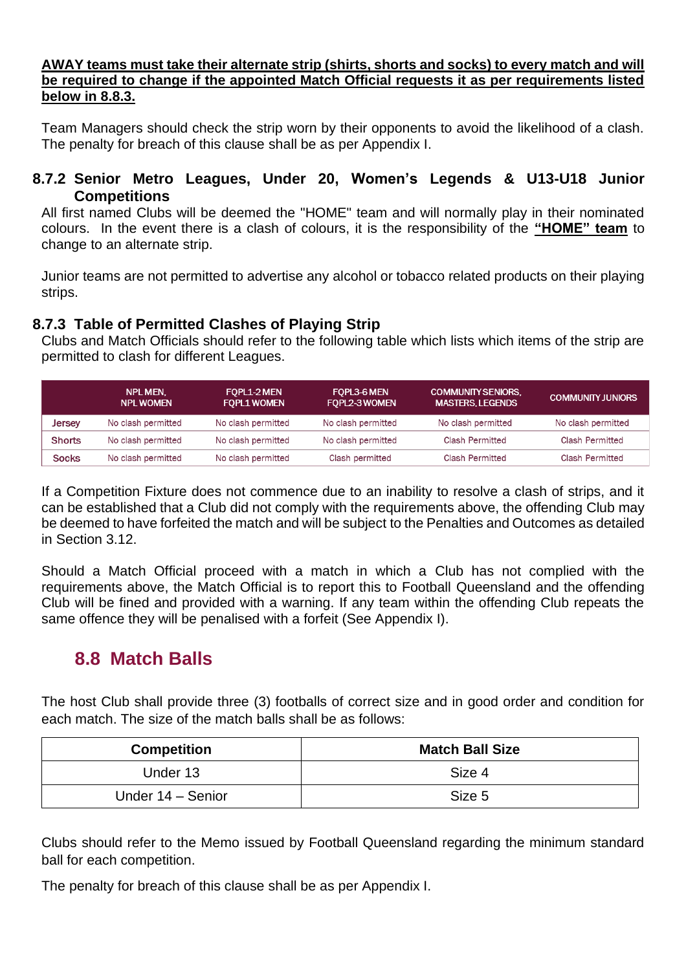#### **AWAY teams must take their alternate strip (shirts, shorts and socks) to every match and will be required to change if the appointed Match Official requests it as per requirements listed below in 8.8.3.**

Team Managers should check the strip worn by their opponents to avoid the likelihood of a clash. The penalty for breach of this clause shall be as per Appendix I.

#### <span id="page-47-0"></span>**8.7.2 Senior Metro Leagues, Under 20, Women's Legends & U13-U18 Junior Competitions**

All first named Clubs will be deemed the "HOME" team and will normally play in their nominated colours. In the event there is a clash of colours, it is the responsibility of the **"HOME" team** to change to an alternate strip.

Junior teams are not permitted to advertise any alcohol or tobacco related products on their playing strips.

#### <span id="page-47-1"></span>**8.7.3 Table of Permitted Clashes of Playing Strip**

Clubs and Match Officials should refer to the following table which lists which items of the strip are permitted to clash for different Leagues.

|               | <b>NPL MEN.</b><br><b>NPL WOMEN</b> | <b>FOPL1-2 MEN</b><br><b>FOPL1 WOMEN</b> | FOPL3-6 MEN<br>FOPL2-3 WOMEN | <b>COMMUNITY SENIORS.</b><br><b>MASTERS, LEGENDS</b> | <b>COMMUNITY JUNIORS</b> |
|---------------|-------------------------------------|------------------------------------------|------------------------------|------------------------------------------------------|--------------------------|
| Jersey        | No clash permitted                  | No clash permitted                       | No clash permitted           | No clash permitted                                   | No clash permitted       |
| <b>Shorts</b> | No clash permitted                  | No clash permitted                       | No clash permitted           | Clash Permitted                                      | <b>Clash Permitted</b>   |
| <b>Socks</b>  | No clash permitted                  | No clash permitted                       | Clash permitted              | <b>Clash Permitted</b>                               | <b>Clash Permitted</b>   |

If a Competition Fixture does not commence due to an inability to resolve a clash of strips, and it can be established that a Club did not comply with the requirements above, the offending Club may be deemed to have forfeited the match and will be subject to the Penalties and Outcomes as detailed in Section 3.12.

Should a Match Official proceed with a match in which a Club has not complied with the requirements above, the Match Official is to report this to Football Queensland and the offending Club will be fined and provided with a warning. If any team within the offending Club repeats the same offence they will be penalised with a forfeit (See Appendix I).

### <span id="page-47-2"></span>**8.8 Match Balls**

The host Club shall provide three (3) footballs of correct size and in good order and condition for each match. The size of the match balls shall be as follows:

| <b>Competition</b> | <b>Match Ball Size</b> |
|--------------------|------------------------|
| Under 13           | Size 4                 |
| Under 14 - Senior  | Size 5                 |

Clubs should refer to the Memo issued by Football Queensland regarding the minimum standard ball for each competition.

The penalty for breach of this clause shall be as per Appendix I.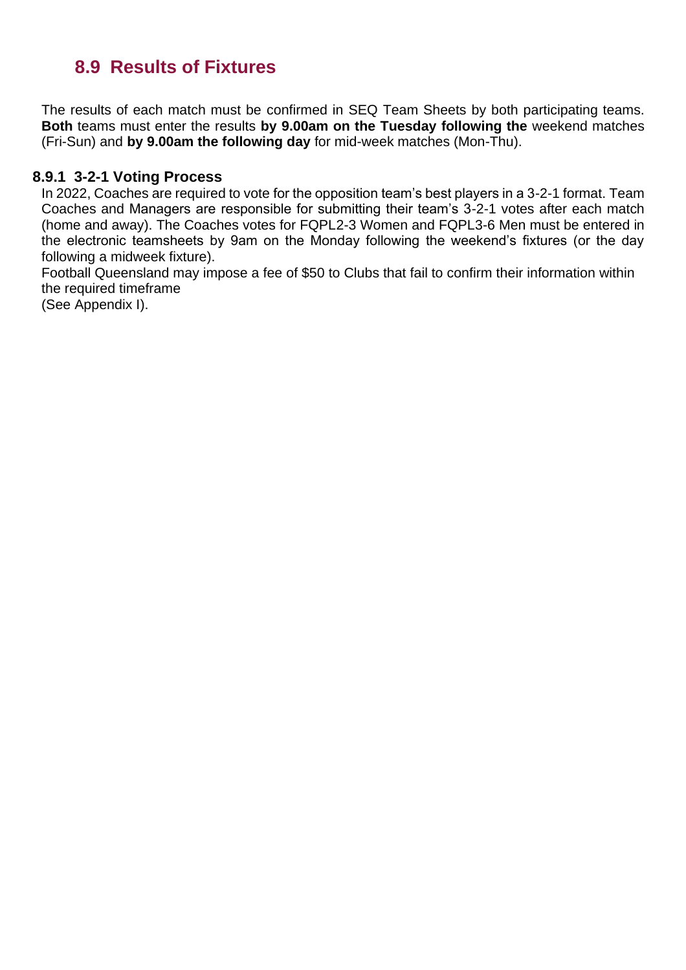### <span id="page-48-0"></span>**8.9 Results of Fixtures**

The results of each match must be confirmed in SEQ Team Sheets by both participating teams. **Both** teams must enter the results **by 9.00am on the Tuesday following the** weekend matches (Fri-Sun) and **by 9.00am the following day** for mid-week matches (Mon-Thu).

#### **8.9.1 3-2-1 Voting Process**

<span id="page-48-1"></span>In 2022, Coaches are required to vote for the opposition team's best players in a 3-2-1 format. Team Coaches and Managers are responsible for submitting their team's 3-2-1 votes after each match (home and away). The Coaches votes for FQPL2-3 Women and FQPL3-6 Men must be entered in the electronic teamsheets by 9am on the Monday following the weekend's fixtures (or the day following a midweek fixture).

Football Queensland may impose a fee of \$50 to Clubs that fail to confirm their information within the required timeframe

(See Appendix I).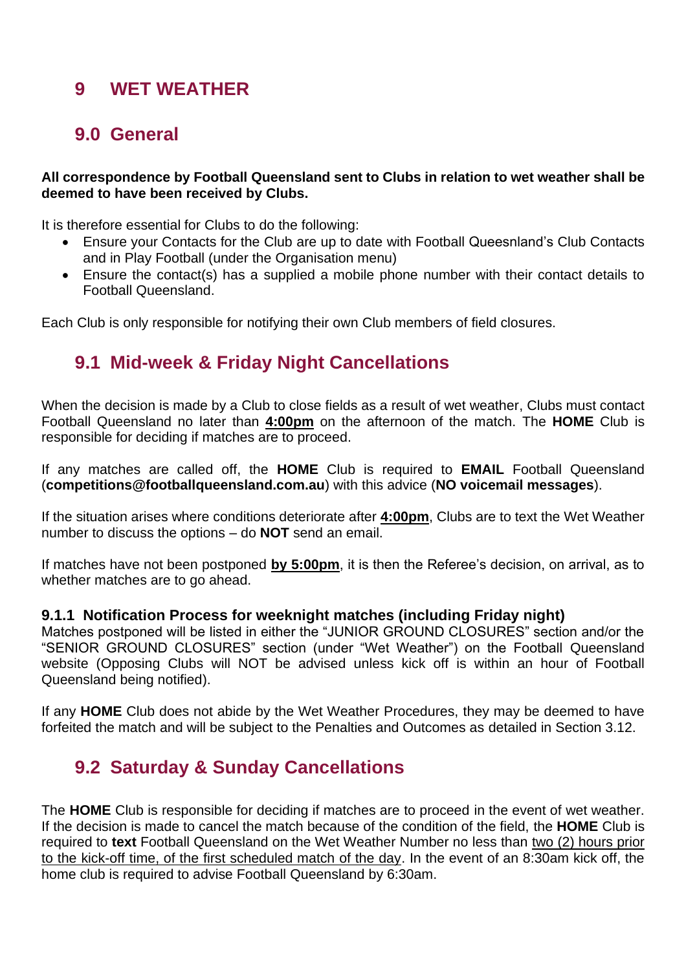### <span id="page-49-0"></span>**9 WET WEATHER**

### <span id="page-49-1"></span>**9.0 General**

#### **All correspondence by Football Queensland sent to Clubs in relation to wet weather shall be deemed to have been received by Clubs.**

It is therefore essential for Clubs to do the following:

- Ensure your Contacts for the Club are up to date with Football Queesnland's Club Contacts and in Play Football (under the Organisation menu)
- Ensure the contact(s) has a supplied a mobile phone number with their contact details to Football Queensland.

<span id="page-49-2"></span>Each Club is only responsible for notifying their own Club members of field closures.

### **9.1 Mid-week & Friday Night Cancellations**

When the decision is made by a Club to close fields as a result of wet weather, Clubs must contact Football Queensland no later than **4:00pm** on the afternoon of the match. The **HOME** Club is responsible for deciding if matches are to proceed.

If any matches are called off, the **HOME** Club is required to **EMAIL** Football Queensland (**competitions@footballqueensland.com.au**) with this advice (**NO voicemail messages**).

If the situation arises where conditions deteriorate after **4:00pm**, Clubs are to text the Wet Weather number to discuss the options – do **NOT** send an email.

If matches have not been postponed **by 5:00pm**, it is then the Referee's decision, on arrival, as to whether matches are to go ahead.

#### <span id="page-49-3"></span>**9.1.1 Notification Process for weeknight matches (including Friday night)**

Matches postponed will be listed in either the "JUNIOR GROUND CLOSURES" section and/or the "SENIOR GROUND CLOSURES" section (under "Wet Weather") on the Football Queensland website (Opposing Clubs will NOT be advised unless kick off is within an hour of Football Queensland being notified).

If any **HOME** Club does not abide by the Wet Weather Procedures, they may be deemed to have forfeited the match and will be subject to the Penalties and Outcomes as detailed in Section 3.12.

### <span id="page-49-4"></span>**9.2 Saturday & Sunday Cancellations**

The **HOME** Club is responsible for deciding if matches are to proceed in the event of wet weather. If the decision is made to cancel the match because of the condition of the field, the **HOME** Club is required to **text** Football Queensland on the Wet Weather Number no less than two (2) hours prior to the kick-off time, of the first scheduled match of the day. In the event of an 8:30am kick off, the home club is required to advise Football Queensland by 6:30am.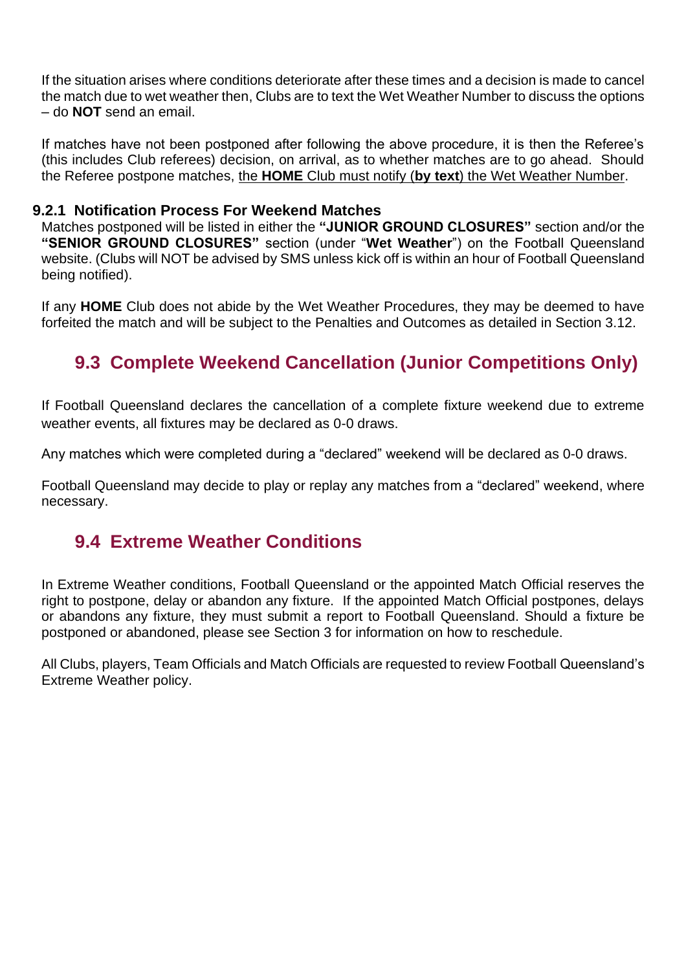If the situation arises where conditions deteriorate after these times and a decision is made to cancel the match due to wet weather then, Clubs are to text the Wet Weather Number to discuss the options – do **NOT** send an email.

If matches have not been postponed after following the above procedure, it is then the Referee's (this includes Club referees) decision, on arrival, as to whether matches are to go ahead. Should the Referee postpone matches, the **HOME** Club must notify (**by text**) the Wet Weather Number.

#### **9.2.1 Notification Process For Weekend Matches**

<span id="page-50-0"></span>Matches postponed will be listed in either the **"JUNIOR GROUND CLOSURES"** section and/or the **"SENIOR GROUND CLOSURES"** section (under "**Wet Weather**") on the Football Queensland website. (Clubs will NOT be advised by SMS unless kick off is within an hour of Football Queensland being notified).

If any **HOME** Club does not abide by the Wet Weather Procedures, they may be deemed to have forfeited the match and will be subject to the Penalties and Outcomes as detailed in Section 3.12.

### <span id="page-50-1"></span>**9.3 Complete Weekend Cancellation (Junior Competitions Only)**

If Football Queensland declares the cancellation of a complete fixture weekend due to extreme weather events, all fixtures may be declared as 0-0 draws.

Any matches which were completed during a "declared" weekend will be declared as 0-0 draws.

Football Queensland may decide to play or replay any matches from a "declared" weekend, where necessary.

### <span id="page-50-2"></span>**9.4 Extreme Weather Conditions**

In Extreme Weather conditions, Football Queensland or the appointed Match Official reserves the right to postpone, delay or abandon any fixture. If the appointed Match Official postpones, delays or abandons any fixture, they must submit a report to Football Queensland. Should a fixture be postponed or abandoned, please see Section 3 for information on how to reschedule.

All Clubs, players, Team Officials and Match Officials are requested to review Football Queensland's Extreme Weather policy.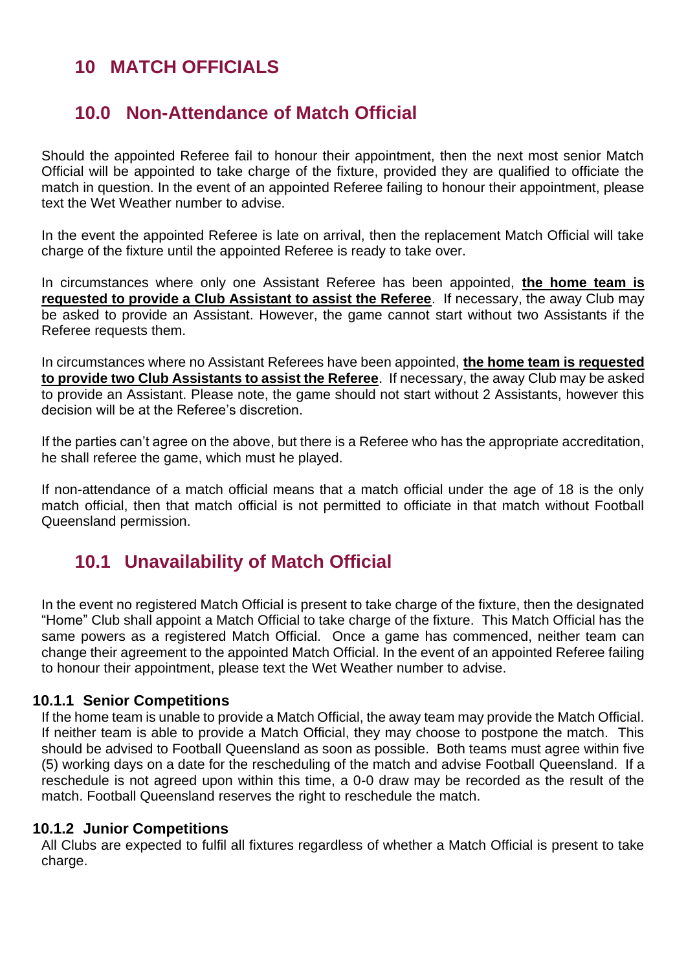### <span id="page-51-0"></span>**10 MATCH OFFICIALS**

### <span id="page-51-1"></span>**10.0 Non-Attendance of Match Official**

Should the appointed Referee fail to honour their appointment, then the next most senior Match Official will be appointed to take charge of the fixture, provided they are qualified to officiate the match in question. In the event of an appointed Referee failing to honour their appointment, please text the Wet Weather number to advise.

In the event the appointed Referee is late on arrival, then the replacement Match Official will take charge of the fixture until the appointed Referee is ready to take over.

In circumstances where only one Assistant Referee has been appointed, **the home team is requested to provide a Club Assistant to assist the Referee**. If necessary, the away Club may be asked to provide an Assistant. However, the game cannot start without two Assistants if the Referee requests them.

In circumstances where no Assistant Referees have been appointed, **the home team is requested to provide two Club Assistants to assist the Referee**. If necessary, the away Club may be asked to provide an Assistant. Please note, the game should not start without 2 Assistants, however this decision will be at the Referee's discretion.

If the parties can't agree on the above, but there is a Referee who has the appropriate accreditation, he shall referee the game, which must he played.

If non-attendance of a match official means that a match official under the age of 18 is the only match official, then that match official is not permitted to officiate in that match without Football Queensland permission.

### <span id="page-51-2"></span>**10.1 Unavailability of Match Official**

In the event no registered Match Official is present to take charge of the fixture, then the designated "Home" Club shall appoint a Match Official to take charge of the fixture. This Match Official has the same powers as a registered Match Official. Once a game has commenced, neither team can change their agreement to the appointed Match Official. In the event of an appointed Referee failing to honour their appointment, please text the Wet Weather number to advise.

#### <span id="page-51-3"></span>**10.1.1 Senior Competitions**

If the home team is unable to provide a Match Official, the away team may provide the Match Official. If neither team is able to provide a Match Official, they may choose to postpone the match. This should be advised to Football Queensland as soon as possible. Both teams must agree within five (5) working days on a date for the rescheduling of the match and advise Football Queensland. If a reschedule is not agreed upon within this time, a 0-0 draw may be recorded as the result of the match. Football Queensland reserves the right to reschedule the match.

#### <span id="page-51-4"></span>**10.1.2 Junior Competitions**

All Clubs are expected to fulfil all fixtures regardless of whether a Match Official is present to take charge.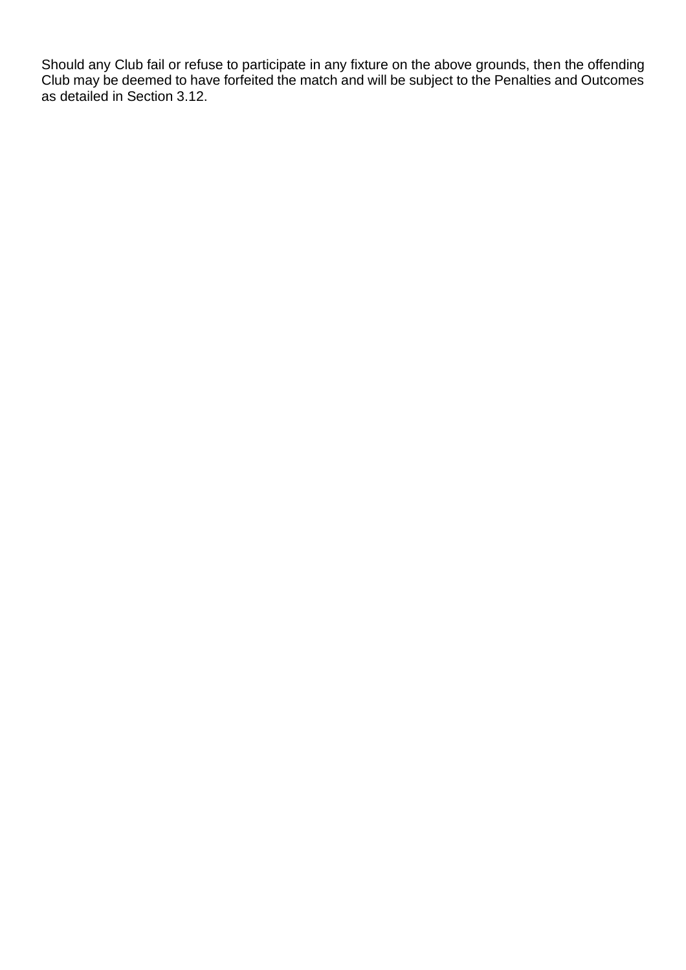Should any Club fail or refuse to participate in any fixture on the above grounds, then the offending Club may be deemed to have forfeited the match and will be subject to the Penalties and Outcomes as detailed in Section 3.12.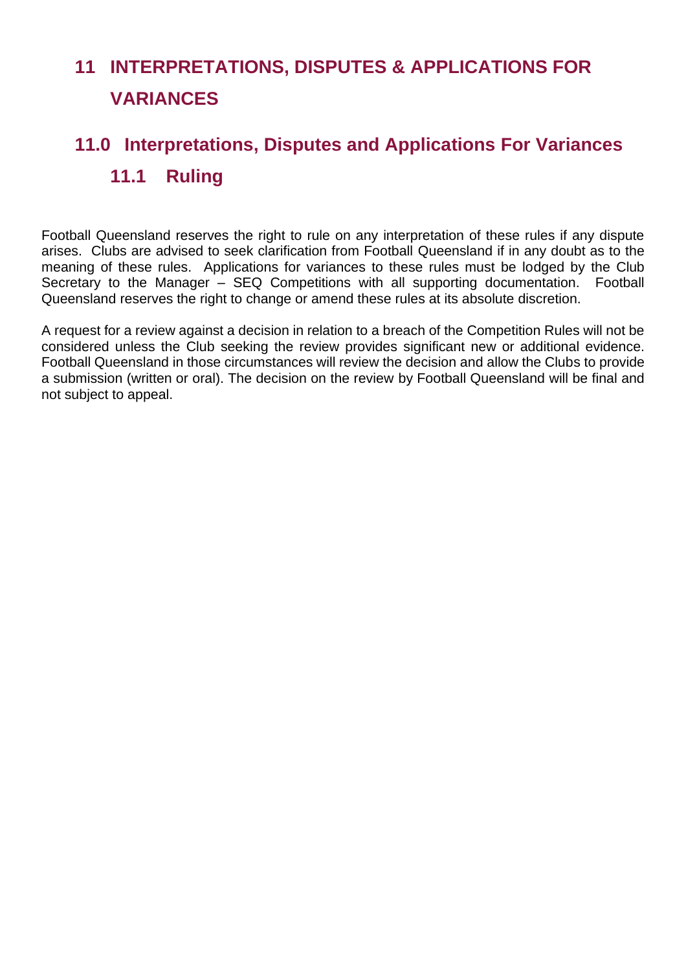# <span id="page-53-0"></span>**11 INTERPRETATIONS, DISPUTES & APPLICATIONS FOR VARIANCES**

# <span id="page-53-1"></span>**11.0 Interpretations, Disputes and Applications For Variances 11.1 Ruling**

Football Queensland reserves the right to rule on any interpretation of these rules if any dispute arises. Clubs are advised to seek clarification from Football Queensland if in any doubt as to the meaning of these rules. Applications for variances to these rules must be lodged by the Club Secretary to the Manager – SEQ Competitions with all supporting documentation. Football Queensland reserves the right to change or amend these rules at its absolute discretion.

A request for a review against a decision in relation to a breach of the Competition Rules will not be considered unless the Club seeking the review provides significant new or additional evidence. Football Queensland in those circumstances will review the decision and allow the Clubs to provide a submission (written or oral). The decision on the review by Football Queensland will be final and not subject to appeal.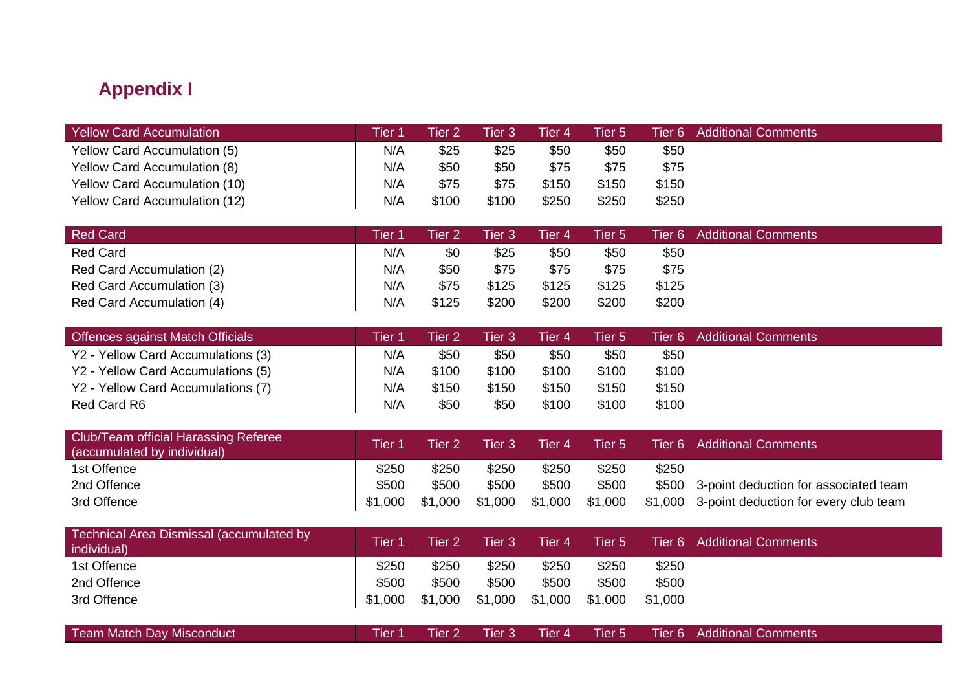### **Appendix I**

| Yellow Card Accumulation             | Tier 1 | Tier 2 | Tier 3 | Tier 4 | Tier 5 |       | Tier 6 Additional Comments |
|--------------------------------------|--------|--------|--------|--------|--------|-------|----------------------------|
| Yellow Card Accumulation (5)         | N/A    | \$25   | \$25   | \$50   | \$50   | \$50  |                            |
| Yellow Card Accumulation (8)         | N/A    | \$50   | \$50   | \$75   | \$75   | \$75  |                            |
| <b>Yellow Card Accumulation (10)</b> | N/A    | \$75   | \$75   | \$150  | \$150  | \$150 |                            |
| <b>Yellow Card Accumulation (12)</b> | N/A    | \$100  | \$100  | \$250  | \$250  | \$250 |                            |

| <b>Red Card</b>           | <b>Tier 1</b> | Tier 2 | Tier 3 | Tier 4 | Tier 5 |       | Tier 6 Additional Comments |
|---------------------------|---------------|--------|--------|--------|--------|-------|----------------------------|
| <b>Red Card</b>           | N/A           | \$0    | \$25   | \$50   | \$50   | \$50  |                            |
| Red Card Accumulation (2) | N/A           | \$50   | \$75   | \$75   | \$75   | \$75  |                            |
| Red Card Accumulation (3) | N/A           | \$75   | \$125  | \$125  | \$125  | \$125 |                            |
| Red Card Accumulation (4) | N/A           | \$125  | \$200  | \$200  | \$200  | \$200 |                            |

<span id="page-54-0"></span>

| Offences against Match Officials   | Tier 1 | Tier 2' | Tier 3' | Tier 4 | Tier 5 |       | Tier 6 Additional Comments |
|------------------------------------|--------|---------|---------|--------|--------|-------|----------------------------|
| Y2 - Yellow Card Accumulations (3) | N/A    | \$50    | \$50    | \$50   | \$50   | \$50  |                            |
| Y2 - Yellow Card Accumulations (5) | N/A    | \$100   | \$100   | \$100  | \$100  | \$100 |                            |
| Y2 - Yellow Card Accumulations (7) | N/A    | \$150   | \$150   | \$150  | \$150  | \$150 |                            |
| Red Card R6                        | N/A    | \$50    | \$50    | \$100  | \$100  | \$100 |                            |

| <b>Club/Team official Harassing Referee</b><br>(accumulated by individual) | Tier 1  | Tier 2' | Tier $3'$ | Tier 4 ' | Tier 5                  |       | Tier 6 Additional Comments                    |
|----------------------------------------------------------------------------|---------|---------|-----------|----------|-------------------------|-------|-----------------------------------------------|
| 1st Offence                                                                | \$250   | \$250   | \$250     | \$250    | \$250                   | \$250 |                                               |
| 2nd Offence                                                                | \$500   | \$500   | \$500     | \$500    | \$500                   |       | \$500 3-point deduction for associated team   |
| 3rd Offence                                                                | \$1,000 | \$1,000 |           |          | \$1,000 \$1,000 \$1,000 |       | \$1,000 3-point deduction for every club team |

| Technical Area Dismissal (accumulated by<br>individual) | <b>Tier 1</b> | Tier 2  | Tier 3  | Tier 4' | Tier 5  |         | Tier 6 Additional Comments |
|---------------------------------------------------------|---------------|---------|---------|---------|---------|---------|----------------------------|
| 1st Offence                                             | \$250         | \$250   | \$250   | \$250   | \$250   | \$250   |                            |
| 2nd Offence                                             | \$500         | \$500   | \$500   | \$500   | \$500   | \$500   |                            |
| 3rd Offence                                             | \$1,000       | \$1,000 | \$1,000 | \$1,000 | \$1,000 | \$1,000 |                            |
|                                                         |               |         |         |         |         |         |                            |

| <b>Team Match Day Misconduct</b> |  |  |  |  |  |  | l  Tier 1  Tier 2  Tier 3  Tier 4  Tier 5  Tier 6 Additional Comments <sup>1</sup> |
|----------------------------------|--|--|--|--|--|--|------------------------------------------------------------------------------------|
|----------------------------------|--|--|--|--|--|--|------------------------------------------------------------------------------------|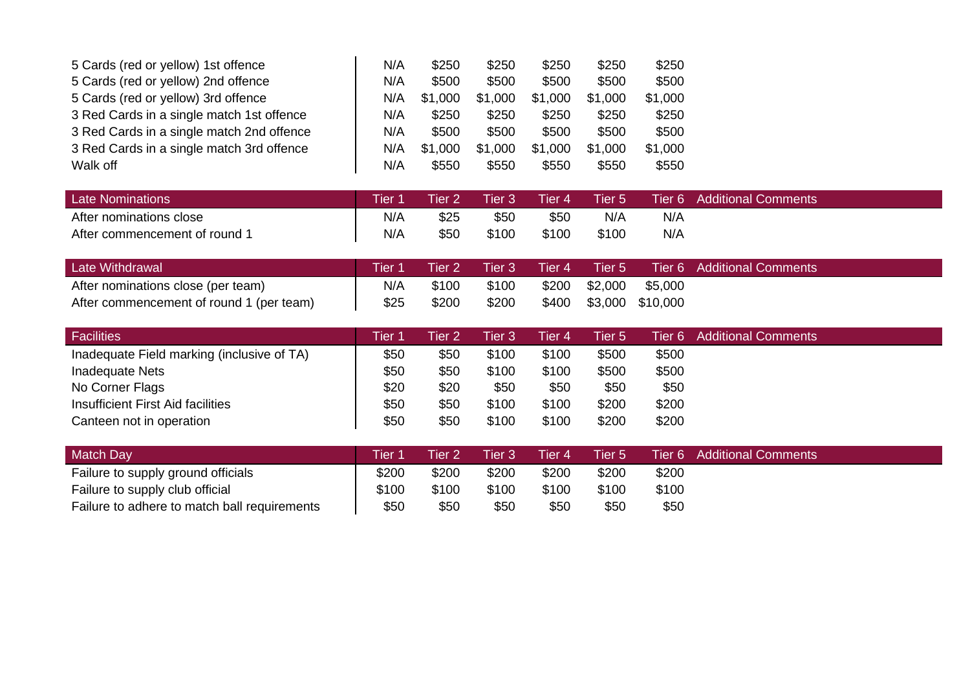| 5 Cards (red or yellow) 1st offence       | N/A | \$250   | \$250   | \$250   | \$250   | \$250   |
|-------------------------------------------|-----|---------|---------|---------|---------|---------|
| 5 Cards (red or yellow) 2nd offence       | N/A | \$500   | \$500   | \$500   | \$500   | \$500   |
| 5 Cards (red or yellow) 3rd offence       | N/A | \$1,000 | \$1,000 | \$1,000 | \$1,000 | \$1,000 |
| 3 Red Cards in a single match 1st offence | N/A | \$250   | \$250   | \$250   | \$250   | \$250   |
| 3 Red Cards in a single match 2nd offence | N/A | \$500   | \$500   | \$500   | \$500   | \$500   |
| 3 Red Cards in a single match 3rd offence | N/A | \$1,000 | \$1,000 | \$1,000 | \$1,000 | \$1,000 |
| Walk off                                  | N/A | \$550   | \$550   | \$550   | \$550   | \$550   |

| <b>Late Nominations</b>       | Tier 1 | Tier 2 | Tier 3 | Tier 4\ | Tier 5 |     | Tier 6 Additional Comments |
|-------------------------------|--------|--------|--------|---------|--------|-----|----------------------------|
| After nominations close       | N/A    | \$25   | \$50   | \$50    | N/A    | N/A |                            |
| After commencement of round 1 | N/A    | \$50   | \$100  | \$100   | \$100  | N/A |                            |

| Late Withdrawal                          | Tier <sub>1</sub> | Tier 2 ' | Tier 3 Tier 4 |               |                        | Tier 5 Tier 6 Additional Comments |
|------------------------------------------|-------------------|----------|---------------|---------------|------------------------|-----------------------------------|
| After nominations close (per team)       | N/A               | \$100    | \$100         | \$200 \$2,000 | \$5,000                |                                   |
| After commencement of round 1 (per team) | \$25              | \$200    | \$200         |               | \$400 \$3,000 \$10,000 |                                   |

| <b>Facilities</b>                          | <b>Tier</b> | Tier 2 | Tier 3 | Tier 4 | <b>Tier 5</b> |       | Tier 6 Additional Comments |
|--------------------------------------------|-------------|--------|--------|--------|---------------|-------|----------------------------|
| Inadequate Field marking (inclusive of TA) | \$50        | \$50   | \$100  | \$100  | \$500         | \$500 |                            |
| Inadequate Nets                            | \$50        | \$50   | \$100  | \$100  | \$500         | \$500 |                            |
| No Corner Flags                            | \$20        | \$20   | \$50   | \$50   | \$50          | \$50  |                            |
| <b>Insufficient First Aid facilities</b>   | \$50        | \$50   | \$100  | \$100  | \$200         | \$200 |                            |
| Canteen not in operation                   | \$50        | \$50   | \$100  | \$100  | \$200         | \$200 |                            |

| Match Day                                    | Tier 1 | Tier 2 | Tier 3' | Tier 4 | Tier 5 |       | Tier 6 Additional Comments |
|----------------------------------------------|--------|--------|---------|--------|--------|-------|----------------------------|
| Failure to supply ground officials           | \$200  | \$200  | \$200   | \$200  | \$200  | \$200 |                            |
| Failure to supply club official              | \$100  | \$100  | \$100   | \$100  | \$100  | \$100 |                            |
| Failure to adhere to match ball requirements | \$50   | \$50   | \$50    | \$50   | \$50   | \$50  |                            |